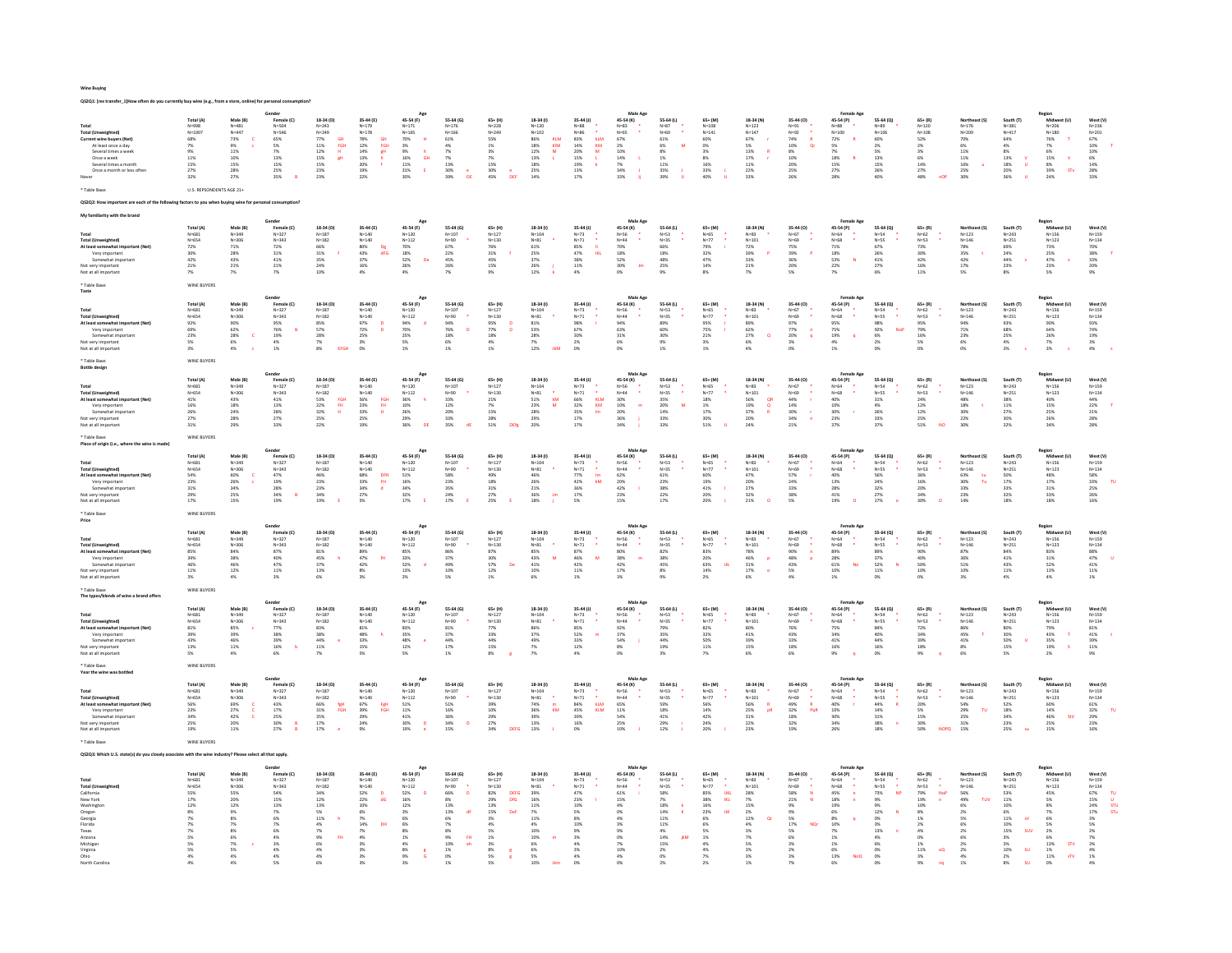| Wine Buving |  |
|-------------|--|

| QS2Q1: [res transfer_1]How often do you currently buy                                                                                                                                        |                                                                                                       |                                                                                                                   |                                                                                                                          |                                                                                                                         |                                                                                                                                             |                                                                                                                                                                                   |                                                                                                                                                                                                                                                   |                                                                                                                                                         |                                                                                                                                                                                                                   |                                                                                                                                                                    |                                                                                                                                                                    |                                                                                                                                                      |                                                                                                                                                              |                                                                                                                                                             |                                                                                                                                   |                                                                                                                                                                                                |                                                                                                                                 |                                                                                                                                                      |                                                                                                                        |                                                                                                                                                                              |                                                                                                                                      |                                                                                                                                   |
|----------------------------------------------------------------------------------------------------------------------------------------------------------------------------------------------|-------------------------------------------------------------------------------------------------------|-------------------------------------------------------------------------------------------------------------------|--------------------------------------------------------------------------------------------------------------------------|-------------------------------------------------------------------------------------------------------------------------|---------------------------------------------------------------------------------------------------------------------------------------------|-----------------------------------------------------------------------------------------------------------------------------------------------------------------------------------|---------------------------------------------------------------------------------------------------------------------------------------------------------------------------------------------------------------------------------------------------|---------------------------------------------------------------------------------------------------------------------------------------------------------|-------------------------------------------------------------------------------------------------------------------------------------------------------------------------------------------------------------------|--------------------------------------------------------------------------------------------------------------------------------------------------------------------|--------------------------------------------------------------------------------------------------------------------------------------------------------------------|------------------------------------------------------------------------------------------------------------------------------------------------------|--------------------------------------------------------------------------------------------------------------------------------------------------------------|-------------------------------------------------------------------------------------------------------------------------------------------------------------|-----------------------------------------------------------------------------------------------------------------------------------|------------------------------------------------------------------------------------------------------------------------------------------------------------------------------------------------|---------------------------------------------------------------------------------------------------------------------------------|------------------------------------------------------------------------------------------------------------------------------------------------------|------------------------------------------------------------------------------------------------------------------------|------------------------------------------------------------------------------------------------------------------------------------------------------------------------------|--------------------------------------------------------------------------------------------------------------------------------------|-----------------------------------------------------------------------------------------------------------------------------------|
| Total<br>Total (Unweighted)<br>Current wine buyers (Net)<br>At least once a day<br>Several times a wee<br>Once a week<br>Several times a month<br>Once a month or less often<br>* Table Rase | Total (A)<br>N=998<br>$N = 1007$<br>68%<br>7%<br>11%<br>15%<br>27%<br>32%<br>U.S. REPSONDENTS AGE 21+ | Male (B)<br>$N = 481$<br>$N = 447$<br><b>73%</b><br>9%<br>$11\%$<br>10%<br>$15\%$<br>28%<br>27%                   | Gender<br>Female (C)<br>N=504<br>$N = 546$<br>65%<br>5%<br>7%<br>13%<br>15%<br>25%<br>35%                                | 18-34 (D)<br>$N = 243$<br>$N = 249$<br>GH<br>FGH<br>77%<br>11%<br>12%<br>$\mathbf{H}$<br>15%<br>gH<br>15%<br>23%<br>23% | 35-44 (E)<br>$N = 179$<br>$N = 178$<br>GH<br>FGH<br>78%<br>12%<br>14%<br>13%<br>20%<br>19%<br>gH<br>22%                                     | Age<br>45-54 (F)<br>$N = 171$<br>$N = 165$<br>70%<br>$\mathbf{H}$<br>$\begin{array}{r} 3\% \\ 9\% \\ 16\% \\ 11\% \\ 31\% \end{array}$<br><b>GH</b><br>$\epsilon$<br>30%          | 55.64 (6)<br>$N = 176$<br>$N = 166$<br>61%<br>4%<br>7%<br>7%<br>$13\%$<br>30%<br>39%                                                                                                                                                              | $65 + (H)$<br>$N = 228$<br>$N = 249$<br>55%<br>1%<br>3%<br>7%<br>$15\%$<br>30%<br>45%<br>DER                                                            | 18-34 (f)<br>$N = 120$<br>$N = 102$<br>86%<br>KLM<br>KIM<br>18%<br>$12\%$<br>M<br>13%<br>×.<br>$\frac{18\%}{25\%}$<br>14%                                                                                         | 35-44 (J)<br>$N = 88$<br>$N = 86$<br>$\begin{array}{r} 83\% \\ 14\% \\ 20\% \\ 15\% \\ 19\% \\ 13\% \end{array}$<br>kLM<br>KM<br>$\overline{\mathbf{M}}$<br>$17\%$ | Male Age<br>45-54 (K)<br>$N=83$<br>$N = 65$<br>67%<br>2%<br>10%<br>$\begin{array}{c} 14\% \\ 7\% \\ 34\% \end{array}$<br>- 11<br>33%                               | 55-64 (L)<br>$N = 87$<br>$N = 60$<br>61%<br>$\overline{M}$<br>6%<br>8%<br>1%<br>$11\%$<br>35%<br>39%                                                 | $65 + (M)$<br>$N = 108$<br>$N = 141$<br>60%<br>0%<br>3%<br>8%<br>16%<br>33%<br>40%                                                                           | 18-34 (N)<br>$N = 123$<br>$N = 147$<br>$67\%$<br>5%<br>$13\%$<br>17%<br>$11\%$<br>22%<br>33%                                                                | 35-44 (0)<br>$N = 91$<br>$N=92$<br>$74\%$<br>$\bar{\mathbf{R}}$<br>10%<br><b>Or</b><br>$8\%$<br>10%<br>$20\%$<br>25%<br>26%       | <b>Female Age</b><br>45-54 (P)<br>N=88<br>$N = 100$<br>72%<br>5%<br>7%<br>18%<br>R<br>15%<br>27%<br>28%                                                                                        | 55-64 (0)<br>$N = 89$<br>$N = 106$<br>60%<br>2%<br>5%<br>13%<br>15%<br>26%<br>$40\%$                                            | $65 + (R)$<br>$N = 120$<br>$N = 108$<br>52%<br>2%<br>3%<br>6%<br>$\frac{14\%}{27\%}$<br>48%<br>nOF                                                   | Northeast (S)<br>$N = 176$<br>$N = 209$<br>70%<br>6%<br>$11\%$<br>11%<br>$\frac{16\%}{25\%}$<br>ú<br>30%               | South (T)<br>$N = 381$<br>$N = 417$<br>$64\%$<br>4%<br>$8\%$<br>13%<br>$\mathbf{v}$<br>18%<br>20%<br>36%<br>$\mathbf{u}$                                                     | Region<br>Midwest (U)<br>$N = 206$<br>$N = 180$<br>76%<br>7%<br>$6\%$<br>15%<br>8%<br>39%<br>24%<br>$\mathbf{v}$<br><b>STV</b>       | West (V)<br>$_{\rm N=236}$<br>$N = 201$<br>67%<br>10%<br>$\begin{array}{l} 10\% \\ 6\% \end{array}$<br>$\frac{14\%}{28\%}$<br>33% |
|                                                                                                                                                                                              | actors to you when buying wine for personal consumption?                                              |                                                                                                                   |                                                                                                                          |                                                                                                                         |                                                                                                                                             |                                                                                                                                                                                   |                                                                                                                                                                                                                                                   |                                                                                                                                                         |                                                                                                                                                                                                                   |                                                                                                                                                                    |                                                                                                                                                                    |                                                                                                                                                      |                                                                                                                                                              |                                                                                                                                                             |                                                                                                                                   |                                                                                                                                                                                                |                                                                                                                                 |                                                                                                                                                      |                                                                                                                        |                                                                                                                                                                              |                                                                                                                                      |                                                                                                                                   |
| rity with the brand                                                                                                                                                                          |                                                                                                       |                                                                                                                   |                                                                                                                          |                                                                                                                         |                                                                                                                                             |                                                                                                                                                                                   |                                                                                                                                                                                                                                                   |                                                                                                                                                         |                                                                                                                                                                                                                   |                                                                                                                                                                    |                                                                                                                                                                    |                                                                                                                                                      |                                                                                                                                                              |                                                                                                                                                             |                                                                                                                                   |                                                                                                                                                                                                |                                                                                                                                 |                                                                                                                                                      |                                                                                                                        |                                                                                                                                                                              |                                                                                                                                      |                                                                                                                                   |
| <b>Total (Unweighted)</b><br>At least somewhat important (Net)<br>Very important<br>Somewhat important<br>Not very important<br>Not at all importan                                          | Total (A)<br>$N = 681$<br>$N = 654$<br>72%<br>30%<br>42%<br>21%<br>7%                                 | Male (B)<br>$N = 349$<br>$N = 306$<br>$71\%$<br>28%<br>43%<br>21%<br>$7\%$                                        | Gender<br>Female (C)<br>$N=327$<br>$N = 343$<br>72%<br>31%<br>41%<br>21%<br>7%                                           | 18-34 (D)<br>$N = 187$<br>$N = 182$<br>66%<br>31%<br>35%<br>24%<br>10%                                                  | 35-44 (E)<br>$N = 140$<br>$N = 140$<br>80%<br>43%<br>Dg<br>dFG<br>37%<br>16%<br>4%                                                          | Ago<br>45-54 (F)<br>$N = 120$<br>$N = 112$<br>70%<br>18%<br>52%<br>De<br>$\frac{26\%}{4\%}$                                                                                       | 55.64 (6)<br>$N = 107$<br>$N = 90$<br>67%<br>$\substack{22\% \\ 45\%}$<br>26%<br>$7\%$                                                                                                                                                            | $65 + (H)$<br>$N = 127$<br>$N = 130$<br>76%<br>31%<br>$45\%$<br>15%<br>9%                                                                               | 18-34 (0)<br>$N = 104$<br>$N = 81$<br>$61\%$<br>25%<br>37%<br>26%<br>$12\%$                                                                                                                                       | 35-44 (J)<br>$N = 73$<br>$N=71$<br>85%<br>$\mathbf{H}$<br>47%<br>IKL<br>$38\%$<br>$11\%$<br>4%                                                                     | Male Age<br>45-54 (K)<br>$N = 56$<br>$N = 44$<br>70%<br>18%<br>52%<br>30%<br>Im<br>0%                                                                              | 55.64 (1)<br>$N = 53$<br>$N = 35$<br>66%<br>18%<br>48%<br>25%<br>9%                                                                                  | 65+ (M)<br>$N=65$<br>$N=77$<br>79%<br>32%<br>47%<br>14%<br>8%                                                                                                | 18-34 (N)<br>N=83<br>$N = 101$<br>$72\%$<br>39%<br>33%<br>21%<br>7%                                                                                         | 35-44 (0)<br>$N=67$<br>$N=69$<br>75%<br>$\overline{P}$<br>39%<br>36%<br>20%<br>5%                                                 | <b>Female Age</b><br>45-54 (P)<br>N=64<br>$N = 68$<br>71%<br>18%<br>53%<br>$\bar{N}$<br>22%<br>$7\%$                                                                                           | 55-64 (0)<br>$N = 54$<br>$N = 55$<br>67%<br>$\substack{26\% \\ 41\%}$<br>27%<br>6%                                              | 65+ (R)<br>N=62<br>N=53<br>73%<br>30%<br>42%<br>16%<br>$11\%$                                                                                        | Northeast (S)<br>$N = 123$<br>$N = 146$<br>$78\%$<br>35%<br>42%<br>17%<br>5%                                           | South (T)<br>$N = 243$<br>$N = 251$<br>69%<br>24%<br>44%<br>23%<br>$8\%$                                                                                                     | Region<br>Midwest (U)<br>N=156<br>$N = 123$<br>73%<br>25%<br>$47\%$<br>23%<br>5%                                                     | West (V)<br>N=159<br>$N = 134$<br>70%<br>38%<br>33%<br>20%<br>9%                                                                  |
| * Table Base<br>Taste                                                                                                                                                                        | WINE BUYER!                                                                                           |                                                                                                                   |                                                                                                                          |                                                                                                                         |                                                                                                                                             |                                                                                                                                                                                   |                                                                                                                                                                                                                                                   |                                                                                                                                                         |                                                                                                                                                                                                                   |                                                                                                                                                                    |                                                                                                                                                                    |                                                                                                                                                      |                                                                                                                                                              |                                                                                                                                                             |                                                                                                                                   |                                                                                                                                                                                                |                                                                                                                                 |                                                                                                                                                      |                                                                                                                        |                                                                                                                                                                              |                                                                                                                                      |                                                                                                                                   |
| Total<br><b>Total (Unweighted)</b><br>At least somewhat im<br>Very important<br>Somewhat important<br>lot very important<br>Not at all important<br>* Table Base                             | Total (A)<br>$N = 681$<br>$N = 654$<br>$92\%$<br>69%<br>23%<br>5%<br>3%<br>WINE BUYERS                | Male (B)<br>$N = 349$<br>$N = 306$<br>90%<br>62%<br>28%<br>6%<br>$\mathbf c$<br>4%                                | Gender<br>Female (C)<br>$N = 327$<br>$N = 343$<br>95%<br>76%<br>$\overline{B}$<br>$\frac{19\%}{4\%}$<br>1%               | 18-34 (D)<br>$N = 187$<br>$N = 182$<br>85%<br>57%<br>28%<br>7%<br>$8\%$<br>EFGH                                         | 35-44 (E)<br>$\texttt{N=140}$<br>$N = 140$<br>97%<br>72%<br>$\overline{D}$<br>25%<br>3%<br>0%                                               | Age<br>45-54 (F)<br>$N = 120$<br>$N = 112$<br>94%<br>70%<br>$\mathbf d$<br>25%<br>5%<br>1%                                                                                        | 55-64 (G)<br>$N = 107$<br>$N = 90$<br>94%<br>76%<br>$\overline{D}$<br>$\begin{array}{l} 18\% \\ 6\% \end{array}$<br>$1\%$                                                                                                                         | $65 + (H)$<br>$N = 127$<br>$N = 130$<br>95%<br>77%<br>$\overline{\phantom{a}}^{\rm D}$<br>$\frac{18\%}{4\%}$<br>1%                                      | $18-34(1)$<br>$N=104$<br>$N=81$<br>$\begin{array}{l} 81\% \\ 53\% \end{array}$<br>28%<br>7%<br>12%<br><b>IkM</b>                                                                                                  | $35-44$ (J)<br>$N=73$<br>$N=71$<br>98%<br>67%<br>30%<br>2%<br>O%                                                                                                   | Male Ago<br>45-54 (K)<br>$N = 56$<br>$N = 44$<br>94%<br>63%<br>$\frac{31\%}{6\%}$<br>0%                                                                            | 55-64 (L)<br>N=53<br>N=35<br>89%<br>60%<br>30%<br>9%<br>$1\%$                                                                                        | $65 + (M)$<br>$N = 65$<br>$N = 77$<br>95%<br>75%<br>$\mathbf{I}$<br>$\frac{21\%}{3\%}$<br>1%                                                                 | 18-34 (N)<br>$N=83$<br>$N = 101$<br>89%<br>62%<br>$\substack{27\% \\ 6\%}$<br>$\mathbf{Q}$<br>4%                                                            | 35-44 (0)<br>$N=67$<br>$N=69$<br>97%<br>77%<br>$\blacksquare$<br>$\frac{20\%}{3\%}$<br>$\mathbf{q}$<br>0%                         | Female Age<br>45-54 (P)<br>$N = 64$<br>$N = 68$<br>95%<br>75%<br>19%<br>4%<br>$\overline{\mathbf{q}}$<br>$1\%$                                                                                 | 55-64 (Q)<br>$N=54$<br>N=55<br>98%<br>92%<br>NoP<br>$^{6\%}_{2\%}$<br>O%                                                        | $65 + (R)$<br>$N=62$<br>$N=53$<br>95%<br>95%<br>79%<br>16%<br>0%                                                                                     | Northeast (S)<br>$N = 123$<br>$N = 146$<br>94%<br>71%<br>23%<br>6%<br>0%                                               | South (T)<br>$N=243$<br>$N=251$<br>93%<br>68%<br>25%<br>4%<br>3%                                                                                                             | Region<br>Midwest (U)<br>$N = 156$<br>$N = 123$<br>90%<br>64%<br>$\frac{26\%}{7\%}$<br>$3\%$                                         | West (V)<br>$N=159$<br>$N=134$<br>93%<br>74%<br>$\begin{array}{c} 19\% \\ 3\% \\ 4\% \end{array}$                                 |
| <b>Bottle design</b>                                                                                                                                                                         |                                                                                                       |                                                                                                                   | Gender                                                                                                                   |                                                                                                                         |                                                                                                                                             |                                                                                                                                                                                   |                                                                                                                                                                                                                                                   |                                                                                                                                                         |                                                                                                                                                                                                                   |                                                                                                                                                                    |                                                                                                                                                                    |                                                                                                                                                      |                                                                                                                                                              |                                                                                                                                                             |                                                                                                                                   | Female Age                                                                                                                                                                                     |                                                                                                                                 |                                                                                                                                                      |                                                                                                                        |                                                                                                                                                                              |                                                                                                                                      |                                                                                                                                   |
| Total<br><b>Total (Unweighted)</b><br>At least somewhat important (Net)<br>Very important<br>Somewhat important<br>Not very important<br>Not at all important                                | Total (A)<br>$N = 681$<br>N=654<br>41%<br>16%<br>26%<br>$27\%$<br>31%                                 | Male (B)<br>$N = 349$<br>$N = 306$<br>43%<br>$18\%$<br>24%<br><b>28%</b><br>29%                                   | Female (C)<br>$N = 327$<br>$N = 343$<br>41%<br>$13\%$<br>28%<br>$27\%$<br>33%                                            | 18-34 (D)<br>$N = 187$<br>$N = 182$<br>FGH<br>53%<br>22%<br>32%<br>$\mathbf{f}\mathbf{H}$<br>H<br>$25\%$<br>22%         | 35-44 (E)<br>$N=140$<br>$N=140$<br>56%<br>23%<br>33%<br>FGH<br>FH<br>H<br>25%<br>19%                                                        | Age<br>45-54 (F)<br>$N=120$<br>$N=112$<br>36%<br>10%<br>26%<br>h.<br>29%<br>36%<br>DE                                                                                             | 55-64 (G)<br>$N = 107$<br>$N = 90$<br>33%<br>$\begin{array}{l} 12\% \\ 20\% \end{array}$<br><b>33%</b><br>35%<br>dE                                                                                                                               | $65 + (H)$<br>$N = 127$<br>$N = 130$<br>21%<br>7%<br>15%<br>$\begin{array}{l} 28\% \\ 51\% \end{array}$<br>DEfg                                         | 18-34 (1)<br>$N = 104$<br>$N = 81$<br>51%<br>kM<br>23%<br>28%<br>$\mathsf{M}$<br>29%<br>20%                                                                                                                       | 35-44 (J)<br>N=73<br>N=73<br>N=71<br>66%<br>32%<br>35%<br>÷<br>KLM<br>$\mathsf{K}\mathsf{M}$<br>Im<br>$\begin{array}{l} 17\% \\ 17\% \end{array}$                  | Male Age<br>45-54 (K)<br>¢<br>N=56<br>N=44<br>30%<br>10%<br>20%<br>$\,$ m $\,$<br>36%<br>34%                                                                       | 55-64 (L)<br>N=53<br>N=35<br>35%<br>20%<br>14%<br>$\overline{M}$<br>33%<br>33%                                                                       | $65+ (M)$<br>$N=65$<br>$N=77$<br>$\begin{array}{r} 18\% \\ 1\% \\ 17\% \end{array}$<br>$30\%$<br>51%                                                         | 18-34 (N)<br>N=83<br>N=101<br>QR<br>56%<br>19%<br>37%<br>$\mathbf{Q}$<br>20%<br>24%                                                                         | 35-44 (O)<br>N=67<br>N=69<br>44%<br>$\mathbf{r}$<br>14%<br>30%<br>$\mathbf{r}$<br>$34\%$<br>21%                                   | 45-54 (P)<br>N=64<br>N=68<br>40%<br>10%<br>10%<br>23%<br>37%                                                                                                                                   | 55-64 (Q)<br>$N = 54$<br>$N = 55$<br>$31%$<br>$\frac{4\%}{26\%}$<br>$33\%$<br>37%                                               | $65 + (R)$<br>N=62<br>N=53<br>24%<br>$12\%$ 12%<br>25%<br><b>NO</b><br>51%                                                                           | Northeast (S)<br>$N=123$<br>$N=146$<br>48%<br>18%<br>30%<br>$22\%$<br>30%                                              | South (T)<br>$N = 243$<br>$N = 251$<br>38%<br>$11\%$<br>27%<br>$30\%$<br>32%                                                                                                 | Region<br>Midwest (U)<br>$N = 156$<br>$N = 123$<br>40%<br>$15\%$<br>25%<br>$26\%$<br>34%                                             | West (V)<br>$N = 159$<br>$N = 134$<br>44%<br>$\begin{array}{l} 22\% \\ 21\% \end{array}$<br><b>28%</b><br>28%                     |
| * Table Base<br>Place of origin (i.e., where the wine is made                                                                                                                                | WINE BUYERS                                                                                           |                                                                                                                   |                                                                                                                          |                                                                                                                         |                                                                                                                                             |                                                                                                                                                                                   |                                                                                                                                                                                                                                                   |                                                                                                                                                         |                                                                                                                                                                                                                   |                                                                                                                                                                    |                                                                                                                                                                    |                                                                                                                                                      |                                                                                                                                                              |                                                                                                                                                             |                                                                                                                                   |                                                                                                                                                                                                |                                                                                                                                 |                                                                                                                                                      |                                                                                                                        |                                                                                                                                                                              |                                                                                                                                      |                                                                                                                                   |
| <b>Total (Unweighted)</b><br>At least somewhat important (Net)<br>Very important<br>Somewhat important<br>Not very important<br>Not at all importar                                          | Total (A)<br>N=681<br>$N = 654$<br>$54\%$<br>23%<br>$31\%$<br>29%<br>17%                              | Male (B)<br>$N = 349$<br>$N = 306$<br>$60%$<br>$26%$<br>$34%$<br>25%<br>15%                                       | Gender<br>Female (C)<br>$N = 327$<br>$N = 343$<br>$47\%$<br>$19\%$<br>$28\%$<br>34%<br>19%<br>$\overline{B}$             | 18-34 (D)<br>$N = 187$<br>$N = 182$<br>46%<br>23%<br>23%<br>34%<br>19%                                                  | 35-44 (E)<br>$N = 140$<br>$N = 140$<br>68%<br>68%<br>33%<br>34%<br>27%<br>5%<br>DFH<br>$\frac{\text{FH}}{\text{d}}$                         | Ago<br>45-54 (F)<br>$N = 120$<br>$N = 112$<br>$51\%$<br>$16\%$<br>$34\%$<br>$\begin{array}{l} 32\% \\ 17\% \end{array}$                                                           | 55-64 (G)<br>$N = 107$<br>$N = 90$<br>58%<br>23%<br>35%<br>$\substack{24\% \\ 17\%}$                                                                                                                                                              | $65 + (H)$<br>$N = 127$<br>$N = 130$<br>49%<br>18%<br>$31\%$<br>27%<br>25%                                                                              | 18-34 (1)<br>$N = 104$<br>$N=81$<br>$\frac{46\%}{26\%}$<br>$21\%$<br>36%<br>18%<br>$\mathop{\text{Im}}$                                                                                                           | $35-44$ (J)<br>$N=73$<br>$\lambda$<br>$N=71$<br>$77\%$<br>$\mathop{\text{Im}}$<br>kM<br>42%<br>$36\%$<br>$\frac{17\%}{5\%}$                                        | Male Age<br>45-54 (K)<br>$N = 56$<br>$N = 44$<br>62%<br>$\begin{array}{l} 20\% \\ 42\% \end{array}$<br>$\mathbf{u}$<br>$\begin{array}{l} 23\% \\ 15\% \end{array}$ | 55-64 (L)<br>$N = 53$<br>$N = 35$<br>61%<br>23%<br>38%<br>$\frac{22\%}{17\%}$                                                                        | $65 + (M)$<br>$N=65$<br>×<br>$N=77$<br>60%<br>19%<br>41%<br>$\mathbf{1}$<br>20%<br>20%                                                                       | 18-34 (N)<br>$N=83$<br>$N = 101$<br>$47\%$<br>20%<br>27%<br>32%<br>21%                                                                                      | 35-44 (0)<br>$N = 67$<br>N=69<br>57%<br>24%<br>$33\%$<br>38%<br>$5\%$                                                             | Female Ag<br>45-54 (P)<br>$N = 64$<br>$N=68$<br>40%<br>13%<br>13%<br>41%<br>19%<br>$\circ$                                                                                                     | 55-64 (Q)<br>$N = 54$<br>$N = 55$<br>$56\%$<br>$\frac{24\%}{32\%}$<br>$\substack{27\% \\ 17\%}$                                 | $65 + (R)$<br>$N = 62$<br>$N = 53$<br>36%<br>16%<br>20%<br>34%<br>30%                                                                                | Northeast (S)<br>$N = 123$<br>$N = 146$<br>63%<br>tu<br>30%<br>33%<br>Tu<br>$\frac{23\%}{14\%}$                        | South (T)<br>$N = 243$<br>$N = 251$<br>$\frac{50\%}{17\%}$<br>33%<br>$\substack{32\% \\ 18\%}$                                                                               | Region<br>Midwest (U)<br>$N = 156$<br>$N = 123$<br>$48\%$<br>17%<br>$31\%$<br>33%<br>18%                                             | West (V)<br>$N = 159$<br>$N = 134$<br>58%<br>33%<br>25%<br>$\mathbf{u}$<br>26%<br>16%                                             |
| * Table Base                                                                                                                                                                                 | WINE BUYERS                                                                                           |                                                                                                                   |                                                                                                                          |                                                                                                                         |                                                                                                                                             |                                                                                                                                                                                   |                                                                                                                                                                                                                                                   |                                                                                                                                                         |                                                                                                                                                                                                                   |                                                                                                                                                                    |                                                                                                                                                                    |                                                                                                                                                      |                                                                                                                                                              |                                                                                                                                                             |                                                                                                                                   |                                                                                                                                                                                                |                                                                                                                                 |                                                                                                                                                      |                                                                                                                        |                                                                                                                                                                              |                                                                                                                                      |                                                                                                                                   |
| Price<br>Total<br><b>Total (Unweighted)</b><br>At least somewhat important (Net)<br>Very important<br>Somewhat important<br>Not very important<br>Not at all important                       | Total (A)<br>N=681<br>N=654<br>85%<br>39%<br>46%<br>$11\%$<br>3%                                      | Male (B)<br>$N = 349$<br>$N = 306$<br>84%<br>38%<br>46%<br>$12\%$<br>$4\%$                                        | Gende<br>Female (C)<br>$N = 327$<br>$N = 343$<br>87%<br>40%<br>47%<br>$11\%$<br>$3\%$                                    | 18-34 (D)<br>$N = 187$<br>$N = 182$<br>$\frac{81\%}{45\%}$<br>$\begin{array}{l} 37\% \\ 13\% \end{array}$<br>$6\%$      | 35-44 (E)<br>$N = 140$<br>$N = 140$<br>89%<br>47%<br>$\substack{42\% \\ 8\%}$<br>3%                                                         | 45-54 (F)<br>$N = 120$<br>$N = 112$<br>85%<br>33%<br>$52\%$ 13%<br>$\mathbf d$<br>$2\%$                                                                                           | 55-64 (G)<br>$N = 107$<br>$N = 90$<br>86%<br>37%<br>$^{49\%}_{10\%}$<br>5%                                                                                                                                                                        | $65+ (H)$<br>$N = 127$<br>$N = 130$<br>87%<br>87%<br>30%<br>57%<br>12%<br>De<br>1%                                                                      | 18-34 (1)<br>$N=104$<br>$N=81$<br>85%<br>43%<br>M<br>$\begin{array}{l} 41\% \\ 10\% \end{array}$<br>$6\%$                                                                                                         | $35-44$ (J)<br>$N=73$<br>$N=71$<br>$\frac{87\%}{46\%}$<br>$^{42\%}_{11\%}$<br>1%                                                                                   | Male Ago<br>45-54 (K)<br>$N=56$<br>$N=44$<br>$80%$<br>$38%$<br>$\,$ m $\,$<br>$\frac{42\%}{17\%}$<br>2%                                                            | 55-64 (L)<br>$N = 53$<br>$N = 35$<br>82%<br>38%<br>45%<br>8%<br>9%                                                                                   | $65+ (M)$<br>$N=65$<br>$N=77$<br>83%<br>20%<br>63%<br>14%<br><b>Uk</b><br>2%                                                                                 | 18-34 (N)<br>N=83<br>$N = 101$<br>78%<br>46%<br>$\mathbf{p}$<br>$\frac{31\%}{17\%}$<br>$\bullet$<br>6%                                                      | 35-44 (0)<br>N=67<br>N=69<br>90%<br>48%<br>$\frac{\mathsf{n}}{\mathsf{p}}$<br>$\frac{43\%}{5\%}$<br>4%                            | Female Age<br>45-54 (P)<br>N=64<br>N=68<br>89%<br>28%<br>61%<br>10%<br>No<br>$1\%$                                                                                                             | 55-64 (Q)<br>$N = 54$<br>$N = 55$<br>89%<br>37%<br>$52\%$ 11%<br>$\sim$<br>0%                                                   | $65 + (R)$<br>N=62<br>N=53<br>90%<br>40%<br>50%<br>10%<br>0%                                                                                         | Northeast (S)<br>$N = 123$<br>$N = 146$<br>87%<br>36%<br>$51\%$ 10%<br>$3\%$                                           | South (T)<br>$N=243$<br>$N = 251$<br>84%<br>$41\%$<br>$^{43\%}_{11\%}$<br>$4\%$                                                                                              | Region<br>Midwest (U)<br>$N = 156$<br>$N = 123$<br>$\begin{array}{c} 83\% \\ 31\% \end{array}$<br>$\frac{52\%}{13\%}$<br>4%          | West (V)<br>$N=159$<br>$N = 134$<br>88%<br>47%<br>$^{41\%}_{11\%}$<br>1%                                                          |
| * Table Rase<br>The types/blends of wine a brand offer                                                                                                                                       | WINE BUYERS                                                                                           |                                                                                                                   |                                                                                                                          |                                                                                                                         |                                                                                                                                             |                                                                                                                                                                                   |                                                                                                                                                                                                                                                   |                                                                                                                                                         |                                                                                                                                                                                                                   |                                                                                                                                                                    |                                                                                                                                                                    |                                                                                                                                                      |                                                                                                                                                              |                                                                                                                                                             |                                                                                                                                   |                                                                                                                                                                                                |                                                                                                                                 |                                                                                                                                                      |                                                                                                                        |                                                                                                                                                                              |                                                                                                                                      |                                                                                                                                   |
| Total<br><b>Total (Unweighted)</b><br>At least somewhat important (Net)<br>Very important<br>Somewhat important<br>very importan<br>Not at all important<br>* Table Base                     | Total (A)<br>$N = 681$<br>N=654<br>81%<br>39%<br>43%<br>13%<br>5%<br>WINE BUYERS                      | Male (B)<br>$N = 349$<br>$N = 306$<br>85%<br>39%<br>46%<br>$11\%$<br>4%                                           | Gender<br>Female (C)<br>$N = 327$<br>$N = 343$<br>77%<br>38%<br>39%<br>16%<br>$\overline{b}$<br>6%                       | 18-34 (D)<br>$N = 187$<br>$N = 182$<br>83%<br>38%<br>44%<br>$^{\circ}$<br>$11\%$<br>7%                                  | 35-44 (E)<br>$N = 140$<br>$N = 140$<br>81%<br>48%<br>33%<br>15%<br>5%                                                                       | Ago<br>45-54 (F)<br>$N = 120$<br>$N = 112$<br>83%<br>35%<br>48%<br>12%<br>$\epsilon$<br>5%                                                                                        | 55-64 (G)<br>$N = 107$<br>$N = 90$<br>81%<br>$37\%$<br>44%<br>$17\%$<br>1%                                                                                                                                                                        | $65+ (H)$<br>$N = 127$<br>$N = 130$<br>77%<br>$33\%$<br>44%<br>$15\%$<br>8%                                                                             | 18-34 (1)<br>$N = 104$<br>$N=81$<br>86%<br>37%<br>49%<br>7%<br>7%                                                                                                                                                 | 35-44 (J)<br>$N=73$<br>$\mathsf{N}{=}71$<br>$\lambda$<br>85%<br>$52\%$<br>33%<br>$12\%$<br>4%                                                                      | Male Age<br>45-54 (K)<br>$N = 56$<br>$N = 44$<br>92%<br>37%<br>54%<br>- 11<br>$8\%$<br>0%                                                                          | 55-64 (L)<br>$N = 53$<br>$N = 35$<br>79%<br>35%<br>44%<br>19%<br>3%                                                                                  | $65+ (M)$<br>$N = 65$<br>$N=77$<br>82%<br>$32\%$<br>50%<br>$11\%$<br>7%                                                                                      | 18-34 (N)<br>$N=83$<br>$N = 101$<br>80%<br>41%<br>39%<br>15%<br>6%                                                                                          | 35-44 (0)<br>$N = 67$<br>N=69<br>76%<br>$43\%$<br>33%<br>$18\%$<br>6%                                                             | Female Age<br>45-54 (P)<br>$N = 64$<br>$N = 68$<br>75%<br>$\begin{array}{l} 34\% \\ 41\% \end{array}$<br>16%<br>9%<br>$\overline{a}$                                                           | 55-64 (Q)<br>$N = 54$<br>$N = 55$<br>84%<br>$40\%$<br>44%<br>$16\%$<br>$0\%$                                                    | $65 + (R)$<br>$N = 62$<br>$N = 53$<br>$\sim$<br>72%<br>34%<br>39%<br>18%<br>9%                                                                       | Northeast (S)<br>$N = 123$<br>$N = 146$<br>86%<br>45%<br>41%<br>8%<br>6%                                               | South (T)<br>$N = 243$<br>$N = 251$<br>80%<br>30%<br>50%<br><b>U</b><br>$15\%$<br>5%                                                                                         | Region<br>Midwest (U)<br>$N = 156$<br>$N = 123$<br>79%<br>43%<br>$\mathbf{r}$<br>$\frac{35\%}{19\%}$<br>-s.<br>2%                    | West $(V)$<br>$N = 159$<br>$N = 134$<br>81%<br>$41\%$<br>$\frac{39\%}{11\%}$<br>9%                                                |
| Year the wine was bottled                                                                                                                                                                    |                                                                                                       |                                                                                                                   | Gender                                                                                                                   |                                                                                                                         |                                                                                                                                             | Age                                                                                                                                                                               |                                                                                                                                                                                                                                                   |                                                                                                                                                         |                                                                                                                                                                                                                   |                                                                                                                                                                    | Male Age                                                                                                                                                           |                                                                                                                                                      |                                                                                                                                                              |                                                                                                                                                             |                                                                                                                                   | <b>Female Age</b>                                                                                                                                                                              |                                                                                                                                 |                                                                                                                                                      |                                                                                                                        |                                                                                                                                                                              |                                                                                                                                      |                                                                                                                                   |
| <b>Total (Unweighted)</b><br>At least somewhat important (Net)<br>Very important<br>Somewhat important<br>Not very important<br>lot at all importan                                          | Total (A)<br>$N = 681$<br>$N = 654$<br>56%<br>23%<br>34%<br>25%<br>19%                                | Male (B)<br>$N = 349$<br>$N = 306$<br>69%<br>27%<br>$42\%$<br>20%<br>$11\%$                                       | Female (C)<br>$N=327$<br>$N = 343$<br>$\frac{43\%}{17\%}$<br>25%<br>30%<br>B<br>27%                                      | 18-34 (D)<br>$N = 187$<br>$N = 182$<br>66%<br>31%<br>$\frac{fgH}{FGH}$<br>35%<br>17%<br>17%                             | 35-44 (E)<br>$N = 140$<br>$N = 140$<br>67%<br>39%<br>29%<br>24%<br>F <sub>RH</sub><br>FGH<br>$9\%$                                          | 45-54 (F)<br>$N = 120$<br>$N = 112$<br>$\frac{51\%}{11\%}$<br>$41\%$<br>$\mathbf{D}$<br>30%<br>19%                                                                                | 55-64 (G)<br>$N = 107$<br>$N = 90$<br>$51\%$<br>16%<br>36%<br>34%<br>$\overline{D}$<br>15%                                                                                                                                                        | $65 + (H)$<br>$N = 127$<br>$N = 130$<br>39%<br>10%<br>29%<br>27%<br>34%<br>DEFG                                                                         | 18-34 (f)<br>$N = 104$<br>$N=81$<br>74%<br>36%<br>$\bullet$<br>$\frac{m}{KM}$<br>$39\%$<br>$13\%$<br>13%                                                                                                          | 35-44 (J)<br>$N=73$<br>$\lambda$<br>N=71<br>84%<br>45%<br>39%<br>klm<br>Klm<br>16%<br>$\alpha$                                                                     | 45-54 (K)<br>$A = 56$<br>$N = 44$<br>$65%$<br>$11%$<br>54%<br>25%<br>10%                                                                                           | 55-64 (L)<br>$N = 53$<br>$N = 35$<br>59%<br>18%<br>41%<br>29%<br>12%                                                                                 | $65 + (M)$<br>$N=65$<br>$N=77$<br>$56%$<br>$14%$<br>42%<br>24%<br>20%                                                                                        | 18-34 (N)<br>$N=83$<br>$N = 101$<br>56%<br>25%<br><b>DR</b><br>$31\%$<br>22%<br>23%                                                                         | 35-44 (0)<br>$N = 67$<br>$\cdot$<br>N=69<br>49%<br>32%<br>$\hat{\mathbf{R}}$<br>PaR<br>18%<br>32%<br>19%                          | 45-54 (P)<br>N=64<br>N=68<br>40%<br>10%<br><b>In</b><br>30%<br>34%<br>26%                                                                                                                      | 55-64 (Q)<br>$N = 54$<br>$N = 55$<br>$44%$<br>$14%$<br>$\mathbf R$<br>$31\%$<br>38%<br>$\blacksquare$<br>18%                    | $65 + (R)$<br>03+ (K)<br>N=62<br>N=53<br>20%<br>5%<br>15%<br>30%<br>50%<br><b>NOPC</b>                                                               | Northeast (S)<br>$N = 123$<br>$N = 146$<br>54%<br>29%<br>25%<br>31%<br>TU.<br>15%                                      | South (T)<br>$N = 243$<br>$N = 251$<br>52%<br>18%<br>$34\%$<br>23%<br>25%                                                                                                    | Region<br>Midwest (U)<br>$N = 156$<br>$N = 123$<br>$\frac{60\%}{14\%}$<br>$46\%$<br>StV<br>25%<br>15%                                | West (V)<br>$N = 159$<br>$N = 134$<br>61%<br>$\mathbf{u}$<br>32%<br>$\frac{29\%}{23\%}$<br>16%                                    |
|                                                                                                                                                                                              | WINE BUYERS                                                                                           |                                                                                                                   |                                                                                                                          |                                                                                                                         |                                                                                                                                             |                                                                                                                                                                                   |                                                                                                                                                                                                                                                   |                                                                                                                                                         |                                                                                                                                                                                                                   |                                                                                                                                                                    |                                                                                                                                                                    |                                                                                                                                                      |                                                                                                                                                              |                                                                                                                                                             |                                                                                                                                   |                                                                                                                                                                                                |                                                                                                                                 |                                                                                                                                                      |                                                                                                                        |                                                                                                                                                                              |                                                                                                                                      |                                                                                                                                   |
|                                                                                                                                                                                              | e with the wine industry? Please seles                                                                |                                                                                                                   |                                                                                                                          |                                                                                                                         |                                                                                                                                             |                                                                                                                                                                                   |                                                                                                                                                                                                                                                   |                                                                                                                                                         |                                                                                                                                                                                                                   |                                                                                                                                                                    |                                                                                                                                                                    |                                                                                                                                                      |                                                                                                                                                              |                                                                                                                                                             |                                                                                                                                   |                                                                                                                                                                                                |                                                                                                                                 |                                                                                                                                                      |                                                                                                                        |                                                                                                                                                                              |                                                                                                                                      |                                                                                                                                   |
| Total<br><b>Total (Unweighted)</b><br>California<br>New York<br>Washington<br>Oregon<br>Georgia<br>Florida<br>Texas<br>Arizona<br>Michigan<br>Virginia                                       | Total (A)<br>N=681<br>$N = 654$<br>55%<br>17%<br>12%<br>8%<br>7%<br>7%<br>7%<br>5%<br>5%<br>5%        | Male (B)<br>$N = 349$<br>$N = 306$<br><b>SS%</b><br>20%<br>$12\%$<br>9%<br>8%<br>$7\%$<br>8%<br>6%<br>$7\%$<br>5% | Female (C)<br>$N = 327$<br>$N = 343$<br>54%<br>15%<br>$13\%$<br>7%<br>$\frac{6\%}{7\%}$<br>6%<br>4%<br>$\frac{3\%}{4\%}$ | 18-34 (D)<br>$N = 187$<br>$N = 182$<br>34%<br>12%<br>13%<br>5%<br>11%<br>4%<br>7%<br>9%<br><b>FH</b><br>6%<br>4%        | 35-44 (E)<br>$N=140$<br>$N=140$<br>52%<br>22%<br>$\mathbf{D}$<br>dG<br>10%<br>6%<br>7%<br>14%<br><b>DH</b><br>$\frac{7\%}{4\%}$<br>3%<br>3% | 45-54 (F)<br>$N = 120$<br>$N = 112$<br>$52\%$ 16%<br>$\mathbf{D}$<br>$\frac{12\%}{3\%}$<br>$\frac{6\%}{6\%}$<br>$\begin{array}{l} 8\% \\ 1\% \end{array}$<br>4%<br>8%<br>9%<br>3% | 55-64 (G)<br>$N = 107$<br>$N = 90$<br>$66\%$<br>$\overline{D}$<br>$8\%$<br>$\begin{array}{c} 13\% \\ 13\% \end{array}$<br>dF<br>$\frac{6\%}{7\%}$<br>$\begin{array}{r} 8\% \\ 9\% \\ 10\% \\ 1\% \\ 0\% \\ 1\% \end{array}$<br>$\mathbf{H}$<br>ch | $65 + (H)$<br>$N = 127$<br>$N = 130$<br>82%<br>29%<br>13%<br>15%<br>DEFG<br><b>DfG</b><br>DeF<br>3%<br>4%<br>5%<br>1%<br>3%<br>8%<br>5%<br>5%<br>$\,$ s | $18-34(1)$<br>$N = 104$<br>$N = 81$<br>$\frac{39\%}{16\%}$<br>$\begin{array}{r} 11\% \\ 7\% \\ 11\% \end{array}$<br>$4\%$<br>$\!\! \begin{array}{c} \! \! 10\% \\  \! \! 10\% \! \end{array} \!\!$<br>6%<br>$6\%$ | 35-44 (J)<br>$N=73$<br>$N=71$<br>$\begin{array}{l} 47\% \\ 23\% \end{array}$<br>$10\%$<br>5%<br>$8\%$<br>$10\%$<br>9%<br>3%<br>$\frac{4\%}{3\%}$                   | Male Ag<br>45-54 (K)<br>N=56<br>N=44<br>61%<br>15%<br>$4\%$<br>$\frac{0\%}{4\%}$<br>3%<br>9%<br>0%<br>7%<br>10%                                                    | 55-64 (L)<br>$N=53$<br>$N = 35$<br>58%<br>7%<br>$\begin{array}{c} 18\% \\ 14\% \\ 11\% \end{array}$<br>$11\%$<br>$4\%$<br>$\frac{14\%}{15\%}$<br>jkN | $65 + (M)$<br>$N=65$<br>$N=77$<br>85%<br>85%<br>38%<br>16%<br>23%<br>ike<br>1<br>$\overline{\rm u}$<br>$\frac{6\%}{6\%}$<br>$5\%$<br>1%<br>$\frac{4\%}{4\%}$ | 18-34 (N)<br>$N = 83$<br>$N = 101$<br>$\frac{28\%}{7\%}$<br>15%<br>$\frac{2\%}{12\%}$<br><b>Or</b><br>$4\%$<br>$3\%$<br>$\overline{7}$<br>$\frac{5\%}{3\%}$ | 35-44 (0)<br>N=67<br>N=69<br>58%<br>21%<br>$\mathbf{N}$<br>$\mathbf N$<br>9%<br>9%<br>5%<br>17%<br>NQr<br>5%<br>6%<br>3%<br>$2\%$ | Female Ag<br>$45 - 54 (P)$<br>N=64<br>N=68<br>45%<br>18%<br>$\overline{a}$<br>$\overline{a}$<br>19%<br>6%<br>$\begin{array}{l} 8\% \\ 10\% \end{array}$<br>$\alpha$<br>7%<br>1%<br>1%<br>$6\%$ | 55-64 (Q)<br>$N = 54$<br>$N = 55$<br>73%<br>9%<br>9%<br>12%<br><b>NP</b><br>$\frac{0\%}{3\%}$<br>$\substack{13\% \\ 4\%}$<br>6% | $65 + (R)$<br>$N=62$<br>$N=53$<br>79%<br>19%<br>NoP<br>$\mathbf{R}$<br>10%<br>8%<br>$1\%$<br>$2\%$<br>4%<br>0%<br>1%<br>$11\%$<br>$\circ \mathbf{Q}$ | Northeast (S)<br>$N = 123$<br>$N = 1.46$<br>56%<br>49%<br>TUV<br>$6\%$<br>$2\%$<br>S%<br>6%<br>$2\%$ 6%<br>2%<br>$2\%$ | South (T)<br>$N = 243$<br>$N = 251$<br>$53\%$ 11%<br>$\begin{array}{l} 10\% \\ 6\% \end{array}$<br>11%<br>10%<br>15%<br>3%<br><b>SUV</b><br>$\frac{3\%}{10\%}$<br>${\sf SU}$ | Region<br>Midwest (U)<br>$N = 156$<br>$N = 123$<br>45%<br>5%<br>$8\%$<br>7%<br>$6\%$<br>$5\%$<br>$2\%$<br>$6\%$<br>13%<br><b>STV</b> | West (V)<br>$N=159$<br>$N=134$<br>67%<br>TU<br>U<br>STU<br>STu<br>15%<br>$\frac{24\%}{17\%}$<br>3%<br>5%<br>$2\%$<br>$7%$<br>3%   |
| Ohio<br>North Carolina                                                                                                                                                                       | 4%                                                                                                    | $4\%$<br>4%                                                                                                       | 4%<br>5%                                                                                                                 | 4%<br>6%                                                                                                                | 3%<br>3%                                                                                                                                    | G                                                                                                                                                                                 |                                                                                                                                                                                                                                                   | $\mathbf{g}$                                                                                                                                            | $5\%$ 10%                                                                                                                                                                                                         | $\frac{4\%}{0\%}$                                                                                                                                                  | 4%<br>0%                                                                                                                                                           | $2%$<br>$0%$<br>$2%$                                                                                                                                 | $\frac{7\%}{2\%}$                                                                                                                                            | 3%<br>1%                                                                                                                                                    | 3%                                                                                                                                | 13%<br><b>NoQ</b><br>$6\%$                                                                                                                                                                     | 0%<br>0%<br>0%                                                                                                                  | 3%<br>9%<br>nq                                                                                                                                       | $\begin{array}{c} 4\% \\ 1\% \end{array}$                                                                              | $\frac{2\%}{8\%}$<br>su                                                                                                                                                      | $\begin{array}{r} 1\% \\ 11\% \\ 0\% \end{array}$<br>stv                                                                             | $4\%$<br>$1\%$<br>$4\%$                                                                                                           |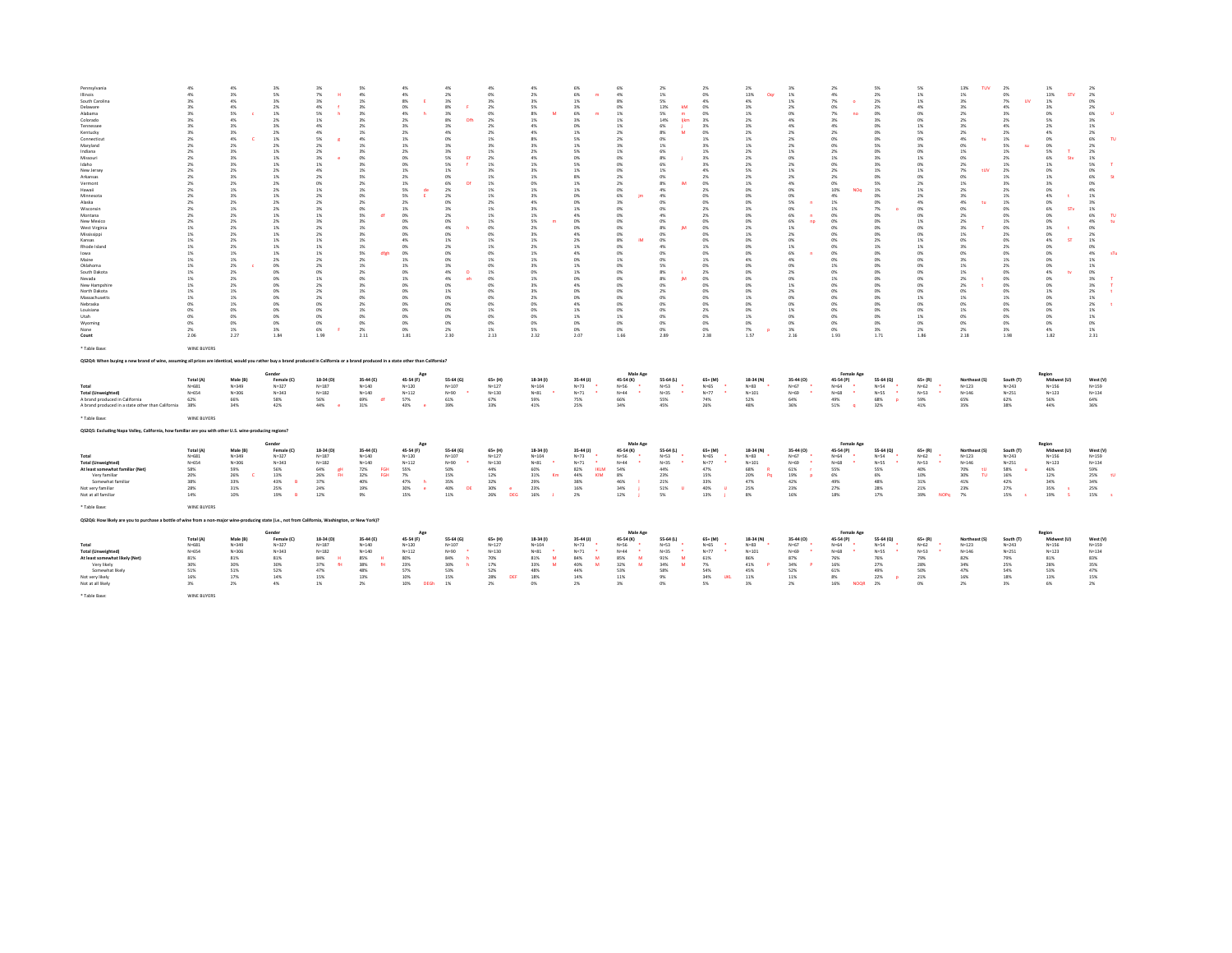| Pennsylvania                                                                                                                                                                          | 4%                     | 4%                       |                         | 3%                          | 5%                               | 4%                     | 4%                     | 4%                       | 4%                     | 6%                    | 6%                       | 2%                    | 2%                     | 2%                    |                       | 2%                      | 5%                          | 5%                        | 13%<br>TUV                 | 2%                     | 1%                       | 2%                    |
|---------------------------------------------------------------------------------------------------------------------------------------------------------------------------------------|------------------------|--------------------------|-------------------------|-----------------------------|----------------------------------|------------------------|------------------------|--------------------------|------------------------|-----------------------|--------------------------|-----------------------|------------------------|-----------------------|-----------------------|-------------------------|-----------------------------|---------------------------|----------------------------|------------------------|--------------------------|-----------------------|
| Illinois                                                                                                                                                                              | 4%                     | 3%                       | 5%                      | 7%                          | 4%                               | 4%                     | 2%                     | 0%                       | 2%                     | 6%                    | 4%                       | 1%                    | 0%                     | 13%<br>Oar            | 1%                    | 4%                      | 2%                          | 1%                        | 1%                         | 0%                     | 13%<br><b>STV</b>        | 2%                    |
| South Carolina                                                                                                                                                                        | 3%                     | 4%                       | 3%                      | $3\%$                       | 1%                               | 8%                     | 3%                     | 3%                       | 3%                     | 1%                    | 8%                       | 5%                    | 4%                     | 4%                    | 1%                    | 7%                      | 2%                          | 1%                        | 3%                         | 7%<br><b>TIM</b>       | 1%                       | 0%                    |
| Delaware                                                                                                                                                                              | 3%                     | 4%                       | 2%                      | 4%                          | 3%                               | 0%                     | 8%                     | 2%                       | 5%                     | 3%                    | 0%                       | 13%<br><b>IN</b>      | ON                     | 3%                    | 2%                    | 0%                      | 2%                          | 4%                        | 3%                         | 4%                     | 3%                       | 2%                    |
| Alahama                                                                                                                                                                               | 3%                     | 5%                       | 1%                      | 5%                          | 3%                               | 4%                     | 3%                     | 0%                       | 8%                     | 6%                    | 1%                       | 5%<br><b>CONT</b>     | CMG.                   | 1%                    | m                     | 7%<br>no                | 0%                          | 0%                        | 2%                         | 3%                     | 0%                       | 6%                    |
| Colorado                                                                                                                                                                              | 3%                     | 4%                       | 2%                      | 1%                          | 3%                               | 2%                     | 8%                     | 2%                       | $1\%$<br>4%            | 3%<br>O%              | 1%                       | 14%<br><b>Biker</b>   | 3%                     | 2%                    | 4%                    | 3%                      | 3%                          | 0%                        | 2%                         | 2%                     | 5%                       | $3\%$<br>1%           |
| Tennessee<br>Kentucky                                                                                                                                                                 | 3%<br>3%               | 3%<br>3%                 | 3%<br>2%                | 4%<br>4%                    | 2%<br>1%                         | 3%<br>2%               | 3%<br>4%               | 2%<br>2%                 | 4%                     | 1%                    | 1%<br>2%                 | 6%<br>8%              | 3%<br>0%               | 3%<br>2%              | 4%<br>2%              | 4%<br>2%                | 0%<br>0%                    | 1%<br>5%                  | 3%<br>2%                   | 4%<br>2%               | 2%<br>4%                 | 2%                    |
| Connecticut                                                                                                                                                                           | 2%                     | 4%                       | 1%                      | 5%                          | 4%                               | 1%                     | 0%                     | 1%                       | 8%                     | 5%                    | 2%                       | 0%                    | 1%                     | 1%                    | 2%                    | 0%                      | 0%                          | 0%                        | 4%                         | 1%                     | 0%                       | 6%                    |
| Marvland                                                                                                                                                                              | 2%                     | 2 <sub>N</sub>           | 2%                      | 2 <sub>N</sub>              | 1%                               | 1%                     | 2 <sub>N</sub>         | 3%                       | 2 <sub>N</sub>         | 190                   | 3%                       | 1%                    | 256                    | 1%                    | 2%                    | n%                      | 5%                          | 3%                        | CHS.                       | 5%                     | 0%                       | 2%                    |
| Indiana                                                                                                                                                                               | 2%                     | 2 <sub>N</sub>           | 1%                      | 2 <sub>N</sub>              | 3%                               | 2%                     | 2 <sub>N</sub>         | 1%                       | 2%                     | S%                    | 1%                       | 6%                    | 1%                     | 2 <sub>N</sub>        | 1%                    | 2%                      | <b>ON</b>                   | n%                        | 1%                         | 1%                     | 5%                       | 2%                    |
| Missouri                                                                                                                                                                              | 2%                     | 3%                       | 1%                      | $3\%$                       | O%                               | 0%                     | 5%                     | 2%                       | 4%                     | 0%                    | 0%                       | $8\%$                 | 3%                     | 2%                    | 0%                    | 1%                      | 3%                          | 1%                        | 0%                         | 2%                     | 6%                       | $1\%$                 |
| Idaho<br>New Jersey                                                                                                                                                                   | 2%<br>2%               | 3%<br>$2\%$              | 1%                      | 1%<br>A%                    | $3\%$                            | 0%<br>1%               | 5%<br>1%               | 1%<br>3%                 | 1%<br>2 <sub>N</sub>   | 5%<br>1%              | 0%<br>0%                 | 6%<br>1%              | 3%<br>4%               | 2%<br>S%              | 2%<br>1%              | 0%<br>2 <sub>5</sub>    | 3%                          | 0%<br>1%                  | 2%<br>7%<br><b>HIN</b>     | 1%                     | 1%                       | 5%<br>0%              |
| Arkansas                                                                                                                                                                              | 2%                     | 2 <sub>N</sub>           | 2%<br>1%                | 2%                          | 1%<br>5%                         | 2%                     | 0%                     | 1%                       | 1%                     | 8%                    | 2%                       | 0%                    | 2 <sup>5</sup>         | 2 <sub>N</sub>        | 2%                    | 2%                      | 1%<br>0%                    | 0%                        | 0%                         | 2%<br>1%               | 0%<br>1%                 | 6%                    |
| Vermont                                                                                                                                                                               | 2%                     | $2\%$                    | 2%                      | CON.                        | 2%                               | 1%                     | <b>AN</b><br>Df.       | 1%                       | ON.                    | 1%                    | 2%                       | 8%<br><b>IN</b>       | CMG.                   | 1%                    | 4%                    | 0%                      | 5%                          | 2%                        | $1\%$                      | 3%                     | 3%                       | 0%                    |
| Hawaii                                                                                                                                                                                | 2%                     | 1%                       | 2%                      | $1\%$                       | 1%                               | 5%<br>de               | $2\%$                  | 1%                       | $1\%$                  | $1\%$                 | 0%                       | 4%                    | $2\%$                  | $0\%$                 | ms                    | 10%<br>NOr              | $1\%$                       | 1%                        | $2\%$                      | $2\%$                  | 0%                       | 4%                    |
| Minnesota                                                                                                                                                                             | 2%                     | 3%                       | 1%                      | $2\%$                       | O%                               | 5%                     | 2%                     | 1%                       | 3%                     | 0%                    | 6%                       | 4%                    | ON                     | 0%                    | 0%                    | 4%                      | 0%                          | 2%                        | 3%                         | 1%                     | 4%                       | $1\%$                 |
| Alaska<br>Wisconsin                                                                                                                                                                   | 2%<br>2%               | 2%                       | 2%<br>2%                | 2%<br>3%                    | 2%<br>0%                         | 2%<br>1%               | 0%<br>3%               | 2%                       | 4%<br>3%               | 0%<br>1%              | 3%<br>0%                 | 0%<br>0%              | 0%                     | 0%                    | 5%                    | 1%<br>1%                | 0%<br>7%                    | 4%<br>0%                  | 4%<br><b>THE</b>           | 1%<br>O%               | 0%<br>6%<br>STv          | 3%<br>$1\%$           |
| Montana                                                                                                                                                                               | 2%                     | 1%<br>2%                 | 1%                      | 1%                          | 5%                               | 0%                     | 2%                     | 1%<br>1%                 | 1%                     | 4%                    | 0%                       | 4%                    | 2%<br>2%               | 3%<br>0%              | 0%<br>6%              | 0%                      | 0%                          | 0%                        | $0\%$<br>2%                | O%                     | 0%                       | 6%<br>T1              |
| New Mexico                                                                                                                                                                            | 2%                     | 2%                       | 2%                      | 2 <sub>N</sub>              | 3%                               | 0%                     | <b>ON</b>              | 1%                       | 5%                     | CON.                  | n%                       | C <sub>N</sub>        | n%                     | O <sup>N</sup>        | 6%<br>no              | n%                      | <b>ON</b>                   | 1%                        | 2%                         | 1%                     | n%                       | 4%<br>$\mathbf{f}$    |
| West Virginia                                                                                                                                                                         | 1%                     | 2%                       | 1%                      | 2%                          | 1%                               | 0%                     | 4%                     | 0%                       | 2%                     | 0%                    | 0%                       | 8%                    | 0%                     | 2%                    | 1%                    | 0%                      | 0%                          | 0%                        | $3\%$                      | O%                     | 3%                       | 0%                    |
| Mississippi                                                                                                                                                                           | 1%                     | 2%                       | 1%                      | 2%                          | 3%                               | 0%                     | 0%                     | 0%                       | 3%                     | 4%                    | 0%                       | 0%                    | ON                     | 1%                    | 2%                    | 0%                      | 0%                          | 0%                        | 1%                         | 2%                     | 0%                       | 2%                    |
| Kansas                                                                                                                                                                                | 1%                     | 2 <sup>5</sup>           | 1%                      | 1%                          | 1%                               | 4%                     | 1%                     | 1%                       | 1%                     | 2%                    | $8\%$                    | C <sub>N</sub>        | m                      | CON.                  | ms                    | n%                      | 2%                          | 1%                        | O <sup>N</sup>             | ms                     | 4%                       | $1\%$                 |
| Rhode Island<br>lowa                                                                                                                                                                  | 1%<br>1%               | 2%<br>1%                 | 1%<br>1%                | 1%<br>1%                    | 1%<br>5%<br>dfeh                 | 0%<br>0%               | 2%<br>0%               | 1%<br>0%                 | 2%<br>1%               | 1%<br>4%              | 0%<br>0%                 | 4%<br>0%              | 1%<br>m                | 0%<br>CHG.            | 1%<br>6%              | 0%<br>0%                | $1\%$<br>0%                 | 1%<br>0%                  | 3%<br>0%                   | 2%<br>ms               | 0%<br>0%                 | 0%<br>4%<br>cT)       |
| Maine                                                                                                                                                                                 | 1%                     | 1%                       | 2%                      | 2 <sub>N</sub>              | 2%                               | 1%                     | n%                     | 1%                       | $1\%$                  | CON.                  | 1%                       | n%                    | 1%                     | 4%                    | 4%                    | n%                      | <b>ON</b>                   | CY6                       | 2 <sub>N</sub>             | 1%                     | O%                       | 1%                    |
| Oklahoma                                                                                                                                                                              | $1\%$                  | 2%                       | 0%                      | $2\%$                       | 1%                               | 1%                     | 3%                     | 0%                       | 2 <sub>N</sub>         | 1%                    | 0%                       | 5%                    | n%                     | C <sub>N</sub>        | ms                    | 1%                      | 0%                          | 0%                        | 1%                         | 2%                     | 0%                       | $1\%$                 |
| South Dakota                                                                                                                                                                          | $1\%$                  | 2%                       | 0%                      | 0%                          | 2%                               | 0%                     | 4%<br>n                | 1%                       | 0%                     | 1%                    | 0%                       | $8\%$                 | 2%                     | 0%                    | 2%                    | 0%                      | 0%                          | 0%                        | $1\%$                      | O%                     | 4%                       | 0%                    |
| Nevada                                                                                                                                                                                | 1%                     | 2%                       | 0%                      | 1%                          | 0%                               | 1%                     | 4%                     | 0%                       | 1%                     | 0%                    | 0%                       | $8\%$<br><b>IM</b>    | 0%                     | 0%                    | 0%                    | 1%                      | 0%                          | 0%                        | 2%                         | 0%                     | 0%                       | $3\%$                 |
| New Hampshire<br>North Dakota                                                                                                                                                         | 1%<br>1%               | 2%<br>1%                 | 0%<br>m                 | 2%<br>2%                    | 3%<br>1%                         | 0%<br>0%               | 0%<br>1%               | 0%<br>0%                 | 3%<br>3%               | 4%<br>CON.            | 0%<br>0%                 | 0%<br>2%              | 0%<br>n%               | 0%<br>CON.            | 1%<br>2%              | 0%<br>0%                | 0%<br>0%                    | 0%<br>0%                  | $2\%$<br>0%                | 0%<br>0%               | 0%<br>1%                 | $3\%$<br>2%           |
| Massachusetts                                                                                                                                                                         | 1%                     | 1%                       | 0%                      | 2%                          | 0%                               | 0%                     | $0\%$                  | 0%                       | 2%                     | 0%                    | 0%                       | 0%                    | 0%                     | 1%                    | 0%                    | 0%                      | $0\%$                       | 1%                        | 1%                         | 1%                     | 0%                       | $1\%$                 |
| Nebraska                                                                                                                                                                              | 0%                     | 1%                       | 0%                      | 0%                          | 2%                               | 0%                     | 0%                     | 0%                       | 0%                     | 4%                    | 0%                       | 0%                    | ON                     | 0%                    | 0%                    | 0%                      | 0%                          | 0%                        | 0%                         | 0%                     | 0%                       | $2\%$                 |
| Louisiana                                                                                                                                                                             | 0%                     | 0%                       | 0%                      | 0%                          | $1\%$                            | 0%                     | 0%                     | 1%                       | 0%                     | 1%                    | 0%                       | 0%                    | 2%                     | 0%                    | 1%                    | 0%                      | 0%                          | 0%                        | 1%                         | O%                     | 0%                       | $1\%$                 |
| Litah                                                                                                                                                                                 | n%                     | n <sub>N</sub>           | CMG.                    | CON.                        | cros.                            | ns                     | CON.                   | CMG.                     | ON.                    | 1%                    | 1%                       | COM                   | CMG.                   | 1%                    | CPK                   | n%                      | <b>ON</b>                   | 1%                        | CON.                       | ms                     | n%                       | $1\%$                 |
| Wyoming                                                                                                                                                                               | 0%<br>2%               | 0%                       | 0%                      | O%                          | 0%                               | 0%                     | 0%                     | 0%                       | 0%                     | 0%                    | 0%                       | 0%                    | ON<br>O%               | 0%                    | 0%                    | 0%                      | 0%                          | 0%                        | 0%                         | O%                     | 0%                       | 0%                    |
| None<br>Count                                                                                                                                                                         | 2.06                   | 1%<br>227                | 3%<br>1.84              | 6%<br>1.99                  | 2%<br>2.11                       | 0%<br>1.81             | 2%<br>230              | 1%<br>213                | 5%<br>2.32             | 0%<br>2.07            | 0%<br>1.66               | 0%<br>2.89            | 2.38                   | 7%<br>1.57            | 3%<br>2.16            | 0%<br>1.93              | 3%<br>1.71                  | 2%<br>1.86                | 2%<br>2.18                 | 3%<br>1.98             | 4%<br>1.82               | $1\%$<br>2.31         |
|                                                                                                                                                                                       |                        |                          |                         |                             |                                  |                        |                        |                          |                        |                       |                          |                       |                        |                       |                       |                         |                             |                           |                            |                        |                          |                       |
|                                                                                                                                                                                       |                        |                          |                         |                             |                                  |                        |                        |                          |                        |                       |                          |                       |                        |                       |                       |                         |                             |                           |                            |                        |                          |                       |
| * Table Base:                                                                                                                                                                         | WINE BUYERS            |                          |                         |                             |                                  |                        |                        |                          |                        |                       |                          |                       |                        |                       |                       |                         |                             |                           |                            |                        |                          |                       |
| Q\$2Q4: When buying a new brand of wine, assuming all prices are identical, would you rather buy a brand produced in California or a brand produced in a state other than California? |                        |                          |                         |                             |                                  |                        |                        |                          |                        |                       |                          |                       |                        |                       |                       |                         |                             |                           |                            |                        |                          |                       |
|                                                                                                                                                                                       |                        |                          | Gende                   |                             |                                  | App                    |                        |                          |                        |                       | Male Age                 |                       |                        |                       |                       | Female Age              |                             |                           |                            |                        | Region                   |                       |
|                                                                                                                                                                                       | Total (A)              | Male (B)                 | Female (C)              | 18-34 (D)                   | 35-44 (E)                        | 45-54 (F)              | 55-64 (G)              | $65+ (H)$                | 18-34 (1)              | 35-44 (J)             | 45-54 (K)                | 55-64 (L)             | $65 + (M)$             | 18-34 (N)             | 35-44 (O)             | 45-54 (P)               | 55-64 (Q)                   | $65+ (R)$                 | Northeast (S)              | South (T)              | Midwest (U)              | West (V)              |
| Total                                                                                                                                                                                 | $N = 681$              | $N = 349$                | $N = 227$               | $N=1.87$                    | $N = 1.40$                       | $N = 120$              | $N = 107$              | $N = 127$                | $N = 104$              | $N = 72$              | $N = 56$<br>$\mathbf{r}$ | $N = 53$              | $N=65$<br>$\bullet$    | $N = 83$              | $N = 67$              | $N = 64$                | $N = 54$<br>$\bullet$       | $N = 62$                  | $N = 123$                  | $N = 243$              | $N = 156$                | $N = 159$             |
| <b>Total (Unweighted)</b><br>A brand produced in California                                                                                                                           | $N = 654$<br>62%       | $N = 306$<br><b>GRNS</b> | $N = 343$<br>58%        | $N = 182$<br>56%            | $N = 140$<br>69%<br>df.          | $N = 112$<br>57%       | $N = 90$<br>61%        | $N = 130$<br>67%         | $N = 81$<br>59%        | $N = 71$<br>75%       | $N = 44$<br>66%          | $N=35$<br>55%         | $N = 77$<br>74%        | $N = 101$<br>52%      | $N=69$<br>64%         | $N = 68$<br>49%         | $N = 55$<br>68%<br><b>p</b> | $N = 53$<br>59%           | $N = 1.46$<br>65%          | $N = 251$<br>62%       | $N = 123$<br>56%         | $N = 134$<br>64%      |
| A brand produced in a state other than California                                                                                                                                     | 3.8%                   | 34%                      | 42%                     | 44%<br><b>P</b>             | 31%                              | 43%<br>$\sim$          | 39%                    | 33%                      | 41%                    | 25%                   | 34%                      | 45%                   | 26%                    | 48%                   | 36%                   | 51%<br>$\overline{a}$   | 32%                         | 41%                       | 35%                        | <b>28%</b>             | 44%                      | 36%                   |
| * Table Base:                                                                                                                                                                         | WINE BUYERS            |                          |                         |                             |                                  |                        |                        |                          |                        |                       |                          |                       |                        |                       |                       |                         |                             |                           |                            |                        |                          |                       |
| QS2Q5: Excluding Napa Valley, California, how familiar are you with other U.S. wine-producing regions?                                                                                |                        |                          |                         |                             |                                  |                        |                        |                          |                        |                       |                          |                       |                        |                       |                       |                         |                             |                           |                            |                        |                          |                       |
|                                                                                                                                                                                       |                        |                          |                         |                             |                                  |                        |                        |                          |                        |                       |                          |                       |                        |                       |                       |                         |                             |                           |                            |                        |                          |                       |
|                                                                                                                                                                                       |                        |                          | Gende                   |                             |                                  |                        |                        |                          |                        |                       | Male Age                 |                       |                        |                       |                       | Female Age              |                             |                           |                            |                        | Region                   |                       |
| Total                                                                                                                                                                                 | Total (A)<br>$N = 681$ | Male (B)<br>$N = 349$    | Female (C)<br>$N = 227$ | 18-34 (D)<br>$N=1.87$       | 35-44 (E)<br>$N = 140$           | 45-54 (F)<br>$N = 120$ | 55-64 (G)<br>$N = 107$ | $65+ (H)$<br>$N = 127$   | 18-34 (1)<br>$N = 104$ | 35-44 (J)<br>$N = 72$ | 45-54 (K)<br>$N = 56$    | 55-64 (L)<br>$N = 52$ | $65 + (M)$<br>$N = 65$ | 18-34 (N)<br>$N = 83$ | 35-44 (O)<br>$N = 67$ | 45-54 (P)<br>$N = 64$   | 55-64 (Q)<br>$N = 54$       | $65 + (R)$<br>$N = 62$    | Northeast (S)<br>$N = 123$ | South (T)<br>$N = 243$ | Midwest (U)<br>$N = 156$ | West (V)<br>$N = 159$ |
| <b>Total (Unweighted)</b>                                                                                                                                                             | $N = 654$              | $N = 306$                | $N = 343$               | $N = 182$                   | $N = 140$                        | $N = 112$              | $N = 90$               | $N = 130$                | $N = 81$               | $N = 71$              | $N = 44$                 | $N = 35$              | $N = 77$               | $N = 101$             | $N = 69$              | $N = 68$                | $N = 55$                    | $N = 53$                  | $N = 1.46$                 | $N = 251$              | $N = 123$                | $N = 134$             |
| At least somewhat familiar (Net)                                                                                                                                                      | 58%                    | 59%                      | 56%                     | 64%<br>cH                   | 72%<br>EGH                       | 55%                    | 50%                    | 44%                      | 60%                    | 82%<br><b>IKLM</b>    | 54%                      | 44%                   | 47%                    | 68%                   | 61%                   | 55%                     | 55%                         | 40%                       | 70%<br>τU                  | 58%                    | 46%                      | 59%                   |
| Very familiar                                                                                                                                                                         | 20%                    | 26%                      | 13%                     | 26%<br><b>FH</b>            | <b>32%</b><br>EGH                | 7%                     | 15%                    | 12%                      | 31%<br>Km              | 44%<br>KIM            | 8%                       | 23%                   | 15%                    | 20%<br>Pa             | 19%                   | 6%                      | 6%                          | 10%                       | anns.<br><b>TH</b>         | 16%                    | 12%                      | 25%                   |
| Somewhat familia                                                                                                                                                                      | 38%                    | 33%                      | 43%                     | 37%                         | 40%                              | 47%                    | 35%<br>DE              | 32%<br>$\epsilon$        | 29%                    | 38%                   | 46%                      | 21%                   | 33%<br><b>b</b>        | 47%                   | 42%                   | 49%                     | 48%                         | 31%                       | 41%                        | 42%                    | 34%                      | 34%                   |
| Not very familiar<br>Not at all familiar                                                                                                                                              | 28%<br>14%             | $31\%$<br>10%            | 25%<br>19%              | 24%<br>12%                  | 19%<br>9%                        | 30%<br>15%             | 40%<br>11%             | 30%<br>26%<br><b>DEG</b> | 23%<br>16%             | 16%<br>2%             | 34%<br>12%               | 51%<br>5%             | 40%<br>13%             | 25%<br>$8\%$          | 23%<br>16%            | 27%<br>18%              | 28%<br>17%                  | 21%<br>39%<br><b>NOPG</b> | 23%<br>- 7%                | 27%<br>15%             | 35%<br>19%               | 25%<br>15%            |
| * Table Base:                                                                                                                                                                         | WINE BUYERS            |                          |                         |                             |                                  |                        |                        |                          |                        |                       |                          |                       |                        |                       |                       |                         |                             |                           |                            |                        |                          |                       |
| Q\$2Q6: How likely are you to purchase a bottle of wine from a non-major wine-producing state (i.e., not from California, Washington, or New York)?                                   |                        |                          |                         |                             |                                  |                        |                        |                          |                        |                       |                          |                       |                        |                       |                       |                         |                             |                           |                            |                        |                          |                       |
|                                                                                                                                                                                       |                        |                          |                         |                             |                                  |                        |                        |                          |                        |                       |                          |                       |                        |                       |                       |                         |                             |                           |                            |                        |                          |                       |
|                                                                                                                                                                                       | Total (A)              | Male (B)                 | Gende<br>Female (C)     | 18-34 (D)                   | 35-44 (E)                        | App<br>45-54 (F)       | 55-64 (G)              | $65 + (H)$               | 18-34 (1)              | 35-44 (J)             | Male App<br>45-54 (K)    | 55-64 (L)             | $65 + (M)$             | 18-34 (N)             | 35-44 (O)             | Female Age<br>45-54 (P) | 55-64 (Q)                   | $65 + (R)$                | Northeast (S)              | South (T               | Region<br>Midwest (U)    | West (V)              |
| Total                                                                                                                                                                                 | $N = 681$              | $N = 349$                | $N = 327$               | $N = 187$                   | $N = 140$                        | $N = 120$              | $N = 107$              | $N = 127$                | $N = 104$              | $N=73$                | $N = 56$                 | $N=53$                | $N = 65$               | $N = 83$              | $N = 67$              | $N = 64$                | $N = 54$                    | $N = 62$                  | $N = 123$                  | $N = 243$              | $N = 156$                | $N = 159$             |
| <b>Total (Unweighted)</b>                                                                                                                                                             | $N = 654$              | $N = 306$                | $N = 343$               | $N = 182$                   | $N = 140$                        | $N = 112$              | $N = 90$               | $N = 130$                | $N = 81$               | $N = 71$              | $N = 44$<br>٠            | $N = 35$              | $N = 77$               | $N = 101$             | $N = 69$              | $N = 68$                | $N = 55$<br>$\sim$          | $N = 53$<br>- 4           | $N = 146$                  | $N = 251$              | $N = 123$                | $N = 134$             |
| At least somewhat likely (Net)                                                                                                                                                        | 81%                    | 81%<br>30%               | 81%                     | 84%<br>$\mathbf{H}$<br>$64$ | 85%<br>$\mathbf{H}$<br><b>fH</b> | 80%                    | 84%<br>ь               | 70%                      | 81%<br>M               | 84%<br>M<br>M         | 85%<br>M<br>M            | 91%<br>M<br>3.4%<br>M | 61%<br>7%              | 86%                   | 87%                   | 76%                     | 76%<br>27%                  | 79%                       | 82%<br>34%                 | 79%                    | 81%                      | 83%                   |
| Very likely<br>Somewhat likely                                                                                                                                                        | 30%<br>51%             | 51%                      | 30%<br>52%              | 37%<br>47%                  | 38%<br>48%                       | 23%<br>57%             | 30%<br>53%             | 17%<br>52%               | 33%<br>48%             | 40%<br>44%            | 32%<br>53%               | 58%                   | 54%                    | 41%<br>45%            | 34%<br>52%            | 16%<br>61%              | 49%                         | 28%<br>50%                | 47%                        | 25%<br>54%             | 28%<br>53%               | 35%<br>47%            |
| Not very likely                                                                                                                                                                       | 16%                    | 17%                      | 14%                     | 15%                         | 13%                              | 10%                    | 15%                    | 28%<br>DEF               | 18%                    | 14%                   | 11%                      | 9%                    | 34%<br><b>UKL</b>      | 11%                   | 11%                   | 8%                      | 22%<br>$\bullet$            | 21%                       | 16%                        | 18%                    | 13%                      | 15%                   |
| Not at all likely                                                                                                                                                                     | 3%                     | $2\%$                    | 4%                      | 1%                          | 2%                               | 10%<br><b>DEGh</b>     | 1%                     | 2%                       | 0%                     | 2%                    | 3%                       | 0%                    | 5%                     | $3\%$                 | 2%                    | 16%<br><b>NOQR</b>      | 2%                          | 0%                        | 2%                         | 3%                     | 6%                       | 2%                    |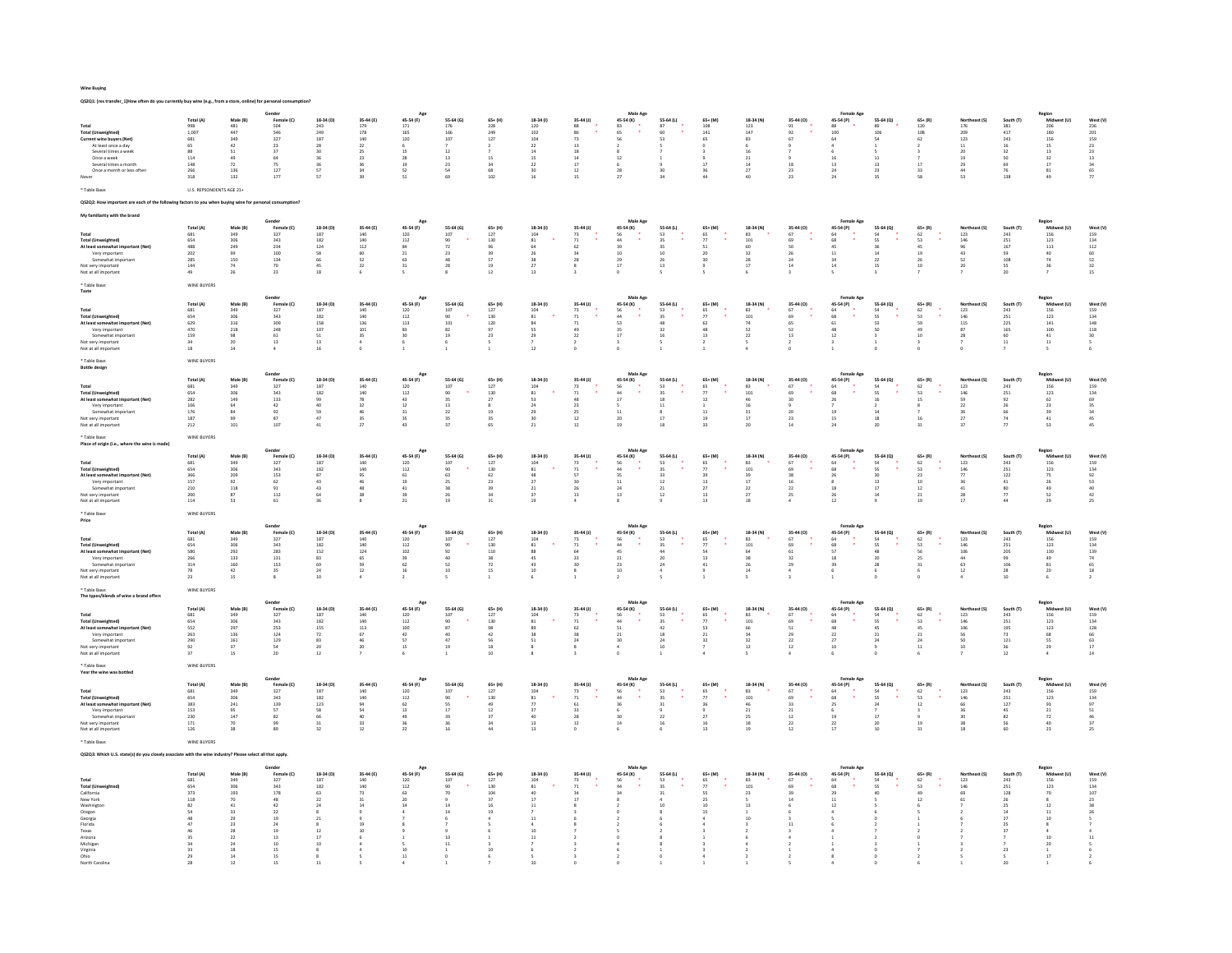Wine Buying

|                                                                | tly buy wine (e.g., from a store, online) for personal      |                   |                                                  |                       |                                           |                                                                    |                                         |                                           |                                           |                                         |                                                                                                             |                                         |                                           |                                          |                                   |                                                      |                                          |                                           |                                           |                                         |                                                  |                                         |
|----------------------------------------------------------------|-------------------------------------------------------------|-------------------|--------------------------------------------------|-----------------------|-------------------------------------------|--------------------------------------------------------------------|-----------------------------------------|-------------------------------------------|-------------------------------------------|-----------------------------------------|-------------------------------------------------------------------------------------------------------------|-----------------------------------------|-------------------------------------------|------------------------------------------|-----------------------------------|------------------------------------------------------|------------------------------------------|-------------------------------------------|-------------------------------------------|-----------------------------------------|--------------------------------------------------|-----------------------------------------|
|                                                                |                                                             |                   | Gender                                           |                       |                                           | Age                                                                |                                         |                                           |                                           |                                         | Male Age                                                                                                    |                                         |                                           |                                          |                                   | <b>Female Age</b>                                    |                                          |                                           |                                           |                                         |                                                  |                                         |
| Total                                                          | Total (A)                                                   | Male (B)          | Female (C)                                       | 18-34 (D)<br>243      | 35-44 (E)                                 | 45-54 (F)                                                          | 55-64 (G)                               | $65+ (H)$                                 | 18-34 (1)                                 | 35-44 (J)                               | 45-54 (K)                                                                                                   | 55-64 (L)                               | $65 + (M)$                                | 18-34 (N)                                | 35-44 (0)                         | 45-54 (P)                                            | 55-64 (Q)                                | $65+ (R)$                                 | Northeast (S)                             | South $(T)$                             | Region<br>Midw                                   | West (V)                                |
| <b>Total (Unweighted)</b>                                      | 998<br>1,007                                                | $\frac{481}{447}$ | 504<br>546<br>327                                | $\frac{249}{187}$     | $\frac{179}{178}$                         | $\begin{array}{c} 171 \\ 165 \\ 120 \end{array}$                   | 176<br>166<br>107                       | $\frac{228}{249}$                         | $\begin{array}{c} 120 \\ 102 \end{array}$ | $\frac{88}{86}$                         | $\begin{array}{c} 83 \\ 65 \end{array}$                                                                     | $\begin{array}{c} 87 \\ 60 \end{array}$ | $\begin{array}{c} 108 \\ 141 \end{array}$ | $\frac{123}{147}$                        | $\frac{91}{92}$                   | $\begin{array}{l} 88 \\ 100 \end{array}$             | $89$<br>$106$                            | $\begin{array}{c} 120 \\ 108 \end{array}$ | 176<br>209<br>123                         | $\frac{381}{417}$                       | $\begin{array}{c} 206 \\ 180 \\ 156 \end{array}$ | 236<br>201<br>159                       |
| Current wine buyers (Net)                                      | 681                                                         | 349<br>42         |                                                  | 28                    | 140<br>$\bf 22$                           |                                                                    |                                         | 127                                       | 104<br>$\overline{22}$                    | 73<br>13                                | 56                                                                                                          | 53                                      | 65                                        | 83                                       | 67                                | 64                                                   | 54                                       | 62                                        |                                           | 243<br>16                               |                                                  |                                         |
| At least once a day<br>Several times a week                    | $\begin{array}{c} 65 \\ 88 \end{array}$                     | 51                | $\bf 23$<br>37                                   | 30                    | 25                                        | 15                                                                 | $12\,$                                  |                                           | 14                                        | 18                                      |                                                                                                             |                                         |                                           | 16                                       |                                   |                                                      |                                          |                                           | $\overline{11}$<br>20                     | 32                                      | $\begin{array}{c} 15 \\ 13 \end{array}$          | $\frac{23}{23}$                         |
| Once a week                                                    | $_{\rm 114}$<br>148                                         | 49                | 64<br>75                                         | 36<br>36              | $\bf 23$                                  | $\begin{array}{c} 28 \\ 19 \end{array}$                            | $13\,$                                  | 15                                        | $15\,$<br>$22\,$                          | $\begin{array}{c} 14 \\ 17 \end{array}$ | $12\,$                                                                                                      |                                         | 17                                        | $\begin{array}{c} 21 \\ 14 \end{array}$  |                                   | $\begin{array}{c} 16 \\ 13 \end{array}$              | $11\,$                                   | $17\,$                                    | 19                                        | 50<br>69                                | $\begin{array}{c} 32 \\ 17 \end{array}$          | $\begin{array}{c} 13 \\ 34 \end{array}$ |
| Several times a month<br>Once a month or less often            | 266                                                         | 72<br>136         | $127\,$                                          | 57                    | 36<br>34                                  |                                                                    | 23<br>54                                | 34<br>$68\,$                              | 30                                        | $12\,$                                  | ${\bf 28}$                                                                                                  | 30                                      |                                           | $\overline{27}$                          | 18<br>$\bf 23$                    |                                                      | 13<br>$^{23}$                            | 33                                        | 29<br>44                                  |                                         |                                                  | $\frac{65}{77}$                         |
| Never                                                          | 318                                                         | 132               | 177                                              | 57                    | 39                                        | $\begin{array}{c} 52 \\ 51 \end{array}$                            | 69                                      | 102                                       | 16                                        | 15                                      | $^{27}$                                                                                                     | 34                                      |                                           | 40                                       | $23\,$                            | $\frac{24}{24}$                                      | 35                                       | 58                                        | 53                                        | 76<br>138                               | $\begin{array}{c} 81 \\ 49 \end{array}$          |                                         |
| * Table Base                                                   | U.S. REPSONDENTS AGE 21+                                    |                   |                                                  |                       |                                           |                                                                    |                                         |                                           |                                           |                                         |                                                                                                             |                                         |                                           |                                          |                                   |                                                      |                                          |                                           |                                           |                                         |                                                  |                                         |
|                                                                | ng factors to you when buying wine for personal consumption |                   |                                                  |                       |                                           |                                                                    |                                         |                                           |                                           |                                         |                                                                                                             |                                         |                                           |                                          |                                   |                                                      |                                          |                                           |                                           |                                         |                                                  |                                         |
|                                                                |                                                             |                   |                                                  |                       |                                           |                                                                    |                                         |                                           |                                           |                                         |                                                                                                             |                                         |                                           |                                          |                                   |                                                      |                                          |                                           |                                           |                                         |                                                  |                                         |
|                                                                |                                                             |                   | Gender                                           |                       |                                           | App                                                                |                                         |                                           |                                           |                                         | Male Ap                                                                                                     |                                         |                                           |                                          |                                   | Female Age                                           |                                          |                                           |                                           |                                         | Region                                           |                                         |
| Total                                                          | Total (A)<br>681                                            | Male (B)<br>349   | Female (C)<br>$\frac{327}{}$                     | 18-34 (D)<br>187      | 35-44 (E)<br>140                          | 45-54 (F)<br>120                                                   | 55-64 (G)<br>107                        | $65 + (H)$<br>127                         | 18-34 (I)<br>104                          | 35-44 (J)<br>73                         | 45-54 (K)                                                                                                   | 55-64 (L)<br>53                         | 65+ (M)<br>65                             | 18-34 (N)<br>83                          | 35-44 (O)<br>67                   | 45-54 (P)<br>64                                      | 55-64 (Q)<br>54                          | $65 + (R)$<br>62                          | ${\bf North east} \atop 123$              | South (T)<br>243                        | $Midn$<br>$156$                                  | West (V)<br>159<br>134<br>112           |
| <b>Total (Unweighted)</b>                                      | 654<br>488                                                  | 306<br>249        | $\frac{343}{234}$                                | $\frac{182}{124}$     | $\begin{array}{c} 140 \\ 112 \end{array}$ | $\frac{112}{84}$                                                   | $\frac{90}{72}$                         | $130\,$                                   | $\begin{array}{c} 81 \\ 64 \end{array}$   | $71\,$                                  | 56<br>44<br>39                                                                                              | $35\,$                                  | $_{\rm 77}$                               | $\begin{array}{c} 101 \\ 60 \end{array}$ | 69                                | $\begin{array}{c} 68 \\ 45 \end{array}$              | 55                                       | $^{\rm 53}$                               | 146<br>96                                 | $\frac{251}{167}$                       | $\begin{array}{c} 123 \\ 113 \end{array}$        |                                         |
| At least somewhat important (Net)<br>Very important            |                                                             |                   |                                                  |                       |                                           |                                                                    |                                         | 96<br>39                                  | 26                                        | 62<br>34                                |                                                                                                             | 35<br>$\bf{^{10}}$                      | 51<br>$20\,$                              | 32                                       | 50                                |                                                      | 36                                       | 45<br>19                                  | 43                                        |                                         |                                                  |                                         |
| Somewhat important                                             | $\begin{array}{c} 202 \\ 285 \end{array}$                   | 99<br>150         | $\begin{array}{c} 100 \\ 134 \end{array}$        | 58<br>66              | $\begin{array}{c} 60 \\ 52 \end{array}$   | $\begin{array}{c} 21 \\ 63 \end{array}$                            | $_{\rm 23}^{23}$                        | 57                                        | 38                                        | $\mathbf{28}$                           | $\begin{array}{c} 10 \\ 29 \end{array}$                                                                     | 26                                      | 30                                        | 28                                       | $\frac{26}{24}$                   | $\begin{array}{c} 11 \\ 34 \end{array}$              | $\frac{14}{22}$                          | 26                                        | 52                                        | $\frac{59}{108}$                        | $^{40}_{74}$                                     | $\begin{array}{c} 60 \\ 52 \end{array}$ |
| Not very important<br>Not at all important                     | 144<br>49                                                   | 74<br>26          | $\rm 70$<br>23                                   | 45<br>$18\,$          | $\mathbf{22}$<br>6                        | $_{\rm 31}$<br>$\overline{\phantom{a}}$                            | $\bf 28$<br>$\mathbf{8}$                | $19\,$<br>$12\,$                          | 27<br>$13\,$                              | $\bf8$<br>$\overline{\mathbf{3}}$       | $17\,$                                                                                                      | 13<br>5                                 | $\overline{9}$                            | 17                                       | $14\,$<br>$\overline{\mathbf{3}}$ | 14<br>$\overline{\phantom{a}}$                       | $15\,$<br>$\overline{\mathbf{3}}$        | $10$                                      | 20                                        | $55\,$<br>20                            | $36\,$                                           | $_{\rm 32}$<br>15                       |
|                                                                |                                                             |                   |                                                  |                       |                                           |                                                                    |                                         |                                           |                                           |                                         |                                                                                                             |                                         |                                           |                                          |                                   |                                                      |                                          |                                           |                                           |                                         |                                                  |                                         |
| * Table Base:<br>Taste                                         | WINE BUYERS                                                 |                   |                                                  |                       |                                           |                                                                    |                                         |                                           |                                           |                                         |                                                                                                             |                                         |                                           |                                          |                                   |                                                      |                                          |                                           |                                           |                                         |                                                  |                                         |
|                                                                | Total (A)                                                   | Male (B)          | Gender<br>Female (C)                             | 18-34 (D)             | 35-44 (E)                                 | Age<br>45-54 (F)                                                   | 55-64 (G)                               | $65 + (H)$                                | $18-34(1)$                                | 35-44 (J)                               | Male Age                                                                                                    | 55-64 (L)                               | $65+ (M)$                                 | 18-34 (N)                                | 35-44 (0)                         | <b>Female Age</b>                                    | 55-64 (Q)                                | $65 + (R)$                                | Northeast (S)                             | South (T)                               | Region<br>Midwest (U)                            | West (V)                                |
|                                                                | $681\,$                                                     | 349               | 327                                              | 187                   | 140                                       | 120                                                                | 107                                     | $127\,$                                   | $\begin{array}{c} 104 \\ 81 \end{array}$  | $73\,$                                  | 45-54 (K)<br>$\frac{56}{44}$                                                                                | 53                                      | $65\,$                                    | 83                                       | 67                                | 45-54 (P)<br>$\begin{array}{c} 64 \\ 68 \end{array}$ | 54                                       | $62\,$                                    | $123\,$                                   | 243                                     | 156                                              | $\frac{159}{134}$                       |
| <b>Total (Unweighted)</b>                                      | 654                                                         | 306               | 343                                              | 182                   | 140                                       | 112                                                                | 90                                      | 130                                       | 84                                        | 71                                      |                                                                                                             | 35                                      | 77<br>62                                  | 101<br>$\overline{74}$                   | 69                                |                                                      | 55<br>53                                 | 53                                        | 146                                       | 251                                     | 123                                              |                                         |
| At least somewhat important (Net)<br>Very important            | 629<br>470                                                  | 316<br>218        | 309<br>248                                       | $^{\rm 158}$<br>107   | 136<br>101                                | $_{\rm 113}$                                                       | $101\,$<br>82                           | $120\,$<br>97                             | <b>SS</b>                                 | $71\,$<br>49                            | 53<br>35                                                                                                    | 48<br>32                                | 48                                        | 52                                       | 65<br>52                          | 61<br>48                                             | 50                                       | 49                                        | $115\,$<br>87                             | $\mathbf{225}$<br>165                   | $141\,$<br>100                                   | $\frac{148}{118}$                       |
| Somewhat important                                             | 159                                                         | 98<br>20          | $\begin{array}{c} 61 \\ 13 \end{array}$          | $\frac{51}{13}$       | $_4^{35}$                                 | $\begin{array}{c} 83 \\ 30 \\ 6 \end{array}$                       | $\begin{array}{c} 19 \\ 6 \end{array}$  | $\bf 23$                                  | $\frac{29}{7}$                            | $\bf{22}$                               | $\overline{17}$                                                                                             | 16                                      | $13\,$                                    | $\overline{22}$                          | 13                                | $1\bar{2}$                                           |                                          | 10                                        | 28                                        | $\begin{array}{c} 60 \\ 11 \end{array}$ | $\begin{array}{c} 41 \\ 11 \end{array}$          | $\frac{30}{5}$                          |
| Not very important<br>Not at all important                     | 34<br>18                                                    | 14                | $\ddot{a}$                                       | 16                    | $\circ$                                   | $\mathbf{1}$                                                       | $\mathbf{1}$                            | 5<br>$\mathbf{1}$                         | 12                                        | $\mathbf 2$<br>$\circ$                  | $\overline{\mathbf{3}}$<br>$\sim$                                                                           | $\sf S$<br>$\overline{1}$               | $\overline{2}$                            | $\mathsf{s}$                             | $\sqrt{2}$<br>$\mathbf{0}$        | $\overline{\mathbf{3}}$                              | $\mathbf{1}$<br>$\theta$                 | $\overline{\mathbf{3}}$<br>$\Omega$       | $\theta$                                  | $\overline{z}$                          |                                                  | $\epsilon$                              |
| * Table Rase                                                   | WINE BUYERS                                                 |                   |                                                  |                       |                                           |                                                                    |                                         |                                           |                                           |                                         |                                                                                                             |                                         |                                           |                                          |                                   |                                                      |                                          |                                           |                                           |                                         |                                                  |                                         |
| <b>Bottle design</b>                                           |                                                             |                   |                                                  |                       |                                           |                                                                    |                                         |                                           |                                           |                                         |                                                                                                             |                                         |                                           |                                          |                                   |                                                      |                                          |                                           |                                           |                                         |                                                  |                                         |
|                                                                | Total (A)                                                   | Male (B)          | Gender                                           | 18-34 (D)             | 35-44 (E)                                 | 45-54 (F)                                                          | 55-64 (G)                               | $65+ (H)$                                 | $18-34(1)$                                | 35-44 (J)                               | Male Age<br>45-54 (K)                                                                                       | 55-64 (L)                               | $65+ (M)$                                 | 18-34 (N)                                | 35-44 (0)                         | Female Ago<br>45-54 (P)                              | 55-64 (Q)                                | $65 + (R)$                                | Northeast (S)                             | South (T)                               | Region<br>Midwest (U)                            | West (V)                                |
| Total                                                          | $\frac{681}{654}$                                           | 349<br>306        | Female (C)<br>327<br>343                         | $\frac{187}{182}$     | $\frac{140}{140}$                         | $\begin{array}{c} 120 \\ 112 \end{array}$                          | 107<br>90                               | $\begin{array}{c} 127 \\ 130 \end{array}$ | $\begin{array}{c} 104 \\ 81 \end{array}$  | $^{73}_{71}$                            | $\frac{56}{44}$                                                                                             | 53<br>35                                | $\frac{65}{77}$                           | $\frac{83}{101}$                         | $\frac{67}{69}$                   | 64<br>68                                             | 54<br>55                                 | $\begin{array}{c} 62 \\ 53 \end{array}$   | 123<br>146                                | 243<br>251                              | $\frac{156}{123}$                                | 159<br>134                              |
| Total (Unweighted)<br>At least somewhat important (Net)        | 282                                                         | 149               | 133                                              | 99                    | 78                                        |                                                                    | 35                                      | 27                                        | 53                                        | 48                                      | 17                                                                                                          | 18                                      | 12                                        | 46                                       | 30                                | 26                                                   | 16                                       | $\lambda$<br>15                           | 59                                        | 92                                      | 62                                               | 69                                      |
| Very important                                                 | $106\,$                                                     | 64                | $42\,$                                           | 40                    | $\overline{32}$                           | $\begin{array}{c} 43 \\ 12 \end{array}$                            | $_{\rm 13}$                             |                                           | $\overline{24}$                           | $_{23}$                                 |                                                                                                             | $11\,$                                  |                                           | 16                                       |                                   |                                                      |                                          |                                           | $\overline{22}$                           | 26                                      | $^{\rm 23}$                                      | 35                                      |
| Somewhat important                                             | 176<br>187                                                  | 84                | 92                                               | 59<br>47              | 46                                        | 31                                                                 | 22                                      | 19                                        | 29                                        | 25<br>$12\,$                            | 11                                                                                                          | $\mathbf{x}$<br>17                      | 11                                        | 31<br>17                                 | 20<br>$_{23}$                     | 19<br>15                                             | 14                                       |                                           | 36                                        | 66                                      | 39                                               | 34                                      |
| ot very important<br>Not at all important                      | 212                                                         | 101               | 107                                              | 41                    | 35<br>27                                  | $\frac{35}{43}$                                                    | 35<br>37                                | 35<br>65                                  | 30<br>21                                  | 12                                      | $\begin{array}{c} 20 \\ 19 \end{array}$                                                                     | 18                                      | 19<br>33                                  | 20                                       | 14                                | 24                                                   | $^{\rm 18}$<br>20                        | 16<br>31                                  | $\overline{27}$<br>37                     | $74\,$<br>77                            | $\begin{array}{c} 41 \\ 53 \end{array}$          | $45\,$<br>45                            |
|                                                                |                                                             |                   |                                                  |                       |                                           |                                                                    |                                         |                                           |                                           |                                         |                                                                                                             |                                         |                                           |                                          |                                   |                                                      |                                          |                                           |                                           |                                         |                                                  |                                         |
| * Table Base:<br>Place of origin (i.e., where the wine is made | WINE BUYERS                                                 |                   |                                                  |                       |                                           |                                                                    |                                         |                                           |                                           |                                         |                                                                                                             |                                         |                                           |                                          |                                   |                                                      |                                          |                                           |                                           |                                         |                                                  |                                         |
|                                                                | Total (A)                                                   | Male (B)          | Gender                                           | 18-34 (D)             | 35-44 (E)                                 | Age<br>45-54 (F)                                                   | 55-64 (G)                               | $65 + (H)$                                | 18-34 (1)                                 | 35-44 (J)                               | Male Age<br>45-54 (K)                                                                                       | 55-64 (L)                               | $65+ (M)$                                 | 18-34 (N)                                | 35-44 (0)                         | <b>Female Age</b><br>45-54 (P)                       | 55-64 (Q)                                | $65 + (R)$                                | Northeast (S)                             | South (T)                               | Region<br>Midw<br>156<br>est (LI)                |                                         |
| Total                                                          | 681                                                         | 349               | Female (C)<br>$327$                              | 187                   | 140                                       | 120                                                                | 107                                     | 127                                       | 104                                       | 73                                      |                                                                                                             | 53                                      |                                           | 83                                       | 67                                |                                                      | 54                                       | 62                                        | 123                                       |                                         |                                                  | West (V)<br>159<br>134<br>92            |
| <b>Total (Unweighted)</b><br>At least somewhat important (Net) | 654<br>366                                                  | 306<br>209        | $\begin{array}{c} 343 \\ 153 \end{array}$        | 182<br>87             | 140                                       | $112\,$                                                            | $\alpha$<br>63                          | $\begin{array}{c} 130 \\ 62 \end{array}$  | $\begin{array}{c} 81 \\ 48 \end{array}$   | $\begin{array}{c} 71 \\ 57 \end{array}$ | 56<br>44<br>35                                                                                              | 35<br>33                                | $\frac{65}{77}$                           | 101                                      | $rac{69}{38}$                     | $\begin{array}{r} 64 \\ 68 \\ 26 \end{array}$        | SS.<br>30                                | $\begin{array}{c} 53 \\ 23 \end{array}$   | 146<br>77                                 | 243<br>251<br>122                       | 123                                              |                                         |
|                                                                | 157                                                         | 92                |                                                  | 43                    | 95<br>46                                  | 61                                                                 |                                         | $\bf 23$                                  | 27                                        | 30                                      |                                                                                                             | 12                                      | 39                                        | 39<br>17                                 | 16                                |                                                      | 13                                       |                                           | 26                                        | $_{\rm 41}$                             | 75<br>26<br>49                                   |                                         |
| Very important<br>Somewhat important                           | 210                                                         | $_{\rm 118}$      | $62$ $91$                                        | 43                    | 48                                        | $\begin{array}{c} 19 \\ 41 \end{array}$                            | $\frac{25}{38}$                         | 39                                        | $21\,$                                    | 26                                      | $\begin{array}{c} 11 \\ 24 \end{array}$                                                                     | $21\,$                                  | $\frac{13}{27}$                           | $\bf{22}$                                | 22                                | $^{\rm 18}$                                          | $17\,$                                   | $\begin{array}{c} 10 \\ 12 \end{array}$   | $\bf{41}$                                 | 80                                      |                                                  | $\begin{array}{c} 53 \\ 40 \end{array}$ |
| Not very important<br>Not at all important                     | $\begin{array}{c} 200 \\ 114 \end{array}$                   | 87<br>53          | $\begin{array}{c} 112 \\ 61 \end{array}$         | 64<br>36              | $_{{\rm 38}}^{{\rm 38}}$                  | $\begin{array}{c} 39 \\ 21 \end{array}$                            | $\begin{array}{c} 26 \\ 19 \end{array}$ | $\frac{34}{31}$                           | 37<br><br>19                              | $_4^{13}$                               | $^{13}$                                                                                                     | $12\,$                                  | $\begin{array}{c} 13 \\ 13 \end{array}$   | $\begin{array}{c} 27 \\ 18 \end{array}$  | $_4^{25}$                         | $\begin{array}{c} 26 \\ 12 \end{array}$              | $\begin{array}{c} 14 \\ 9 \end{array}$   | $\begin{array}{c} 21 \\ 19 \end{array}$   | $\begin{array}{c} 28 \\ 17 \end{array}$   | $\begin{array}{c} 77 \\ 44 \end{array}$ | $\frac{52}{29}$                                  | $\frac{42}{25}$                         |
|                                                                | WINE BUYERS                                                 |                   |                                                  |                       |                                           |                                                                    |                                         |                                           |                                           |                                         |                                                                                                             |                                         |                                           |                                          |                                   |                                                      |                                          |                                           |                                           |                                         |                                                  |                                         |
| Price                                                          |                                                             |                   |                                                  |                       |                                           |                                                                    |                                         |                                           |                                           |                                         |                                                                                                             |                                         |                                           |                                          |                                   |                                                      |                                          |                                           |                                           |                                         |                                                  |                                         |
|                                                                | Total (A)                                                   | Male (B)          | Gender<br>Female (C)                             | 18-34 (D)             | 35-44 (E)                                 | Age<br>45-54 (F)                                                   | 55-64 (G)                               | $65 + (H)$                                | 18-34 (1)                                 | 35-44 (J)                               | Male Age<br>45-54 (K)                                                                                       | 55-64 (L)                               | $65+ (M)$                                 | 18-34 (N)                                | 35-44 (0)                         | Female Age<br>45-54 (P)                              | 55-64 (Q)                                | $65 + (R)$                                | Northeast (S)                             | South (T)                               | Region<br>Midwest (U)                            | West (V)                                |
|                                                                | $\bf681$                                                    | 349               | 327                                              | 187                   | $_{\rm 140}$                              |                                                                    | 107                                     | $127\,$                                   | $\begin{array}{c} 104 \\ 81 \end{array}$  | $73\,$                                  |                                                                                                             | 53                                      | $\frac{65}{77}$                           | 83                                       | 67                                | 64                                                   | $\frac{54}{55}$                          | $\begin{array}{c} 62 \\ 53 \end{array}$   | $123\,$                                   |                                         |                                                  |                                         |
| <b>Total (Unweighted)</b><br>At least somewhat important (Net) |                                                             | 306<br>292        |                                                  | 182<br>152            | $\frac{140}{124}$                         |                                                                    | $\frac{90}{92}$                         | 130<br>110                                | 88                                        | 71<br>64                                |                                                                                                             | 35<br>44                                |                                           | 101<br>6á                                | 69<br>61                          |                                                      | 48                                       | SS                                        | $\frac{146}{106}$                         |                                         |                                                  |                                         |
| Very important                                                 | 654<br>580<br>266                                           | 133               | $\begin{array}{c} 343 \\ 283 \\ 131 \end{array}$ | 83                    | 65                                        | $\begin{array}{r} 120 \\ 112 \\ 102 \\ 39 \\ 62 \\ 16 \end{array}$ | 40                                      | 38                                        | 45                                        | 33                                      | $\begin{array}{r} 56 \\ 44 \\ 45 \\ 21 \end{array}$                                                         | 20                                      | $13\,$                                    | 38                                       | 32                                | $\begin{array}{c} 68 \\ 57 \\ 18 \end{array}$        | $\overline{20}$                          | 25                                        | 44                                        | 243<br>251<br>205<br>99                 | 156<br>123<br>130<br>49<br>81<br>20              | 159<br>134<br>139<br>74                 |
| Somewhat important                                             | 314<br>78                                                   | 160<br>42         | 153                                              | 69<br>24              | $\frac{59}{12}$                           |                                                                    | 52<br>$10$                              | $\boldsymbol{\eta}$<br>15                 | 43                                        | 30<br>$\mathbf{s}$                      | $\begin{array}{c} 23 \\ 10 \end{array}$                                                                     | $\frac{24}{4}$                          | $41\,$                                    | 26<br>$\overline{14}$                    | $\frac{29}{4}$                    | 39                                                   | ${\begin{array}{c} 28 \\ 6 \end{array}}$ | $_{31}$                                   | 63<br>$12\,$                              | 106<br>28                               |                                                  | $\begin{array}{c} 65 \\ 18 \end{array}$ |
| lot very important<br>Not at all important                     | $23\,$                                                      | 15                | 35<br>$\mathbf{8}$                               | 10                    | $\ddot{a}$                                | $\overline{2}$                                                     | $\mathsf{s}$                            | $\mathbf{1}$                              | 10<br>6                                   | $\,$ 1 $\,$                             | $\overline{2}$                                                                                              |                                         | 9                                         |                                          | $\overline{\mathbf{3}}$           | 6                                                    | $\theta$                                 | 6<br>$\Omega$                             | $\Delta$                                  | $10$                                    | 6                                                | $\overline{2}$                          |
| * Table Rase:                                                  | WINE BUYERS                                                 |                   |                                                  |                       |                                           |                                                                    |                                         |                                           |                                           |                                         |                                                                                                             |                                         |                                           |                                          |                                   |                                                      |                                          |                                           |                                           |                                         |                                                  |                                         |
| The types/blends of wine a brand offers                        |                                                             |                   |                                                  |                       |                                           |                                                                    |                                         |                                           |                                           |                                         |                                                                                                             |                                         |                                           |                                          |                                   |                                                      |                                          |                                           |                                           |                                         |                                                  |                                         |
|                                                                | Total (A)                                                   | Male (B)          | Gender<br>Female (C)                             | 18-34 (D)             | 35-44 (E)                                 | Ago<br>45-54 (F)                                                   | 55-64 (G)                               | $65+ (H)$                                 | 18-34 (1)                                 | 35-44 (J)                               | Male Age<br>45-54 (K)                                                                                       | 55-64 (L)                               | 65+ (M)                                   |                                          |                                   | <b>Female Ago</b><br>$45-54(P)$                      | 55-64 (Q)                                | $65+ (R)$                                 | Northeast (S)                             | South (T)                               | Region<br>Midw<br>156<br>est (U)                 | West (V)                                |
| Total                                                          | 681                                                         | 349               | 327                                              | 187                   | 140                                       | $\begin{array}{c} 120 \\ 112 \end{array}$                          | 107                                     | 127                                       | $\begin{array}{c} 104 \\ 81 \end{array}$  | $\frac{73}{71}$                         | $\frac{56}{44}$                                                                                             | 53                                      | $\frac{65}{77}$                           | 18-34 (N)<br>83<br>101                   | 35-44 (O)<br>67<br>69             | $\begin{array}{c} 64 \\ 68 \end{array}$              | 54<br>55                                 | 62<br>53                                  | 123                                       | 243<br>251                              |                                                  | 159<br>134<br>128                       |
| <b>Total (Unweighted)</b><br>At least somewhat important (Net) | 654<br>552                                                  | 306<br>297        | 343<br>253                                       | 182<br>155            | $140\,$<br>113                            | 100                                                                | 90<br>87                                | 130<br>98                                 | 89                                        | 62                                      | 51                                                                                                          | 35<br>42                                | 53                                        | 66                                       | 51                                | 48                                                   | 45                                       | 45                                        | 146<br>106                                | 195                                     | $123\,$<br>123                                   |                                         |
| Very important                                                 | 263                                                         | 136               | $124\,$                                          | 72                    | 67                                        | $\frac{42}{57}$                                                    | 40                                      | 42                                        |                                           | 38                                      | $_{\rm 21}$                                                                                                 | $^{\rm 18}$                             | $\bf{21}$                                 | 34                                       | 29                                | $\frac{22}{27}$                                      | $_{\rm 21}$                              | $\bf{21}$                                 | 56                                        | $\frac{73}{121}$                        |                                                  | $66$<br>$63$                            |
| Somewhat important<br>t very important                         | 290                                                         | 161<br>37         | 129<br>${\sf s}{\sf 4}$                          | 83<br>$\overline{20}$ | 46<br>$_{20}$                             | 15                                                                 | 47<br>$^{\rm 19}$                       | 56<br>$^{\rm 18}$                         | 51                                        | 24<br>$\bf 8$                           | 30                                                                                                          | 24<br>$10$                              | 32                                        | 32<br>$\overline{12}$                    | 22<br>$12$                        | $10$                                                 | 24<br>$^{\rm g}$                         | 24<br>$11\,$                              | 50<br>10                                  |                                         | $\begin{array}{c} 68 \\ 55 \\ 29 \end{array}$    | $17\,$                                  |
| Not at all important                                           | $\frac{92}{37}$                                             | 15                | 20                                               | 12                    | $\overline{7}$                            | 6                                                                  | $\mathbf{1}$                            | 10                                        |                                           | $\overline{\mathbf{a}}$                 | $\Omega$                                                                                                    | $\mathbf{1}$                            |                                           | $\mathbf{r}$                             | $\ddot{a}$                        | 6                                                    | $\Omega$                                 | 6                                         |                                           | $\frac{36}{12}$                         | $\Delta$                                         | 14                                      |
| * Table Base:                                                  | WINE BUYERS                                                 |                   |                                                  |                       |                                           |                                                                    |                                         |                                           |                                           |                                         |                                                                                                             |                                         |                                           |                                          |                                   |                                                      |                                          |                                           |                                           |                                         |                                                  |                                         |
| Year the wine was bottled                                      |                                                             |                   | Gender                                           |                       |                                           | Age                                                                |                                         |                                           |                                           |                                         |                                                                                                             |                                         |                                           |                                          |                                   | <b>Female Age</b>                                    |                                          |                                           |                                           |                                         |                                                  |                                         |
|                                                                | Total (A)                                                   | Male (B)<br>349   | Female (C)                                       | 18-34 (D)<br>$187$    | 35-44 (E)                                 | 45-54 (F)                                                          | 55-64 (G)                               | $65 + (H)$                                | 18-34 (1)                                 | 35-44 (J)                               | $\begin{array}{c} \mathsf{Im}\mathbb{L}_1 \\ 45\text{-}54\,\langle\mathsf{K}\rangle \\ \bullet \end{array}$ | 55-64 (L)<br>53                         |                                           | 18-34 (N)<br>83                          | 35-44 (O)<br>67                   |                                                      |                                          | $65+ (R)$ $62$                            | Northeast (S)                             | South (T)<br>$243\,$                    | Region<br>Midw<br>156<br>est (U)                 |                                         |
| Total<br><b>Total (Unweighted)</b>                             | 681                                                         | 306               | 327                                              | 182                   | 140                                       | 120<br>112                                                         | 107<br>90                               | 127<br>130                                | $\frac{10}{104}$<br>81<br>77              | 73                                      | $\frac{56}{44}$<br>36                                                                                       | 35                                      | 65+ (M)<br>65<br>77                       | $101\,$                                  | 69                                | 45-54 (P)<br>64<br>68<br>25                          | 55-64 (Q)<br>54<br>55                    | ${\sf s}_3$                               | 123<br>146                                |                                         | 123                                              | West (V)<br>159<br>134<br>97<br>51      |
| At least somewhat important (Net)                              | 654<br>383<br>153                                           | $^{241}$          | 343<br>139<br>57                                 | 123                   | 140<br>94<br>54                           | $\begin{array}{c} 111 \\ 62 \\ 13 \end{array}$                     | $rac{55}{17}$                           | $\frac{49}{12}$                           |                                           | $\begin{array}{c} 71 \\ 61 \end{array}$ |                                                                                                             | 31                                      |                                           | 46                                       | 33                                |                                                      | 24                                       | 12                                        | 66                                        | $\frac{251}{127}$                       | $\frac{93}{21}$                                  |                                         |
| Very important<br>Somewhat important                           | 230                                                         | 95<br>147         | 82                                               | 58<br>66              | 40                                        |                                                                    | 39                                      |                                           | 37<br>40                                  | 33                                      |                                                                                                             | $\bf{22}$                               | $\boldsymbol{27}$                         | 21<br>25                                 | 21<br>$12\,$                      |                                                      | $17\,$                                   |                                           | 36<br>30                                  | 45<br>82                                |                                                  |                                         |
| Not very important                                             | 171                                                         | 70                | 99                                               | 31                    | 33                                        | $49$<br>$36$                                                       | 36                                      | 34                                        | 13                                        | $\begin{array}{c} 28 \\ 12 \end{array}$ | $\frac{30}{14}$                                                                                             | 16                                      | 16                                        | 18                                       | 22                                | $\begin{array}{c} 19 \\ 22 \end{array}$              | 20                                       | 19                                        | 38                                        | 56                                      | $72 \\  40\n$                                    | $\frac{46}{37}$                         |
| Not at all importan                                            | 126                                                         | 38                |                                                  | $\overline{32}$       | $12\,$                                    | $\overline{22}$                                                    | 16                                      | 44                                        | $\overline{13}$                           | $\circ$                                 |                                                                                                             |                                         |                                           | 19                                       | $12$                              | 17                                                   | 10                                       |                                           | 18                                        | 60                                      | 23                                               | 25                                      |
|                                                                | WINE BUYERS                                                 |                   |                                                  |                       |                                           |                                                                    |                                         |                                           |                                           |                                         |                                                                                                             |                                         |                                           |                                          |                                   |                                                      |                                          |                                           |                                           |                                         |                                                  |                                         |
|                                                                |                                                             | stry? Please:     | that apply                                       |                       |                                           |                                                                    |                                         |                                           |                                           |                                         |                                                                                                             |                                         |                                           |                                          |                                   |                                                      |                                          |                                           |                                           |                                         |                                                  |                                         |
|                                                                |                                                             |                   | Gende                                            |                       |                                           |                                                                    |                                         |                                           |                                           |                                         |                                                                                                             |                                         |                                           |                                          |                                   |                                                      |                                          |                                           |                                           |                                         |                                                  |                                         |
|                                                                | Total (A)                                                   | Male (B)          | Female (C)                                       | 18-34 (D)             | 35-44 (E)                                 | Age<br>45-54 (F)                                                   | 55-64 (G)                               | $65+ (H)$                                 | 18-34 (I)                                 | 35-44 (J)                               | Male Age<br>$45-54 (K)$                                                                                     | 55-64 (L)                               | $65+ (M)$                                 | 18-34 (N)                                | 35-44 (O)                         | <b>Female Age</b><br>$45-54(P)$                      | 55-64 (Q)                                | $65+ (R)$                                 | Northeast (S)                             | South (T)                               | Region<br>Midwest (U)                            | West (V)                                |
| Total<br><b>Total (Unweighted)</b>                             | 681<br>654                                                  | 349<br>306        | 327<br>$\frac{1}{343}$                           | 187<br>182            | 140<br>$140\,$                            | $\begin{array}{c} 120 \\ 112 \end{array}$                          | 107<br>90                               | $\frac{127}{130}$                         | $\begin{array}{c} 104 \\ 81 \end{array}$  | $^{73}_{71}$                            | 56<br>44                                                                                                    | 53<br>35                                | 65<br>77                                  | $\begin{array}{c} 83 \\ 101 \end{array}$ | $\frac{67}{69}$                   | $\begin{array}{c} 64 \\ 68 \end{array}$              | 54<br>55                                 | $\begin{array}{c} 62 \\ 53 \end{array}$   | $\begin{array}{c} 123 \\ 146 \end{array}$ | $\frac{243}{251}$                       | 156<br>123                                       | 159<br>134                              |
| California                                                     |                                                             | 193               | 178                                              | 63                    | 73                                        |                                                                    | 70                                      | 104                                       | 40                                        | 24                                      | 24                                                                                                          | 31                                      | SS.                                       | 23                                       | 39                                |                                                      | 40                                       |                                           | 69                                        | 128                                     | 70                                               | 107                                     |
| New York                                                       | $\frac{373}{118}$                                           | 70                | 48                                               | 22                    | 31                                        | $\begin{array}{c} 63 \\ 20 \end{array}$                            |                                         | 37                                        | 17                                        |                                         |                                                                                                             |                                         | 25                                        |                                          | 14                                | $\begin{array}{c} 29 \\ 11 \end{array}$              |                                          | 12                                        |                                           | 26                                      |                                                  | $\overline{23}$                         |
| Washington                                                     | $\begin{array}{r} 82 \\ 54 \\ 48 \end{array}$               | 41<br>33          | 42<br>22                                         | 24                    | 14                                        | 14                                                                 | 14<br>14                                | 16                                        | 11                                        |                                         |                                                                                                             |                                         | 10 <sup>10</sup>                          | 13                                       |                                   | 12                                                   |                                          |                                           |                                           | 25                                      | $\begin{array}{c} 12 \\ 11 \end{array}$          | 38                                      |
| Oregon<br>Georgia<br>Florida                                   |                                                             | 29                | 19                                               | 21                    |                                           |                                                                    |                                         |                                           | 11                                        |                                         |                                                                                                             |                                         |                                           |                                          |                                   |                                                      |                                          |                                           |                                           |                                         |                                                  |                                         |
| Texas                                                          |                                                             | 28                | 19                                               | 12                    | 10                                        |                                                                    |                                         |                                           |                                           |                                         |                                                                                                             |                                         |                                           |                                          |                                   |                                                      |                                          |                                           |                                           |                                         |                                                  |                                         |
| Arizona<br>Michigan                                            |                                                             | 22                |                                                  |                       |                                           |                                                                    |                                         |                                           |                                           |                                         |                                                                                                             |                                         |                                           |                                          |                                   |                                                      |                                          |                                           |                                           |                                         |                                                  |                                         |
| Virginia                                                       |                                                             | 24                | 10                                               |                       |                                           |                                                                    | 11                                      |                                           |                                           |                                         |                                                                                                             |                                         |                                           |                                          |                                   |                                                      |                                          |                                           |                                           |                                         |                                                  |                                         |
| Ohio                                                           |                                                             | 14                |                                                  |                       |                                           |                                                                    |                                         |                                           |                                           |                                         |                                                                                                             |                                         |                                           |                                          |                                   |                                                      |                                          |                                           |                                           |                                         |                                                  |                                         |
| North Car                                                      |                                                             |                   |                                                  |                       |                                           |                                                                    |                                         |                                           |                                           |                                         |                                                                                                             |                                         |                                           |                                          |                                   |                                                      |                                          |                                           |                                           |                                         |                                                  |                                         |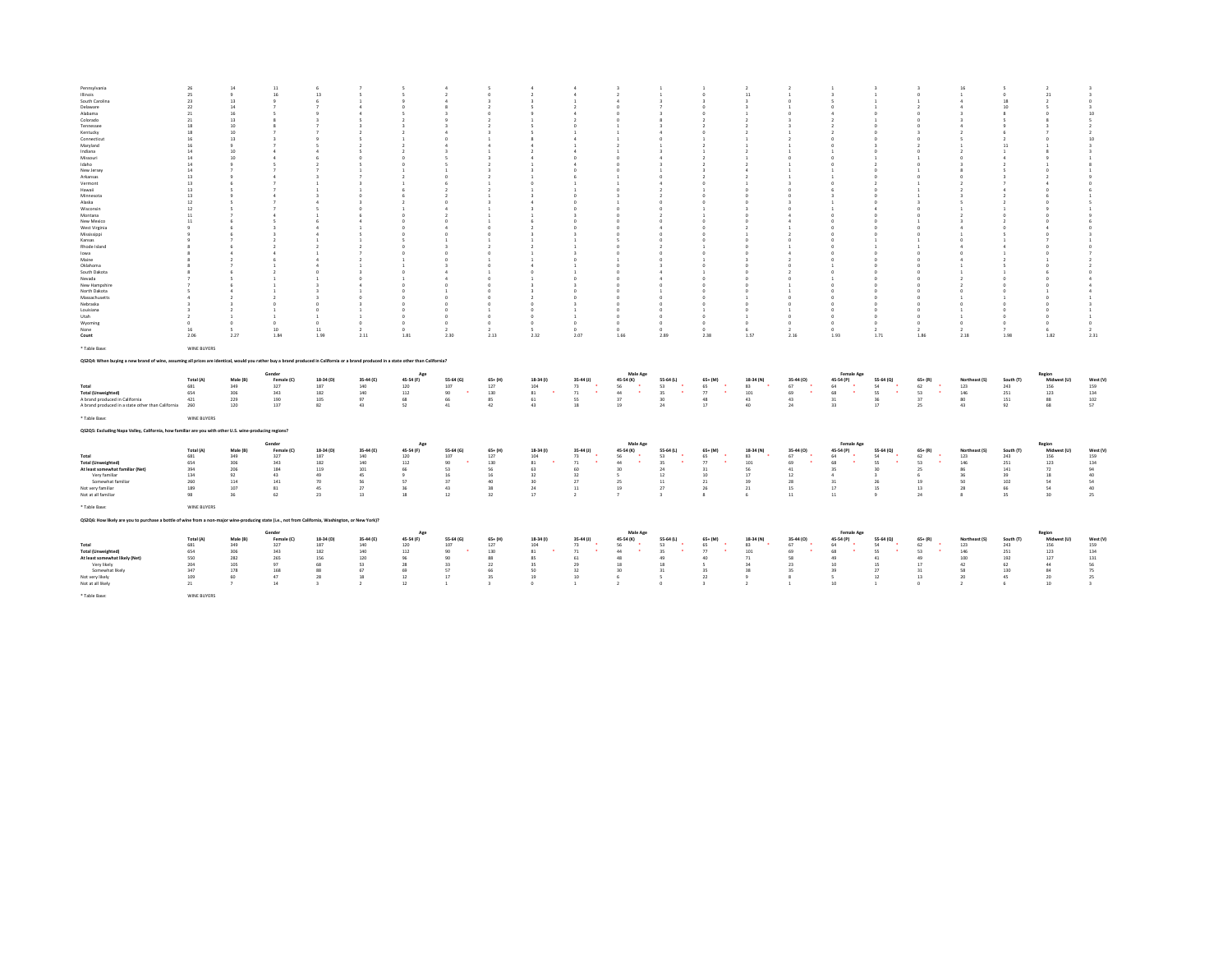| Pennsylvania                                                                                                                                                                          | 26          | 14            | 11         |                         |                          |                |                |                         |                |                                     |                       |                          |                                   |               |                                   |                          |                          |                     |                |                  |                       |                         |
|---------------------------------------------------------------------------------------------------------------------------------------------------------------------------------------|-------------|---------------|------------|-------------------------|--------------------------|----------------|----------------|-------------------------|----------------|-------------------------------------|-----------------------|--------------------------|-----------------------------------|---------------|-----------------------------------|--------------------------|--------------------------|---------------------|----------------|------------------|-----------------------|-------------------------|
| Illinois.                                                                                                                                                                             | 25          | $\ddot{q}$    | 16         | 13                      |                          | ×.             | $\rightarrow$  | $\Omega$                | $\overline{2}$ |                                     | $\overline{2}$        |                          | -0                                | 11            | $\mathbf{1}$                      |                          | $\mathbf{r}$             | $\Omega$            | $\mathbf{r}$   | $\Omega$         | 21                    | $\rightarrow$           |
| South Carolina                                                                                                                                                                        | 23          | 13            |            | £.                      |                          |                | $\overline{a}$ |                         |                |                                     |                       |                          |                                   |               | $\Omega$                          |                          |                          |                     | $\Delta$       | 18               | $\mathcal{L}$         | $^{\circ}$              |
| Delaware                                                                                                                                                                              | 22          | 14            |            |                         |                          |                |                |                         |                |                                     |                       |                          |                                   |               |                                   |                          |                          |                     |                | 10 <sub>10</sub> |                       | $\overline{\mathbf{3}}$ |
| Alabama                                                                                                                                                                               | 21          | 16            |            |                         |                          |                |                |                         |                |                                     |                       |                          |                                   |               | n                                 |                          |                          |                     |                |                  |                       | $10\,$                  |
| Colorado                                                                                                                                                                              | 21          | 13            |            |                         |                          |                |                |                         |                |                                     |                       |                          |                                   |               |                                   |                          |                          |                     |                |                  |                       | $\leq$                  |
| Tennessee                                                                                                                                                                             | 18          | 10            |            |                         |                          |                |                |                         |                |                                     |                       |                          |                                   |               |                                   |                          |                          |                     |                |                  |                       | $\rightarrow$           |
| Kentucky                                                                                                                                                                              | 18          | 10            |            |                         |                          |                |                |                         |                |                                     |                       |                          |                                   |               |                                   |                          |                          |                     |                |                  |                       | $\overline{2}$          |
| Connecticut                                                                                                                                                                           | 16          | 13            |            |                         |                          |                |                |                         |                |                                     |                       |                          |                                   |               |                                   |                          |                          |                     |                |                  |                       | 10                      |
| Maryland                                                                                                                                                                              | 16          | $\mathbf{Q}$  |            |                         |                          |                |                |                         |                |                                     |                       |                          |                                   |               |                                   |                          |                          |                     |                |                  |                       | $\overline{\mathbf{3}}$ |
| Indiana                                                                                                                                                                               | 14          | 10            |            |                         |                          |                |                |                         |                |                                     |                       |                          |                                   |               |                                   |                          |                          |                     |                |                  |                       |                         |
| Missouri                                                                                                                                                                              | 14          |               |            |                         |                          |                |                |                         |                |                                     |                       |                          |                                   |               |                                   |                          |                          |                     |                |                  |                       |                         |
| Idaho                                                                                                                                                                                 | 14          |               |            |                         |                          | $\Delta$       |                |                         | $\mathbf{1}$   |                                     |                       |                          |                                   |               | $\mathbf{1}$                      |                          |                          |                     |                |                  |                       |                         |
| New Jersey                                                                                                                                                                            | 14          |               |            |                         |                          |                |                |                         | $\overline{z}$ |                                     |                       |                          |                                   |               | $\mathbf{1}$                      |                          |                          |                     |                |                  |                       |                         |
| Arkansas                                                                                                                                                                              | 13          |               |            |                         |                          |                |                |                         |                |                                     |                       |                          |                                   |               |                                   |                          |                          |                     |                |                  |                       |                         |
| Vermont                                                                                                                                                                               | 13          |               |            |                         |                          |                |                |                         | $\Omega$       |                                     |                       |                          |                                   |               |                                   |                          |                          |                     |                |                  |                       |                         |
| Hawaii                                                                                                                                                                                | 13          |               |            |                         |                          |                |                |                         |                |                                     |                       |                          |                                   |               |                                   |                          |                          |                     |                |                  |                       |                         |
| Minnesota                                                                                                                                                                             | 13          |               |            |                         |                          |                | $\rightarrow$  |                         |                |                                     |                       |                          |                                   |               | $\Omega$                          |                          |                          |                     |                |                  |                       |                         |
| Alaska                                                                                                                                                                                | 12          |               |            |                         |                          |                | - O            |                         | $\Delta$       |                                     |                       |                          |                                   |               |                                   |                          |                          |                     |                |                  |                       |                         |
| Wisconsin                                                                                                                                                                             | 12          |               |            |                         |                          |                |                |                         |                |                                     |                       |                          |                                   |               | $^{\circ}$                        |                          |                          |                     |                |                  |                       |                         |
| Montana                                                                                                                                                                               | 11          |               |            |                         |                          |                | $\rightarrow$  |                         |                |                                     |                       |                          |                                   |               |                                   |                          |                          |                     |                |                  |                       |                         |
| New Mexico                                                                                                                                                                            | 11          |               |            |                         |                          |                | - 0            |                         |                |                                     |                       |                          |                                   |               | 4                                 |                          |                          |                     |                |                  |                       |                         |
| West Virginia<br>Mississippi                                                                                                                                                          |             |               |            |                         |                          |                | $\Omega$       |                         |                |                                     |                       |                          |                                   |               |                                   |                          |                          |                     |                |                  |                       |                         |
| Kansas                                                                                                                                                                                |             |               |            |                         |                          | $\Omega$       |                |                         | -3             |                                     |                       |                          |                                   |               | $\rightarrow$<br>$^{\circ}$       |                          |                          |                     |                |                  |                       |                         |
|                                                                                                                                                                                       |             |               |            |                         |                          |                |                |                         |                |                                     |                       |                          |                                   |               |                                   |                          |                          |                     |                |                  |                       |                         |
| Rhode Island<br>lowa                                                                                                                                                                  |             |               |            |                         |                          | $\sim$         | - 0            |                         |                |                                     |                       |                          |                                   |               |                                   |                          |                          |                     |                |                  |                       |                         |
| Maine                                                                                                                                                                                 |             |               |            |                         |                          |                |                |                         |                |                                     |                       |                          |                                   |               |                                   |                          |                          |                     |                |                  |                       |                         |
|                                                                                                                                                                                       |             |               |            |                         |                          |                |                |                         |                |                                     |                       |                          |                                   |               | n                                 |                          |                          |                     |                |                  |                       |                         |
| Oklahoma<br>South Dakota                                                                                                                                                              |             |               |            |                         |                          | $\sim$         | - 4            |                         | $\Omega$       |                                     |                       |                          |                                   |               |                                   |                          |                          |                     |                |                  |                       |                         |
| Nevada                                                                                                                                                                                |             |               |            |                         |                          |                |                |                         |                |                                     |                       |                          |                                   |               | $\Omega$                          |                          |                          |                     |                |                  |                       |                         |
| New Hampshire                                                                                                                                                                         |             |               |            |                         |                          |                |                |                         |                |                                     |                       |                          |                                   |               |                                   |                          |                          |                     |                |                  |                       |                         |
| North Dakota                                                                                                                                                                          |             |               |            |                         |                          |                |                |                         |                |                                     |                       |                          |                                   |               |                                   |                          |                          |                     |                |                  |                       |                         |
| Massachusetts                                                                                                                                                                         |             |               |            |                         |                          |                |                |                         |                |                                     |                       |                          |                                   |               | $\theta$                          |                          |                          |                     |                |                  |                       |                         |
| Nebraska                                                                                                                                                                              |             | $\rightarrow$ |            | $\sim$                  |                          | $\Omega$       | $\Omega$       | $\Omega$                | $\Omega$       |                                     | $\sim$                |                          | $\Omega$                          | $\sim$        | $\Omega$                          |                          | $\sim$                   |                     | $\Delta$       |                  |                       |                         |
| Louisiana                                                                                                                                                                             |             |               |            |                         |                          | $\Omega$       | n              |                         | $\Omega$       |                                     |                       |                          |                                   | $\Omega$      | $\mathbf{1}$                      |                          | n                        |                     |                |                  |                       |                         |
| Utah                                                                                                                                                                                  |             |               |            |                         |                          | $\Omega$       | $\circ$        | $\theta$                | $\circ$        |                                     |                       |                          |                                   | $\mathbf{1}$  | $\circ$                           |                          | $\circ$                  |                     |                |                  | $\Omega$              |                         |
| Wyoming                                                                                                                                                                               | $\Omega$    | $\Omega$      |            | $\Omega$                | $\Omega$                 | $\Omega$       | $\Omega$       | $\Omega$                | $^{\circ}$     | $^{\circ}$                          | $\Omega$              | $\Omega$                 | $\Omega$                          | $\sim$        | $^{\circ}$                        |                          | $\Omega$                 | $\sim$              | $^{\circ}$     |                  | $^{\circ}$            | $^{\circ}$              |
| None                                                                                                                                                                                  | 16          | -5            | 10         | 11                      | $\overline{\phantom{a}}$ | $^{\circ}$     | $\overline{z}$ | $\overline{2}$          | -5             | $^{\circ}$                          | $^{\circ}$            | $^{\circ}$               | $^{\circ}$                        | -6            | $\overline{2}$                    | $\Omega$                 | $\overline{2}$           | $\mathcal{L}$       | $\overline{2}$ |                  | 6                     | $\overline{2}$          |
|                                                                                                                                                                                       | 2.06        | 2.27          | 1.84       | 1.99                    | 2.11                     | 1.81           | 2.30           | 2.13                    | 2.32           | 2.07                                | 1.66                  | 2.89                     | 2.38                              | 1.57          | 2.16                              | 1.93                     | 1.71                     | 1.86                | 2.18           | 1.98             | 1.82                  | 2.31                    |
|                                                                                                                                                                                       |             |               |            |                         |                          |                |                |                         |                |                                     |                       |                          |                                   |               |                                   |                          |                          |                     |                |                  |                       |                         |
| Count                                                                                                                                                                                 |             |               |            |                         |                          |                |                |                         |                |                                     |                       |                          |                                   |               |                                   |                          |                          |                     |                |                  |                       |                         |
| * Table Base:                                                                                                                                                                         | WINE BUYERS |               |            |                         |                          |                |                |                         |                |                                     |                       |                          |                                   |               |                                   |                          |                          |                     |                |                  |                       |                         |
|                                                                                                                                                                                       |             |               |            |                         |                          |                |                |                         |                |                                     |                       |                          |                                   |               |                                   |                          |                          |                     |                |                  |                       |                         |
| Q\$2Q4: When buying a new brand of wine, assuming all prices are identical, would you rather buy a brand produced in California or a brand produced in a state other than California? |             |               |            |                         |                          |                |                |                         |                |                                     |                       |                          |                                   |               |                                   |                          |                          |                     |                |                  |                       |                         |
|                                                                                                                                                                                       |             |               |            |                         |                          |                |                |                         |                |                                     |                       |                          |                                   |               |                                   |                          |                          |                     |                |                  |                       |                         |
|                                                                                                                                                                                       |             |               | Gender     |                         |                          | Age            |                |                         |                |                                     | Male Age              |                          |                                   |               |                                   | <b>Female Age</b>        |                          |                     |                |                  | Region                |                         |
|                                                                                                                                                                                       | Total (A)   | Male (B)      | Female (C) | 18-34 (D)               | 35-44 (E)                | 45-54 (F)      | 55-64 (G)      | $65+ (H)$               | 18-34 (1)      | $35-44$ (J)<br>$\ddot{\phantom{1}}$ | 45-54 (K)<br>$\sim$   | 55-64 (L)                | $65+ (M)$<br>$\ddot{\phantom{1}}$ | 18-34 (N)     | 35-44 (0)<br>$\ddot{\phantom{1}}$ | 45-54 (P)                | 55-64 (Q)                | $65+ (R)$<br>$\sim$ | Northeast (S)  | South (T)        | Midwest (U)           | West (V)                |
| Total                                                                                                                                                                                 | 681<br>654  | 349<br>306    | 327        | 187                     | 140                      | 120            | 107            | 127                     | 104            | 73<br>$\ddot{\phantom{1}}$<br>71    | 56<br>$\sim$<br>44    | 53<br>$\mathbf{r}$<br>35 | 65<br>$\sim$<br>77                | 83            | 67<br>٠.<br>69                    | 64<br>68                 | 54<br>$\mathbf{r}$<br>52 | 62<br>$\sim$        | 123            | 243              | 156                   | 159                     |
| <b>Total (Unweighted)</b>                                                                                                                                                             |             |               | 343        | 182                     | 140                      | 112            | 90             | 130                     | 81             |                                     |                       |                          |                                   | 101           |                                   |                          |                          | 53                  | 146            | 251              | 123                   | 134                     |
| A brand produced in California                                                                                                                                                        | 421         | 229           | 190        | 105                     | 97                       | 68             | 66             | 85                      | 61             | SS <sub></sub>                      | 37                    | 30 <sub>2</sub>          | 48                                | 43            | 43                                | 31                       | 36                       | 37                  | 80             | 151              | 88                    | 102                     |
| A brand produced in a state other than California                                                                                                                                     | 260         | 120           | 137        | 82                      | 43                       | 52             | 41             | 42                      | 43             | 18                                  | 19                    | 24                       | $17\,$                            | 40            | 24                                | 33                       | 17                       | 25                  | 43             | 92               | 68                    | 57                      |
| * Table Base:                                                                                                                                                                         | WINE BUYERS |               |            |                         |                          |                |                |                         |                |                                     |                       |                          |                                   |               |                                   |                          |                          |                     |                |                  |                       |                         |
|                                                                                                                                                                                       |             |               |            |                         |                          |                |                |                         |                |                                     |                       |                          |                                   |               |                                   |                          |                          |                     |                |                  |                       |                         |
| QS2Q5: Excluding Napa Valley, California, how familiar are you with other U.S. wine-producing regions?                                                                                |             |               |            |                         |                          |                |                |                         |                |                                     |                       |                          |                                   |               |                                   |                          |                          |                     |                |                  |                       |                         |
|                                                                                                                                                                                       |             |               |            |                         |                          |                |                |                         |                |                                     |                       |                          |                                   |               |                                   |                          |                          |                     |                |                  |                       |                         |
|                                                                                                                                                                                       |             |               | Gende      |                         |                          | Age            |                |                         |                |                                     | Male Age              |                          |                                   |               |                                   | Female Age               |                          |                     |                |                  | Region                |                         |
|                                                                                                                                                                                       | Total (A)   | Male (B)      | Female (C) | 18-34 (D)               | 35-44 (E)                | 45-54 (F)      | 55-64 (G)      | $65+ (H)$               | 18-34 (1)      | $35-44$ (J)                         | 45-54 (K)             | 55-64 (L)                | $65+ (M)$                         | 18-34 (N)     | 35-44 (0)                         | 45-54 (P)                | 55-64 (Q)                | $65+ (R)$           | Northeast (S)  | South (T)        | Midwest (U)           | West (V)                |
| Total                                                                                                                                                                                 | 681         | 349           | 327        | 187                     | 140                      | 120            | 107            | 127                     | 104            | 73                                  | 56                    | 53                       | 65                                | 83            | 67                                | 64                       | 54                       | 62                  | 123            | 243              | 156                   | 159                     |
| <b>Total (Unweighted)</b>                                                                                                                                                             | 654         | 306           | 343        | 182                     | 140                      | 112            | 90             | 130                     | 81             | 71                                  | 44                    | 35                       | 77                                | 101           | 69                                | 68                       | SS.                      | 53                  | 146            | 251              | 123                   | 134                     |
| At least somewhat familiar (Net)                                                                                                                                                      | 394         | 206           | 184        | 119                     | 101                      | 66             | 53             | 56                      | 63             | 60                                  | 30<br>×,              | 24                       | 31                                | 56            | 41                                | 35                       | 30                       | 25                  | 86<br>26       | 141              | 72                    | 94                      |
| Very familiar                                                                                                                                                                         | 134         | 92            | 43         | 49                      | 45                       | $\overline{9}$ | 16             | 16                      | 32             | 32                                  |                       | 12                       | 10                                | 17            | 12                                |                          | $\overline{\mathbf{3}}$  |                     | 50             | 39               | 18                    | 40                      |
| Somewhat familiar                                                                                                                                                                     | 260         | 114           | 141        | 70                      | 56                       | 57             | 37             | 40                      | 30             | 27                                  | 25                    | 11                       | $21\,$                            | 39            | 28                                | 31                       | 26                       | 19                  |                | 102              | 54                    | 54                      |
| Not very familiar                                                                                                                                                                     | 189         | 107           | 81         | 45                      | 27                       | 36             | 43             | 38                      | 24             | $11\,$                              | 19<br>$\overline{z}$  | 27                       | 26                                | 21            | 15                                | $17\,$                   | 15                       | 13                  | 28             | 66               | 54                    | 40                      |
| Not at all familiar                                                                                                                                                                   | 98          | 36            | 62         | 23                      | 13                       | 18             | 12             | 32                      | 17             | $\overline{2}$                      |                       | $\overline{\mathbf{3}}$  | $\mathbf{8}$                      | 6             | 11                                | 11                       | $\overline{9}$           | 24                  | 8              | 35               | 30                    | 25                      |
|                                                                                                                                                                                       |             |               |            |                         |                          |                |                |                         |                |                                     |                       |                          |                                   |               |                                   |                          |                          |                     |                |                  |                       |                         |
| * Table Base:                                                                                                                                                                         | WINE BUYERS |               |            |                         |                          |                |                |                         |                |                                     |                       |                          |                                   |               |                                   |                          |                          |                     |                |                  |                       |                         |
| Q\$2Q6: How likely are you to purchase a bottle of wine from a non-major wine-producing state (i.e., not from California, Washington, or New York)?                                   |             |               |            |                         |                          |                |                |                         |                |                                     |                       |                          |                                   |               |                                   |                          |                          |                     |                |                  |                       |                         |
|                                                                                                                                                                                       |             |               | Gender     |                         |                          | App            |                |                         |                |                                     |                       |                          |                                   |               |                                   |                          |                          |                     |                |                  |                       |                         |
|                                                                                                                                                                                       | Total (A)   | Male (B)      | Female (C) | 18-34 (D)               | 35-44 (E)                | 45-54 (F)      | 55-64 (G)      | $65+ (H)$               | 18-34 (f)      | $35-44$ (J)                         | Male Age<br>45-54 (K) | 55-64 (L)                | $65+ (M)$                         | 18-34 (N)     | 35-44 (0)                         | <b>Female Age</b>        | 55-64 (0)                | $65+ (R)$           | Northeast (S)  | South (T)        | Region<br>Midwest (U) | West (V)                |
| Total                                                                                                                                                                                 | 681         | 349           | 327        | 187                     | 140                      | 120            | 107            | 127                     | 104            | 73                                  | 56                    | 53                       | 65                                | 83            | 67                                | 45-54 (P)<br>64          | 54                       | 62                  | 123            | 243              | 156                   | 159                     |
| <b>Total (Unweighted)</b>                                                                                                                                                             | 654         | 306           | 343        | 182                     | 140                      | 112            | 90             | 130                     | 81             | 71                                  | $\mathbf{r}$<br>44    | 35                       | ٠.<br>77                          | 101           | 69                                | 68                       | 55                       | 53<br>$\mathbf{r}$  | 146            | 251              | 123                   | 134                     |
| At least somewhat likely (Net)                                                                                                                                                        | 550         | 282           | 265        | 156                     | 120                      | 96             | 90             | 88                      | 85             | 61                                  | 48                    | 49                       | 40                                | $71\,$        | 58                                | 49                       | 41                       | 49                  | 100            | 192              | 127                   | 131                     |
| Very likely                                                                                                                                                                           | 204         | 105           | 97         | 68                      | 53                       | 28             | 33             | 22                      | 35             | 29                                  | 18                    | 18                       | $\mathsf{s}$                      | 34            | 23                                | 10                       | 15                       | 17                  | 42             | 62               | 44                    | 56                      |
| Somewhat likely                                                                                                                                                                       | 347         | 178           | 168        | 88                      | 67                       | 69             | 57             | 66                      | 50             | 32                                  | 30                    | 31                       | 35                                | 38            | 35                                | 39                       | 27                       | 31                  | 58             | 130              | 84                    | 75                      |
| Not very likely                                                                                                                                                                       | 109         | 60            | 47         | 28                      | 18                       | $12\,$         | 17             | 35                      | 19             | 10                                  | 6                     | $\mathsf{s}$             | $22\,$                            | 9             | $\mathbf{s}$                      | $\overline{\phantom{a}}$ | 12                       | 13                  | 20             | 45               | 20                    | 25                      |
| Not at all likely                                                                                                                                                                     | 21          | $\mathbf{r}$  | 14         | $\overline{\mathbf{3}}$ | $\rightarrow$            | 12             | $\mathbf{1}$   | $\overline{\mathbf{3}}$ | $^{\circ}$     | $\mathbf{1}$                        | $\overline{2}$        | $\Omega$                 | $\overline{\mathbf{3}}$           | $\rightarrow$ | $\overline{1}$                    | 10                       | $\overline{1}$           | $\sim$              | $\overline{2}$ | -6               | $10$                  | $\overline{\mathbf{3}}$ |
| * Table Base:                                                                                                                                                                         | WINE BUYERS |               |            |                         |                          |                |                |                         |                |                                     |                       |                          |                                   |               |                                   |                          |                          |                     |                |                  |                       |                         |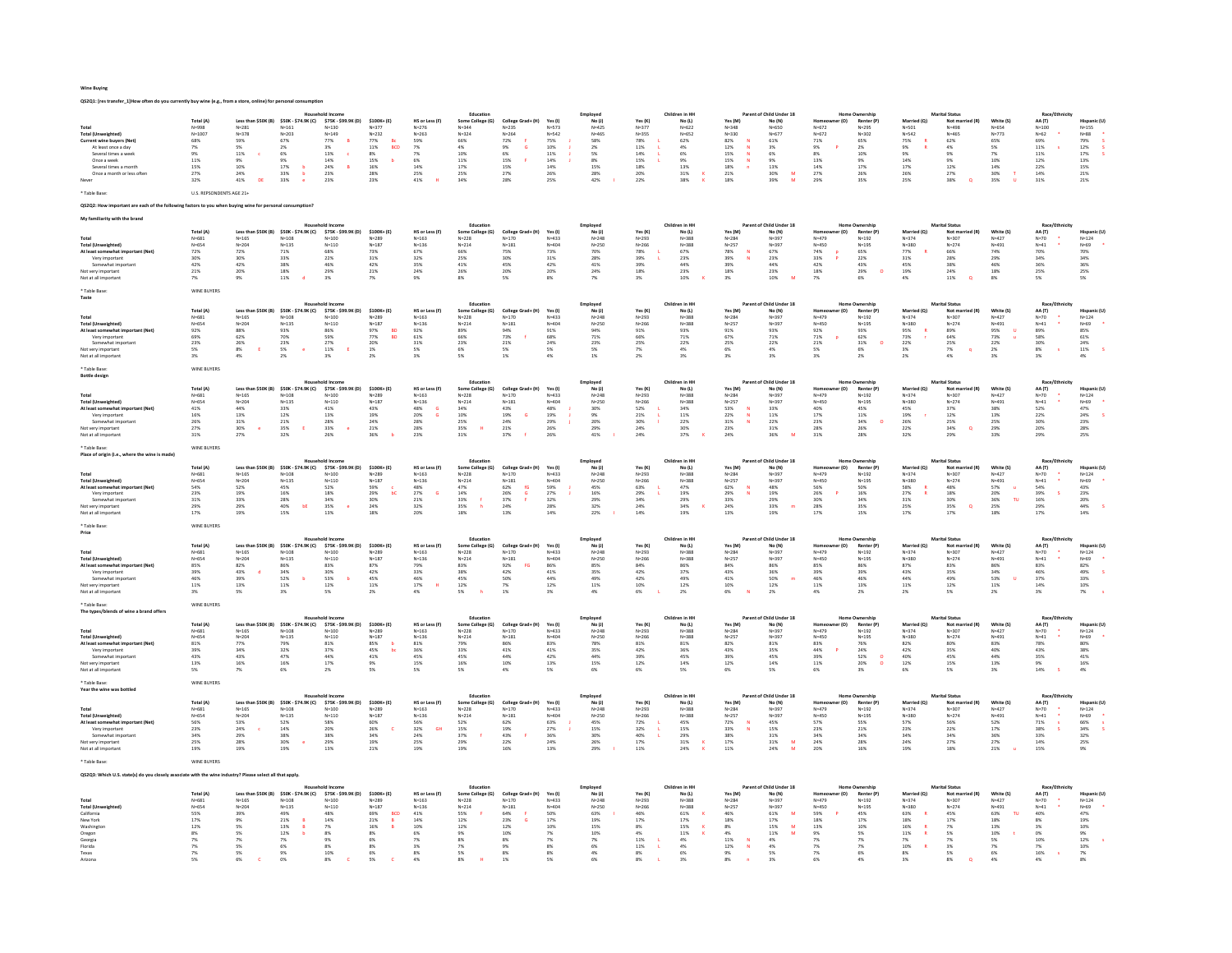Wine Buying

| QS2Q1: [res transfer_1]How often do you currently buy wine (e.g., from a store, online) for personal co                                                                                             |                                                                                                                    |                                                                                                    |                                                                                                                      |                                                                                                                                              |                                                                                                                                                                              |                                                                                                                             |                                                                                                        |                                                                                                                                           |                                                                                          |                                                                                                        |                                                                                          |                                                                                                        |                                                                                                                         |                                                                                                                                           |                                                                                                                    |                                                                                                                         |                                                                                                                              |                                                                                                                            |                                                                                                     |                                                                                                             |                                                                                                   |
|-----------------------------------------------------------------------------------------------------------------------------------------------------------------------------------------------------|--------------------------------------------------------------------------------------------------------------------|----------------------------------------------------------------------------------------------------|----------------------------------------------------------------------------------------------------------------------|----------------------------------------------------------------------------------------------------------------------------------------------|------------------------------------------------------------------------------------------------------------------------------------------------------------------------------|-----------------------------------------------------------------------------------------------------------------------------|--------------------------------------------------------------------------------------------------------|-------------------------------------------------------------------------------------------------------------------------------------------|------------------------------------------------------------------------------------------|--------------------------------------------------------------------------------------------------------|------------------------------------------------------------------------------------------|--------------------------------------------------------------------------------------------------------|-------------------------------------------------------------------------------------------------------------------------|-------------------------------------------------------------------------------------------------------------------------------------------|--------------------------------------------------------------------------------------------------------------------|-------------------------------------------------------------------------------------------------------------------------|------------------------------------------------------------------------------------------------------------------------------|----------------------------------------------------------------------------------------------------------------------------|-----------------------------------------------------------------------------------------------------|-------------------------------------------------------------------------------------------------------------|---------------------------------------------------------------------------------------------------|
| <b>Total (Unweighted)</b><br>Current wine buyers (Net)<br>At least once a day<br>Several times a week<br>Once a week<br>Several times a month<br>Once a month or less often<br>Table Base:          | <b>Total (A)</b><br>N=998<br>$N = 1007$<br>68%<br>7%<br>9%<br>11%<br>15%<br>27%<br>32%<br>U.S. REPSONDENTS AGE 21+ | $N = 281$<br>$N = 378$<br>59%<br>5%<br>$11\%$<br>$\epsilon$<br>9%<br>10%<br>24%<br>41%<br>DE       | $N = 161$<br>$N = 203$<br>67%<br>2%<br>6%<br>9%<br>17%<br>33%<br>33%<br>$\overline{h}$                               | Less than \$50K (B) \$50K - \$74.9K (C) \$75K - \$99.9K (D)<br>$N = 130$<br>$N = 149$<br>$77\%$<br>3%<br>13%<br>14%<br>24%<br>23%<br>23%     | \$100K+(E)<br>$N = 377$<br>$N = 232$<br>$77%$<br>11%<br>BCD<br>$8\%$<br>$\begin{array}{l} 15\% \\ 16\% \end{array}$<br>28%<br>23%                                            | HS or Less (F)<br>$N = 276$<br>$N = 263$<br>59%<br>7%<br>$7\%$<br>6%<br>14%<br>25%<br>41%                                   | Education<br>Some College (G)<br>N=344<br>$N = 324$<br>$66\%$<br>4%<br>10%<br>11%<br>17%<br>25%<br>34% | College Grad+ (H)<br>$N = 235$<br>$N = 264$<br>$72\%$<br>9%<br>G<br>6%<br>15%<br>15%<br>27%<br>28%                                        | Yes (I)<br>$N = 573$<br>$N = 542$<br>75%<br>10%<br>$11\%$<br>14%<br>$14\%$<br>26%<br>25% | Employed<br>No(1)<br>$N = 425$<br>$N = 465$<br>58%<br>2%<br>$5\%$<br>8%<br>15%<br>28%<br>42%           | Yes (K)<br>N=377<br>$N = 355$<br>78%<br>11%<br>14%<br>15%<br>18%<br>20%<br>22%           | Children in HH<br>No (L)<br>$N = 62$<br>$N = 652$<br>62%<br>4%<br>$6\%$<br>9%<br>13%<br>31%<br>38%     | Yes (M)<br>N=348<br>$N = 330$<br>82%<br>12%<br>$\overline{\mathbf{M}}$<br>15%<br>15%<br>N<br>18%<br>21%<br>18%          | t of Child Under 18<br>No (N)<br>$N = 650$<br>$N = 677$<br>61%<br>3%<br>6%<br>9%<br>13%<br>30%<br>39%<br>$\frac{\mathsf{M}}{\mathsf{M}}$  | r (O)<br>$N = 672$<br>$N = 672$<br>71%<br>9%<br>8%<br>13%<br>14%<br>27%<br>29%                                     | Renter (P)<br>N=295<br>$N = 302$<br>65%<br>2%<br>10%<br>9%<br>17%<br>26%<br>35%                                         | Married (O)<br>$N = 501$<br>$N = 542$<br>75%<br>$9\%$<br>9%<br>14%<br>$17\%$<br>26%<br>25%                                   | Marital Statu<br>Not married (R)<br>N=498<br>$N = 465$<br>62%<br>4%<br>9%<br>9%<br>12%<br>27%<br>38%<br>$\alpha$           | White (S)<br>$N = 654$<br>$N = 773$<br>65%<br>5%<br>7%<br>10%<br>$14\%$<br>30%<br>35%               | Race/Eth<br>AA (T)<br>$N = 100$<br>$N = 62$<br>69%<br>11%<br>11%<br>12%<br>$22\%$<br>14%<br>31%             | <b>Hispanic (L</b><br>$N=155$<br>$N = 88$<br>$79%$<br>$12%$<br>$17\%$<br>13%<br>15%<br>21%<br>21% |
| QS2Q2: How important are each of the follo                                                                                                                                                          |                                                                                                                    | ing factors to you when buying wine for personal consumption?                                      |                                                                                                                      |                                                                                                                                              |                                                                                                                                                                              |                                                                                                                             |                                                                                                        |                                                                                                                                           |                                                                                          |                                                                                                        |                                                                                          |                                                                                                        |                                                                                                                         |                                                                                                                                           |                                                                                                                    |                                                                                                                         |                                                                                                                              |                                                                                                                            |                                                                                                     |                                                                                                             |                                                                                                   |
| familiarity with the brane                                                                                                                                                                          |                                                                                                                    |                                                                                                    |                                                                                                                      |                                                                                                                                              |                                                                                                                                                                              |                                                                                                                             |                                                                                                        |                                                                                                                                           |                                                                                          |                                                                                                        |                                                                                          |                                                                                                        |                                                                                                                         |                                                                                                                                           |                                                                                                                    |                                                                                                                         |                                                                                                                              |                                                                                                                            |                                                                                                     |                                                                                                             |                                                                                                   |
| Total<br><b>Total (Unweighted)</b><br>At least somewhat important (Net)<br>Very important<br>Somewhat importan<br>Not very important<br>Not at all importan                                         | <b>Total (A)</b><br>$N = 681$<br>$N = 654$<br>72%<br>30%<br>42%<br>21%<br>7%                                       | $N = 165$<br>$N = 204$<br>$72\%$<br>30%<br>42%<br>20%<br>9%                                        | $N = 108$<br>$N=135$<br>71%<br>33%<br>38%<br>18%<br>$11\%$<br><b>d</b>                                               | Less than \$50K (B) \$50K - \$74.9K (C) \$75K - \$99.9K (D)<br>$N = 100$<br>$N = 110$<br>68%<br>22%<br>46%<br>29%<br>3%                      | \$100K+(E)<br>$N = 289$<br>$N = 187$<br>73%<br>31%<br>42%<br>21%<br>$7\%$                                                                                                    | HS or Less (F)<br>$N = 163$<br>$N = 136$<br>67%<br>32%<br>$35\%$<br>24%<br>9%                                               | Educatio<br>Some College (G)<br>$N=228$<br>$N = 214$<br>$66\%$<br>25%<br>$41\%$<br>26%<br>8%           | College Grad+ (H)<br>$N = 170$<br>$N = 181$<br>$75\%$<br>30%<br>45%<br>20%<br>5%                                                          | Yes (I)<br>$N = 433$<br>$N = 404$<br>73%<br>31%<br>42%<br>20%<br>$8\%$                   | Employed<br>No(1)<br>$N = 248$<br>$N = 250$<br>70%<br>28%<br>41%<br>24%<br>7%                          | Yes (K)<br>$N = 293$<br>$N = 266$<br>78%<br>39%<br>39%<br>18%<br>3%                      | Children in HH<br>No (L)<br>$N = 388$<br>$N = 388$<br>67%<br>23%<br>44%<br>23%<br>10%                  | Yes (M)<br>$N = 284$<br>$N = 257$<br>$78\%$<br>N<br>39%<br>39%<br>$\overline{N}$<br>18%<br>3%                           | Parent of Child Under 18<br>No (N)<br>N=397<br>$N = 397$<br>67%<br>23%<br>44%<br>23%<br>10%<br>$\overline{M}$                             | Homeowner (O)<br>N=479<br>$N = 450$<br>$74\%$<br>$\frac{p}{p}$<br>33%<br>42%<br>18%<br>$7\%$                       | Renter (P)<br>$N = 192$<br>$N = 195$<br>65%<br>$\frac{22\%}{43\%}$<br>29%<br>$\circ$<br>$6\%$                           | Married (Q)<br>$N = 374$<br>$N = 380$<br>77%<br>31%<br>45%<br>19%<br>$4\%$                                                   | Not married (R)<br>$N = 307$<br>$N = 274$<br>66%<br>28%<br>38%<br>24%<br>$11\%$<br>$\alpha$                                | White (S)<br>$N = 427$<br>$N = 491$<br>$74\%$<br>29%<br>46%<br>18%<br>8%                            | Race/Et<br>AA (T)<br>$N=70$<br>$N=41$<br>70%<br>34%<br>$36\%$<br>25%<br>5%                                  | Hispanic (U<br>$N = 124$<br>$N = 69$<br>70%<br>34%<br>36%<br>25%<br>$5\%$                         |
| Table Base:<br>Taste                                                                                                                                                                                | WINE BUYERS                                                                                                        |                                                                                                    |                                                                                                                      |                                                                                                                                              |                                                                                                                                                                              |                                                                                                                             |                                                                                                        |                                                                                                                                           |                                                                                          |                                                                                                        |                                                                                          |                                                                                                        |                                                                                                                         |                                                                                                                                           |                                                                                                                    |                                                                                                                         |                                                                                                                              |                                                                                                                            |                                                                                                     |                                                                                                             |                                                                                                   |
| Total<br><b>Total (Unweighted)</b><br>At least somewhat important (Net<br>Very important<br>Somewhat importan<br>Not very importan<br>Not at all important<br>' Table Base:<br><b>Bottle design</b> | Total (A)<br>$N = 681$<br>$N = 654$<br>92%<br>69%<br>23%<br>5%<br>3%<br>WINE BUYERS                                | Less than \$50K (B)<br>$N = 165$<br>$N = 204$<br>88%<br>$62\%$<br>26%<br>$\epsilon$<br>$8\%$<br>4% | $N = 108$<br>$N = 135$<br>93%<br>70%<br>23%<br>$5\%$<br>$\epsilon$<br>2%                                             | \$50K - \$74.9K (C) \$75K - \$99.9K (D)<br>$N = 100$<br>$N = 110$<br>86%<br>59%<br>27%<br>11%<br>$\epsilon$<br>3%                            | \$100K+(E)<br>$N = 289$<br>$N = 187$<br><b>BD</b><br>97%<br>77%<br>20%<br>BD<br>$1\%$<br>2%                                                                                  | <b>HS or Less (F)</b><br>$N = 163$<br>$N = 136$<br>92%<br>$61\%$<br>31%<br>$5\%$<br>3%                                      | Education<br>Some College (G)<br>$N = 228$<br>$N = 214$<br>89%<br>66%<br>23%<br>6%<br>5%               | College Grad+ (H)<br>$N = 170$<br>$N = 181$<br>94%<br>$^{73\%}_{21\%}$<br>5%<br>1%                                                        | Yes (I)<br>$N = 433$<br>$N = 404$<br>91%<br>68%<br>24%<br>$5\%$<br>4%                    | Employed<br>No(1)<br>$N = 248$<br>$N = 250$<br>94%<br>71%<br>23%<br>5%<br>1%                           | Yes (K)<br>$N = 293$<br>$N = 266$<br>91%<br>66%<br>25%<br>$7\%$<br>2%                    | Children in HH<br>No (I)<br>$N = 388$<br>$N = 388$<br>93%<br>$71\%$<br>22%<br>4%<br>3%                 | Yes (M)<br>$N = 284$<br>$N = 257$<br>91%<br>$67\%$<br>25%<br>6%<br>3%                                                   | Parent of Child Under 18<br>No (N)<br>$N = 397$<br>$N = 397$<br>93%<br>$71\%$<br>22%<br>4%<br>3%                                          | r (O)<br>N=479<br>N=450<br>92%<br>$71\%$ 21%<br>$5\%$<br>3%                                                        | <b>Home Ownership</b><br>Renter (P)<br>$N = 192$<br>N=195<br>93%<br>$\frac{62\%}{31\%}$<br>$6\%$<br>2%                  | Married (O)<br>$N = 374$<br>$N = 380$<br>95%<br>$\mathbf{R}$<br>73%<br>22%<br>$3\%$<br>2%                                    | <b>Marital Status</b><br>Not married (R)<br>$N = 307$<br>$N = 274$<br>89%<br>64%<br>25%<br>$7\%$<br>$\overline{q}$<br>4%   | White (S)<br>$N = 427$<br>$N = 491$<br><b>U</b><br>95%<br>73%<br>22%<br>2%<br>3%                    | Race/Eth<br>AA (T)<br>$N=70$<br>$N = 41$<br>89%<br>58%<br>30%<br>$8\%$<br>3%                                | <b>Hispanic (L</b><br>$N = 124$<br>$N = 69$<br>85%<br>$\frac{61\%}{24\%}$<br>$11\%$<br>4%         |
| Total<br><b>Total (Unweighted)</b><br>At least somewhat important (Net)<br>Very important<br>Somewhat important<br>Not very important<br>Not at all important                                       | Total (A)<br>$N = 681$<br>$N=654$<br>41%<br>16%<br>26%<br>27%<br>31%                                               | Less than \$50K (B)<br>$N = 165$<br>$N = 204$<br>44%<br>13%<br>$31\%$<br>$\epsilon$<br>30%<br>27%  | \$50K - \$74.9K (C)<br>$N = 108$<br>$N=135$<br>33%<br>12%<br>$\begin{array}{l} 21\% \\ 35\% \end{array}$<br>E<br>32% | Household Incom<br>\$75K - \$99.9K (D)<br>$N = 100$<br>$N = 110$<br>41%<br>13%<br>28%<br>33%<br>$\epsilon$<br>26%                            | $$100K + (E)$<br>$N = 289$<br>$N = 187$<br>43%<br>19%<br>$\frac{24\%}{21\%}$<br>36%                                                                                          | HS or Less (F)<br>$N = 163$<br>$N = 136$<br>48%<br>G<br>20%<br>G<br>28%<br>28%<br>23%                                       | Education<br>Some College (G)<br>$N = 228$<br>$N = 214$<br>34%<br>10%<br>25%<br>35%<br>31%             | College Grad+ (H)<br>$N = 170$<br>$N = 181$<br>43%<br>19%<br>G<br>$\frac{24\%}{21\%}$<br>37%                                              | Yes (I)<br>$N = 433$<br>$N = 404$<br>48%<br>19%<br>29%<br>26%<br>26%                     | Employed<br>No (J)<br>$N = 248$<br>$N = 250$<br>30%<br>$9\%$<br>20%<br>29%<br>41%                      | Yes (K)<br>$N = 293$<br>$N = 266$<br>52%<br>21%<br>30%<br>24%<br>24%                     | Children in HH<br>No (L)<br>$N = 388$<br>$N = 388$<br>34%<br>11%<br>22%<br>30%<br>37%                  | Yes (M)<br>$N = 284$<br>$N = 257$<br>53%<br>N<br>22%<br>$\overline{N}$<br>$31\%$<br>$\overline{N}$<br>23%<br>24%        | Parent of Child Under 18<br>No (N)<br>$N = 397$<br>N=397<br>33%<br>11%<br>$\frac{22\%}{31\%}$<br>36%<br>$\overline{\mathbf{u}}$           | r (O)<br>$N = 479$<br>$N = 450$<br>40%<br>17%<br>$23\%$<br>28%<br>31%                                              | Home Ownership<br>Renter (P)<br>$N = 192$<br>N=195<br>45%<br>11%<br>34%<br>26%<br>$\alpha$<br>28%                       | Married (Q)<br>$N = 374$<br>$N = 380$<br>45%<br>19%<br>26%<br>22%<br>32%                                                     | <b>Marital Status</b><br>Not married (R)<br>$N = 307$<br>$N = 274$<br>37%<br>12%<br>25%<br>34%<br>$\alpha$<br>29%          | White (S)<br>$N = 427$<br>$N = 491$<br>38%<br>13%<br>25%<br>29%<br>33%                              | <b>Race/Ethnicity</b><br>AA (T)<br>$N=70$<br>$N = 41$<br>52%<br>22%<br>30%<br>20%<br>29%                    | Hispanic (U<br>$N = 124$<br>$N = 69$<br>47%<br>$24\%$<br>23%<br>28%<br>25%                        |
| Table Base<br>Place of origin (i.e., where the wine is made                                                                                                                                         | WINE BUYERS                                                                                                        |                                                                                                    |                                                                                                                      |                                                                                                                                              |                                                                                                                                                                              |                                                                                                                             |                                                                                                        |                                                                                                                                           |                                                                                          |                                                                                                        |                                                                                          |                                                                                                        |                                                                                                                         |                                                                                                                                           |                                                                                                                    |                                                                                                                         |                                                                                                                              |                                                                                                                            |                                                                                                     |                                                                                                             |                                                                                                   |
|                                                                                                                                                                                                     |                                                                                                                    |                                                                                                    |                                                                                                                      |                                                                                                                                              |                                                                                                                                                                              |                                                                                                                             | Education                                                                                              |                                                                                                                                           |                                                                                          | :<br>mployed                                                                                           |                                                                                          | Children in HH                                                                                         |                                                                                                                         | Parent of Child Under 18                                                                                                                  |                                                                                                                    | harrhii                                                                                                                 |                                                                                                                              | <b>Marital Statu</b>                                                                                                       |                                                                                                     | Race/Eth                                                                                                    |                                                                                                   |
| Total                                                                                                                                                                                               | Total (A)<br>$N = 681$                                                                                             | $N = 165$                                                                                          | Less than \$50K (B) \$50K - \$74.9K (C)<br>$N = 108$                                                                 | \$75K - \$99.9K (D)<br>$N = 100$                                                                                                             | \$100K+(E)<br>$N = 289$                                                                                                                                                      | HS or Less (F)<br>$N = 163$                                                                                                 | Some College (G)<br>$N = 228$                                                                          | College Grad+ (H)<br>$N = 170$                                                                                                            | Yes (I)<br>$N = 433$                                                                     | No (J)<br>$N = 248$                                                                                    | Yes (K)<br>$N = 293$                                                                     | No (L)<br>$N = 388$                                                                                    | Yes (M)<br>$N = 284$                                                                                                    | No (N)<br>$N = 397$                                                                                                                       | er (O)<br>Homeo <sub>1</sub><br>$N = 479$                                                                          | Renter (P)<br>$N = 192$                                                                                                 | Married (Q)<br>$N = 374$                                                                                                     | Not married (R)<br>$N = 307$                                                                                               | White (S)<br>$N = 427$                                                                              | AA (T)<br>$N=70$                                                                                            | Hispanic (U<br>$N = 124$                                                                          |
| <b>Total (Unweighted)</b><br>At least somewhat important (Net                                                                                                                                       | $N = 654$<br>54%                                                                                                   | $N = 204$<br>$52\%$                                                                                | $N = 135$<br>45%                                                                                                     | $N = 110$<br>52%                                                                                                                             | $N = 187$<br>59%                                                                                                                                                             | $N = 136$                                                                                                                   | $N = 214$<br>$47\%$                                                                                    | $N = 181$<br>fG                                                                                                                           | $N = 404$                                                                                | $N = 250$<br>45%                                                                                       | $N = 266$<br>63%                                                                         | $N = 388$<br>47%                                                                                       | $N = 257$<br>$62\%$                                                                                                     | $N = 397$<br>48%                                                                                                                          | N=450<br>56%                                                                                                       | $N = 195$<br>50%                                                                                                        | $N = 380$                                                                                                                    | $N = 274$<br>48%                                                                                                           | $N = 491$<br>$57\%$                                                                                 | $N = 41$<br>$54\%$                                                                                          | $N = 69$                                                                                          |
| Very important<br>Somewhat importan                                                                                                                                                                 | 23%                                                                                                                | 19%<br>33%                                                                                         | 16%                                                                                                                  | 18%                                                                                                                                          | 29%<br><b>bC</b>                                                                                                                                                             | 48%<br>27%<br><b>G</b>                                                                                                      | 14%<br>$\overline{f}$                                                                                  | 62%<br>26%<br>37%<br>G<br>÷.                                                                                                              | 59%<br>27%                                                                               | 16%                                                                                                    | 29%                                                                                      | 19%                                                                                                    | 29%<br>$\overline{N}$                                                                                                   | 19%                                                                                                                                       | 26%<br><b>P</b>                                                                                                    | 16%                                                                                                                     | $58%$<br>$27%$<br>$\mathbb{R}$                                                                                               | 18%                                                                                                                        | 20%<br>TU.                                                                                          | 39%<br>×                                                                                                    | $43%$<br>$23%$                                                                                    |
| Not very important                                                                                                                                                                                  | 31%<br>29%                                                                                                         | 29%                                                                                                | 28%<br><b>bE</b><br>40%                                                                                              | 34%<br>35%<br>$\mathbf{r}$                                                                                                                   | 30%<br>24%                                                                                                                                                                   | $21\%$<br>32%                                                                                                               | 33%<br>35%                                                                                             | 24%                                                                                                                                       | $32\%$<br>28%                                                                            | 29%<br>32%                                                                                             | 34%<br>24%                                                                               | 29%<br>34%                                                                                             | 33%<br>24%                                                                                                              | 29%<br>33%<br>$\blacksquare$                                                                                                              | 30%<br>28%                                                                                                         | 34%<br>35%                                                                                                              | 31%<br>25%                                                                                                                   | 30%<br>$\alpha$<br>35%                                                                                                     | 36%<br>25%                                                                                          | $16\%$<br>29%                                                                                               | $\frac{20\%}{44\%}$                                                                               |
| Not at all important                                                                                                                                                                                | $17\%$                                                                                                             | 19%                                                                                                | 15%                                                                                                                  | 13%                                                                                                                                          | 18%                                                                                                                                                                          | 20%                                                                                                                         | 18%                                                                                                    | 13%                                                                                                                                       | 14%                                                                                      | 22%                                                                                                    | 14%                                                                                      | 19%                                                                                                    | 13%                                                                                                                     | 19%                                                                                                                                       | 17%                                                                                                                | 15%                                                                                                                     | 17%                                                                                                                          | 17%                                                                                                                        | 18%                                                                                                 | 17%                                                                                                         | 14%                                                                                               |
| Table Base:<br>Price                                                                                                                                                                                | WINE BUYERS                                                                                                        |                                                                                                    |                                                                                                                      |                                                                                                                                              |                                                                                                                                                                              |                                                                                                                             |                                                                                                        |                                                                                                                                           |                                                                                          |                                                                                                        |                                                                                          |                                                                                                        |                                                                                                                         |                                                                                                                                           |                                                                                                                    |                                                                                                                         |                                                                                                                              |                                                                                                                            |                                                                                                     |                                                                                                             |                                                                                                   |
| Total<br><b>Total (Unweighted)</b><br>At least somewhat important (Net<br>Very important<br>Somewhat important<br>Not very important<br>Not at all important                                        | Total (A)<br>$N = 681$<br>$N = 654$<br>85%<br>39%<br>46%<br>$11\%$<br>3%                                           | Less than \$50K (B)<br>$N = 165$<br>$N = 204$<br>82%<br>43%<br>$\overline{a}$<br>39%<br>13%<br>5%  | $N = 108$<br>$N = 135$<br>86%<br>34%<br>52%<br>$\overline{h}$<br>$11\%$<br>3%                                        | \$50K - \$74.9K (C) \$75K - \$99.9K (D)<br>$N = 100$<br>$N = 110$<br>83%<br>30%<br>53%<br>$\mathbf{b}$<br>12%<br>5%                          | $$100K + (E)$<br>$N = 289$<br>$N = 1.87$<br>87%<br>$42\%$<br>45%<br>$11\%$<br>2%                                                                                             | HS or Less (F)<br>$N = 163$<br>$N = 136$<br>79%<br>33%<br>46%<br>17%<br>$\overline{H}$<br>4%                                | Education<br>Some College (G)<br>$N = 228$<br>$N = 214$<br>83%<br>$38\%$<br>45%<br>$12\%$<br>5%        | College Grad+ (H)<br>$N = 170$<br>$N = 181$<br>RG<br>92%<br>$42\%$<br>50%<br>7%<br>1%                                                     | Yes (I)<br>$N = 433$<br>$N = 404$<br>$86\%$<br>41%<br>44%<br>$12\%$<br>3%                | <i>Employed</i><br>No(1)<br>$N = 248$<br>$N = 250$<br>85%<br>35%<br>49%<br>$11\%$<br>4%                | Yes (K)<br>$N = 293$<br>$N = 266$<br>84%<br>42%<br>42%<br>10%<br>6%                      | Children in HH<br>No (L)<br>$N = 388$<br>$N = 288$<br>86%<br>37%<br>49%<br>12%<br>2%                   | Yes (M)<br>$N = 284$<br>$N = 257$<br>84%<br>43%<br>41%<br>10%<br>$\overline{\mathbf{M}}$<br>6%                          | Parent of Child Under 18<br>No (N)<br>$N = 397$<br>$N = 397$<br>86%<br>36%<br>50%<br>$\blacksquare$<br>12%<br>2%                          | r (O)<br>$N = 479$<br>N=450<br>85%<br>39%<br>46%<br>11%<br>4%                                                      | Home Ownershij<br>Renter (P)<br>$N = 192$<br>$N = 195$<br>86%<br>39%<br>46%<br>13%<br>2%                                | Married (O)<br>$N = 374$<br>$N = 380$<br>87%<br>43%<br>44%<br>$11\%$<br>2%                                                   | <b>Marital Status</b><br>Not married (R)<br>$N = 307$<br>$N = 274$<br>83%<br>$35\%$<br>49%<br>$12\%$<br>5%                 | White (S)<br>$N = 427$<br>$N = 491$<br>86%<br>34%<br>53%<br>- 11<br>$11\%$<br>2%                    | Race/Eti<br>AA $(T)$<br>$N=70$<br>$N = 41$<br>83%<br>46%<br>37%<br>$14\%$<br>3%                             | <b>Hispanic (L</b><br>$N = 124$<br>$N = 69$<br>82%<br>49%<br>33%<br>10%<br>7%                     |
| Table Base:                                                                                                                                                                                         | WINE BUYERS                                                                                                        |                                                                                                    |                                                                                                                      |                                                                                                                                              |                                                                                                                                                                              |                                                                                                                             |                                                                                                        |                                                                                                                                           |                                                                                          |                                                                                                        |                                                                                          |                                                                                                        |                                                                                                                         |                                                                                                                                           |                                                                                                                    |                                                                                                                         |                                                                                                                              |                                                                                                                            |                                                                                                     |                                                                                                             |                                                                                                   |
| The types/blends of wine a brand offer<br>Total<br><b>Total (Unweighted</b><br>At least somewhat im<br>Very important<br>Somewhat important<br>ot very important<br>Not at all important            | Total (A)<br>$N = 681$<br>$N = 654$<br>81%<br>39%<br>43%<br>$13\%$<br>5%                                           | Less than \$50K (B)<br>$N=165$<br>$N = 204$<br>77%<br>34%<br>43%<br>16%<br>7%                      | \$50K - \$74.9K (C)<br>$N = 108$<br>$N = 135$<br>79%<br>32%<br>47%<br>16%<br>6%                                      | Household Income<br>\$75K - \$99.9K (D)<br>$N = 100$<br>$N = 110$<br>81%<br>37%<br>44%<br>17%<br>2%                                          | $$100K + (E)$<br>$N = 289$<br>$N = 187$<br>85%<br>45%<br>h<br>$_{\rm bc}$<br>$\begin{array}{l} 41\% \\ 9\% \\ 5\% \end{array}$                                               | HS or Less (F)<br>$N = 163$<br>$N = 136$<br>81%<br>36%<br>45%<br>15%<br>5%                                                  | Education<br>Some College (G)<br>$N = 228$<br>$N = 214$<br>79%<br>33%<br>45%<br>$16\%$<br>5%           | College Grad+ (H)<br>$N = 170$<br>$N = 181$<br>86%<br>41%<br>44%<br>$10\%$<br>4%                                                          | Yes $(l)$<br>$N = 433$<br>$N = 404$<br>83%<br>$41\%$<br>42%<br>13%<br>5%                 | Employed<br>No(1)<br>$N = 248$<br>$N = 250$<br>78%<br>35%<br>44%<br>15%<br>6%                          | Yes (K)<br>$N = 293$<br>$N = 266$<br>81%<br>42%<br>39%<br>12%<br>6%                      | Children in HH<br>No (L)<br>$N = 388$<br>$N = 388$<br>81%<br>36%<br>45%<br>$14\%$<br>5%                | Yes (M<br>$N = 284$<br>$N = 257$<br>82%<br>$43\%$<br>39%<br>12%<br>6%                                                   | Parent of Child Under 18<br>No (N)<br>$N = 397$<br>$N = 397$<br>81%<br>35%<br>45%<br>$14\%$<br>5%                                         | er (O)<br>$N = 479$<br>$N = 450$<br>$\substack{83\% \\ 44\%}$<br>$\overline{P}$<br>$\substack{39\% \\ 11\%}$<br>6% | <b>Home Ownership</b><br>Renter (P)<br>$N = 192$<br>N=195<br>76%<br>24%<br>52%<br>$\Omega$<br>20%<br>$\mathbf{o}$<br>3% | Married (Q)<br>$N = 374$<br>$N = 380$<br>82%<br>42%<br>40%<br>12%<br>6%                                                      | <b>Marital Status</b><br>Not married (R)<br>$N = 307$<br>$N = 274$<br>80%<br>35%<br>45%<br>15%<br>5%                       | White (S)<br>$N = 427$<br>$N = 491$<br>83%<br>40%<br>44%<br>$13\%$<br>3%                            | Race/Ethnicity<br>AA (T)<br>$N=70$<br>$N = 41$<br>78%<br>43%<br>35%<br>$9\%$<br>14%                         | Hispanic (l<br>$N = 124$<br>$N = 69$<br>80%<br>38%<br>41%<br>16%<br>4%                            |
| * Table Rase<br>Year the wine was bottled                                                                                                                                                           | WINE BUYERS                                                                                                        |                                                                                                    |                                                                                                                      |                                                                                                                                              |                                                                                                                                                                              |                                                                                                                             |                                                                                                        |                                                                                                                                           |                                                                                          |                                                                                                        |                                                                                          |                                                                                                        |                                                                                                                         |                                                                                                                                           |                                                                                                                    |                                                                                                                         |                                                                                                                              |                                                                                                                            |                                                                                                     |                                                                                                             |                                                                                                   |
| Total<br><b>Total (Unweighted)</b><br>At least somewhat impo<br>Very important<br>Somewhat importan<br>Not very important<br>Vot at all important                                                   | Total (A)<br>$N = 681$<br>$N = 654$<br>56%<br>23%<br>34%<br>25%<br>19%                                             | Less than \$50K (B)<br>$\texttt{N=165}$<br>$N = 204$<br>53%<br>24%<br>$29\%$<br>28%<br>19%         | \$50K - \$74.9K (C)<br>$N = 108$<br>$N=135$<br>$\frac{52\%}{14\%}$<br>38%<br>30%<br>19%                              | hold inc<br>\$75K - \$99.9K (D)<br>$N = 100$<br>$N = 110$<br>58%<br>20%<br>38%<br>29%<br>13%                                                 | \$100K+(E)<br>$N = 289$<br>$N = 187$<br>60%<br>26%<br>$\epsilon$<br>$34\%$<br>19%<br>21%                                                                                     | HS or Less (F)<br>$\mathsf{N}{=}163$<br>$N = 136$<br>$\frac{56\%}{32\%}$<br><b>GH</b><br>$24\%$<br>25%<br>19%               | Educatio<br>Some College (G)<br>$N = 228$<br>$N = 214$<br>$\frac{52\%}{15\%}$<br>$37\%$<br>29%<br>19%  | College Grad+ (H)<br>$N = 170$<br>$N = 181$<br>$62\%$<br>19%<br>$43\%$<br>22%<br>16%                                                      | Yes (I)<br>$N = 433$<br>$N = 404$<br>63%<br>27%<br>$36\%$<br>24%<br>$13\%$               | Employed<br>No (J)<br>$N = 248$<br>$N = 250$<br>45%<br>15%<br>30%<br>26%<br>29%                        | Yes (K)<br>$N = 293$<br>$N = 266$<br>$72\%$<br>32%<br>$40\%$<br>17%<br>11%               | Children in HH<br>No (L)<br>$N = 388$<br>$N = 388$<br>45%<br>15%<br>29%<br>31%<br>24%                  | Yes (M)<br>$N = 284$<br>$N=257$<br>72%<br>$\frac{N}{N}$<br>33%<br>$38\%$<br>17%<br>11%                                  | Parent of Child Under 18<br>No (N)<br>N=397<br>$N = 397$<br>45%<br>15%<br>$31\%$<br>31%<br>M<br>24%<br>$\mathbf{M}$                       | Home Or<br>er (O)<br>$N = 479$<br>$N = 450$<br>57%<br>23%<br>$34\%$<br>24%<br>20%                                  | mershir<br>Renter (P)<br>$N = 192$<br>$N = 195$<br>55%<br>21%<br>34%<br>28%<br>16%                                      | Married (Q)<br>$N = 374$<br>$N = 380$<br>57%<br>23%<br>34%<br>24%<br>19%                                                     | <b>Marital Status</b><br>Not married (R)<br>N=307<br>$N = 274$<br>56%<br>22%<br>$34\%$<br>27%<br>18%                       | White (S)<br>$N = 427$<br>$N = 491$<br>52%<br>17%<br>36%<br>27%<br>21%                              | Race/Eth<br>AA (T)<br>$N=70$<br>$N=41$<br>$71\%$<br>38%<br>$\overline{\phantom{a}}$<br>$33\%$<br>14%<br>15% | Hispanic (U<br>$N = 124$<br>$N = 69$<br>$66%$<br>34%<br>$32\%$<br>25%<br>9%                       |
|                                                                                                                                                                                                     | WINE BUYERS                                                                                                        |                                                                                                    |                                                                                                                      |                                                                                                                                              |                                                                                                                                                                              |                                                                                                                             |                                                                                                        |                                                                                                                                           |                                                                                          |                                                                                                        |                                                                                          |                                                                                                        |                                                                                                                         |                                                                                                                                           |                                                                                                                    |                                                                                                                         |                                                                                                                              |                                                                                                                            |                                                                                                     |                                                                                                             |                                                                                                   |
| QS2Q3: Which U.S. state(s) do you closely                                                                                                                                                           |                                                                                                                    | with the wine industry? Please select all that apply.                                              |                                                                                                                      |                                                                                                                                              |                                                                                                                                                                              |                                                                                                                             |                                                                                                        |                                                                                                                                           |                                                                                          |                                                                                                        |                                                                                          |                                                                                                        |                                                                                                                         |                                                                                                                                           |                                                                                                                    |                                                                                                                         |                                                                                                                              |                                                                                                                            |                                                                                                     |                                                                                                             |                                                                                                   |
| Total<br><b>Total (Unw</b><br>California<br>New York<br>Washington<br>Oregon<br>Georgia<br>Florida<br>Texas<br>Arizona                                                                              | Total (A)<br>$N = 681$<br>N=654<br>55%<br>$17\%$ 12%<br>8%<br>7%<br>7%<br>7%                                       | $N = 165$<br>$N = 204$<br>39%<br>$9\%$<br>5%<br>5%<br>7%<br>5%<br>5%<br>6%                         | $N = 108$<br>$N = 135$<br>49%<br>$\frac{21\%}{13\%}$<br>12%<br>7%<br>6%<br>9%<br>o%                                  | Less than \$50K (B) \$50K - \$74.9K (C) \$75K - \$99.9K (D)<br>$N = 100$<br>$N=110$<br>48%<br>$14\%$<br>7%<br>$8\%$<br>9%<br>8%<br>10%<br>8% | \$100K+(E)<br>$N = 289$<br>$N = 187$<br><b>BCD</b><br>69%<br>$\begin{array}{l} 21\% \\ 16\% \end{array}$<br>$\frac{\mathsf{B}}{\mathsf{B}}$<br>$8\%$<br>6%<br>8%<br>6%<br>5% | <b>HS or Less (F)</b><br>$N = 163$<br>$\frac{\mathsf{N}=136}{41\%}$<br>$\frac{14\%}{10\%}$<br>$6\%$<br>7%<br>3%<br>8%<br>4% | Educatio<br>Some College (G)<br>$N = 228$<br>$N = 214$<br>55%<br>$12\%$ 12%<br>9%<br>8%<br>5%<br>8%    | College Grad+ (H)<br>$N = 170$<br>$N = 181$<br>64%<br>23%<br>12%<br>G<br>$10\%$<br>$\begin{array}{l} 8\% \\ 9\% \\ 8\% \end{array}$<br>1% | Yes (I)<br>$N = 433$<br>$N = 404$<br>50%<br>$17\%$ 10%<br>$7\%$<br>7%<br>8%<br>8%        | <b>Employed</b><br>No(1)<br>$N = 248$<br>$N = 250$<br>63%<br>19%<br>15%<br>10%<br>7%<br>6%<br>4%<br>6% | Yes (K)<br>$N = 293$<br>$N = 266$<br>46%<br>17%<br>$8\%$<br>4%<br>11%<br>11%<br>8%<br>8% | Children in HH<br>No (I)<br>$N = 388$<br>$N = 388$<br>61%<br>17%<br>15%<br>11%<br>4%<br>4%<br>6%<br>3% | Yes (M)<br>$N = 284$<br>$N=257$<br>46%<br>$18\%$<br>8%<br>4%<br>11%<br>$\overline{N}$<br>$12\%$<br>$\overline{N}$<br>9% | Parent of Child Under 18<br>No (N)<br>N=397<br>$N = 397$<br>M<br>61%<br>17%<br>15%<br>$\mathbf{M}$<br>$11\%$<br>M<br>4%<br>4%<br>5%<br>3% | r (O)<br>$N = 479$<br>$N = 450$<br>59%<br>18%<br>13%<br>$9\%$<br>7%<br>7%<br>7%                                    | <b>Renter (P)</b><br>$N = 192$<br>$N = 195$<br>45%<br>17%<br>10%<br>$5\%$<br>7%<br>7%<br>6%                             | Married (O)<br>$N = 374$<br>$N = 380$<br>63%<br>$\mathbf{R}$<br>18%<br>$\mathbf R$<br>16%<br>$11\%$<br>7%<br>10%<br>8%<br>3% | <b>Aarital Status</b><br>Not married (R)<br>$N = 307$<br>$N = 274$<br>45%<br>$17\%$<br>7%<br>$5\%$<br>7%<br>3%<br>5%<br>8% | White (S)<br>$N = 427$<br>$N = 491$<br>63%<br>TU<br>$18\%$<br>13%<br>$10\%$<br>5%<br>7%<br>6%<br>4% | Race/Et<br>$AA(T)$<br>N=70<br>$N=41$<br>40%<br>8%<br>3%<br>$0\%$<br>10%<br>7%<br>16%<br>4%                  | Hispanic (L<br>$N = 124$<br>N=69<br>47%<br>19%<br>10%<br>9%<br>12%<br>10%<br>7%<br>8%             |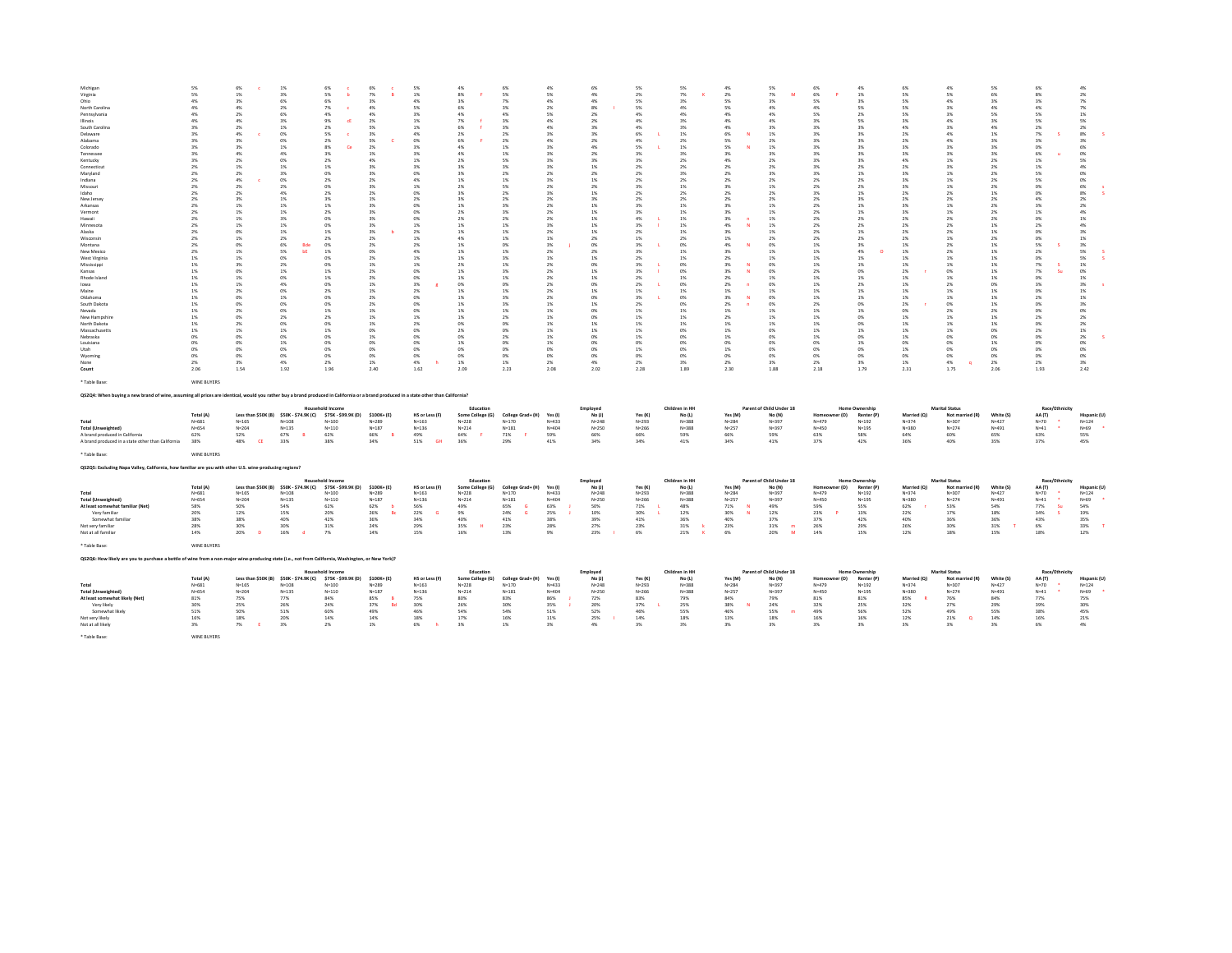| Michigan<br>Virginia<br>Ohio<br>North Carolina<br>Pennsylvania<br>Illinois<br>South Carolina<br>Delaware<br>Alabama<br>Colorado<br>Tennessee<br>Kentucky<br>Connecticut<br>Maryland<br>Indiana<br>Missouri<br>Idaho<br>New Jersey<br>Arkansas<br>Vermont<br>Hawaii<br>Minnesota<br>Abska<br>Wisconsi<br>Montana<br>New Mexico<br>West Virginia<br>Mississippi<br>Kansas<br>Rhode Island<br>lowa<br>Maine<br>Oklahoma<br>South Dakota<br>Nevada<br>New Hampshire<br>North Dakota<br>Massachusetts<br>Nehraska<br>Louisiana<br><b>Utah</b><br>Wyoming<br>None<br>Count | 5%<br>5%<br>4%<br>4%<br>4%<br>4%<br>3%<br>3%<br>3%<br>3%<br>3%<br>3%<br>2%<br>2%<br>2%<br>2%<br>2%<br>2%<br>2%<br>2%<br>2%<br>2%<br>2%<br>2%<br>2%<br>2%<br>1%<br>$1\%$<br>1%<br>1%<br>1%<br>1%<br>1%<br>1%<br>1%<br>1%<br>1%<br>1%<br>0%<br>0%<br>0%<br>0%<br>2%<br>2.06 | 6%<br>1%<br>3%<br>4%<br>2%<br>4%<br>2%<br>4%<br>3%<br>3%<br>4%<br>2%<br>1%<br>2%<br>4%<br>2%<br>2%<br>3%<br>1%<br>1%<br>1%<br>1%<br>O%<br>1%<br>0%<br>1%<br>1%<br>3%<br>O%<br>1%<br>1%<br>2%<br>O%<br>0%<br>2%<br>O%<br>2%<br>1%<br>O%<br>0%<br>O%<br>0%<br>3%<br>1.54 | $1\%$<br>3%<br>6%<br>$2\%$<br>6%<br>3%<br>1%<br>0%<br>0%<br>1%<br>4%<br>0%<br>1%<br>3%<br>$0\%$<br>$2\%$<br>4%<br>1%<br>1%<br>$1\%$<br>3%<br>1%<br>1%<br>2%<br>6%<br>Bdc<br>5%<br>ЪE<br>O%<br>$2\%$<br>1%<br>0%<br>4%<br>0%<br>1%<br>0%<br>0%<br>$2\%$<br>0%<br>1%<br>O%<br>$1\%$<br>O%<br>0%<br>4%<br>1.92 | 6%<br>5%<br>ь<br>6%<br>7%<br>4%<br>9%<br>cE<br>2%<br>5%<br>2%<br>8%<br>c.<br>$-296$<br>2%<br>1%<br>0%<br>2%<br>0%<br>2%<br>3%<br>1%<br>2%<br>0%<br>0%<br>1%<br>2%<br>0%<br>1%<br>0%<br>0%<br>1%<br>1%<br>CON<br>2%<br>OW <sub>1</sub><br>0%<br>1%<br>2%<br>0%<br>1%<br>OW <sub>1</sub><br>0%<br>OW <sub>1</sub><br>O%<br>2%<br>1.96 | 6%<br>7%<br>3%<br>4%<br>4%<br>2%<br>S%<br>3%<br>5%<br>2%<br>1%<br>4%<br>2%<br>3%<br>2%<br>3%<br>2%<br>1%<br>3%<br>3%<br>3%<br>3%<br>2%<br>2%<br>2%<br>0%<br>2 <sup>96</sup><br>1%<br>2 <sup>9</sup><br>2%<br>1%<br>1%<br>2 <sup>9</sup><br>2%<br>1%<br>$1\%$<br>1%<br>0%<br>1%<br>0%<br>0%<br>0%<br>1%<br>2.40 | 5%<br>$1\%$<br>4%<br>5%<br>3%<br>1%<br>1%<br>$4\%$<br>0%<br>3%<br>3%<br>$1\%$<br>$2\%$<br>0%<br>4%<br>$1\%$<br>0%<br>2%<br>O <sup>N</sup><br>0%<br>0%<br>1%<br>2%<br>$1\%$<br>2%<br>$4\%$<br>1%<br>$1\%$<br>0%<br>0%<br>$3\%$<br>2%<br>0%<br>0%<br>O <sup>N</sup><br>$1\%$<br>2%<br>0%<br>O%<br>0%<br>0%<br>0%<br>4%<br>1.62 | 4%<br>8%<br>3%<br>6%<br>4%<br>7%<br>6%<br>2%<br>6%<br>4%<br>4%<br>2%<br>3%<br>3%<br>1%<br>2%<br>3%<br>3%<br>1%<br>2%<br>2%<br>1%<br>1%<br>4%<br>1%<br>1%<br>1%<br>2%<br>1%<br>1%<br>0%<br>1%<br>1%<br>1%<br>1%<br>1%<br>0%<br>2%<br>0%<br>1%<br>0%<br>0%<br>1%<br>2.09 | 6%<br>5%<br>7%<br>3%<br>4%<br>3%<br>3%<br>2%<br>2%<br>1%<br>1%<br>5%<br>3%<br>2%<br>1%<br>5%<br>2%<br>2%<br>3%<br>3%<br>2%<br>1%<br>1%<br>1%<br>0%<br>1%<br>3%<br>1%<br>3%<br>1%<br>0%<br>1%<br>3%<br>3%<br>1%<br>2%<br>0%<br>0%<br>2%<br>0%<br>0%<br>0%<br>1%<br>2.23 | 4%<br>5%<br>4%<br>2%<br>5%<br>4%<br>4%<br>3%<br>4%<br>3%<br>3%<br>3%<br>3%<br>2%<br>3%<br>2%<br>3%<br>2%<br>2%<br>$2\%$<br>2%<br>3%<br>2%<br>$1\%$<br>3%<br>2%<br>1%<br>2%<br>2%<br>2%<br>2%<br>2%<br>2%<br>1%<br>1%<br>$1\%$<br>1%<br>1%<br>1%<br>$1\%$<br>O <sup>N</sup><br>0%<br>2%<br>2.08 | 6%<br>4%<br>4%<br>$8\%$<br>2%<br>2%<br>3%<br>3%<br>2%<br>4%<br>2%<br>3%<br>1%<br>2%<br>1%<br>2%<br>1%<br>3%<br>1%<br>$1\%$<br>1%<br>1%<br>1%<br>2%<br>0%<br>2%<br>1%<br>0%<br>1%<br>1%<br>0%<br>1%<br>ON <sub>5</sub><br>1%<br><b>ON</b><br>0%<br>1%<br>1%<br>O%<br>0%<br>O%<br>0%<br>4%<br>2.02 | 5%<br>2%<br><b>S%</b><br>5%<br>4%<br>4%<br>4%<br>6%<br>4%<br>5%<br>2%<br>3%<br>2 <sup>9</sup><br>2%<br>$2\%$<br>3%<br>2%<br>2%<br>2%<br>$3\%$<br>4%<br>$3\%$<br>2 <sup>9</sup><br>1%<br>3%<br>$3\%$<br>2%<br>$3\%$<br>2%<br>2%<br>2%<br>1%<br>$-2\%$<br>2%<br>1%<br>1%<br>1%<br>1%<br>1%<br>0%<br>1%<br>0%<br>2 <sup>9</sup><br>2.28 | 5%<br>7%<br>2%<br>4%<br>4%<br>3%<br>3%<br>$1\%$<br>2%<br>1%<br>2%<br>2%<br>2%<br>3%<br>2%<br>1%<br>2%<br>2%<br>1%<br>$1\%$<br>1%<br>1%<br>1%<br>$2\%$<br>0%<br>1%<br>1%<br>0%<br>CH6<br>1%<br>O%<br>1%<br>O <sup>N</sup><br>O%<br>1%<br>$1\%$<br>1%<br>0%<br>O%<br>$0\%$<br>O%<br>0%<br>3%<br>1.89 | 4%<br>2%<br>5%<br>5%<br>4%<br>4%<br>4%<br>6%<br>5%<br>5%<br>2%<br>4%<br>2%<br>2%<br>2%<br>3%<br>2%<br>2%<br>3%<br>3%<br>3%<br>4%<br>2%<br>1%<br>4%<br>3%<br>2%<br>3%<br>2%<br>N<br>2%<br>2%<br>1%<br>3%<br>2%<br>1%<br>2%<br>1%<br>1%<br>1%<br>0%<br>1%<br>0%<br>2%<br>2.30 | 5%<br>7%<br>M<br>3%<br>4%<br>4%<br>4%<br>3%<br>1%<br>2%<br>1%<br>3%<br>2%<br>2%<br>3%<br>2%<br>1%<br>2%<br>2%<br>1%<br>1%<br>1%<br>1%<br>1%<br>2%<br>0%<br>1%<br>1%<br>0%<br>O%<br>1%<br>0%<br>1%<br>O%<br>0%<br>1%<br>1%<br>1%<br>0%<br>O%<br>0%<br>0%<br>0%<br>3%<br>1.88 | 6%<br>6%<br>5%<br>4%<br>5%<br>3%<br>2%<br>3%<br>3%<br>3%<br>3%<br>3%<br>$-2%$<br>3%<br>2%<br>2%<br>3%<br>2%<br>2%<br>2%<br>2%<br>2%<br>2%<br>2%<br>1%<br>1%<br>1%<br>$1\%$<br>2%<br>1%<br>1%<br>1%<br>1%<br>2%<br>1%<br>$1\%$<br>1%<br>1%<br>1%<br>$0\%$<br>0%<br>0%<br>2%<br>2.18 | 4%<br>1%<br>2%<br>5%<br>2%<br>5%<br>3%<br>3%<br>3%<br>3%<br>3%<br>3%<br>2%<br>1%<br>2%<br>2%<br>1%<br>3%<br>1%<br>1%<br>2%<br>2%<br>1%<br>2%<br>3%<br>4%<br>1%<br>1%<br>OW <sub>5</sub><br>1%<br>2%<br>1%<br>1%<br>0%<br>1%<br>0%<br>0%<br>1%<br>OW <sub>5</sub><br>1%<br>0%<br>0%<br>3%<br>1.79 | 6%<br>5%<br>5%<br>5%<br>5%<br>3%<br>4%<br>$2\%$<br>2%<br>3%<br>3%<br>4%<br>2 <sup>9</sup><br>$3\%$<br>$3\%$<br>$3\%$<br>2%<br>$2\%$<br>3%<br>$3\%$<br>2%<br>$2\%$<br>2%<br>$2\%$<br>1%<br>$1\%$<br>1%<br>$1\%$<br>2%<br>$1\%$<br>1%<br>1%<br>1%<br>$2\%$<br>n%<br>$1\%$<br>1%<br>1%<br>1%<br>0%<br>1%<br>0%<br>1%<br>2.31 | 4%<br>5%<br>4%<br>3%<br>2 <sub>N</sub><br>3%<br>4%<br>4%<br>3%<br>3%<br>1%<br>3%<br>1%<br>1%<br>1%<br>2 <sub>1</sub><br>2N<br>1%<br>1%<br>2%<br>2%<br>2 <sub>1</sub><br>1%<br>2%<br>2%<br>1%<br>1%<br>n <sub>K</sub><br>1%<br>2 <sub>1</sub><br>1%<br>1%<br>m<br>2 <sub>1</sub><br>1%<br>1%<br>1%<br>n <sub>K</sub><br>0%<br>n%<br>0%<br>4%<br>$\alpha$<br>1.75 | 5%<br>6%<br>3%<br>4%<br>5%<br>3%<br>4%<br>1%<br>3%<br>3%<br>3%<br>2%<br>2%<br>2%<br>2%<br>2%<br>1%<br>2%<br>2%<br>2%<br>2%<br>1%<br>1%<br>2%<br>1%<br>1%<br>1%<br>1%<br>1%<br>1%<br>O%<br>1%<br>1%<br>1%<br>2%<br>1%<br>1%<br>0%<br>O%<br>1%<br>0%<br>0%<br>2%<br>2.06 | 6%<br>8%<br>3%<br>4%<br>5%<br>5%<br>2%<br>7%<br>3%<br>0%<br>6%<br>1%<br>1%<br>5%<br>5%<br>0%<br>0%<br>4%<br>3%<br>1%<br>0%<br>2%<br>0%<br>0%<br>5%<br>2%<br>0%<br>7%<br>7%<br>s<br>0%<br>3%<br>0%<br>2%<br>0%<br>O%<br>2%<br>0%<br>2%<br>0%<br>0%<br>0%<br>0%<br>2%<br>1.93 | 4%<br>$2\%$<br>7%<br>7%<br>1%<br>5%<br>2%<br>8%<br>3%<br>6%<br>0%<br>5%<br>4%<br>$0\%$<br>0%<br>6%<br>8%<br>2%<br>2%<br>4%<br>1%<br>4%<br>3%<br>$1\%$<br>3%<br>5%<br>5%<br>$1\%$<br>0%<br>$1\%$<br>3%<br>$1\%$<br>1%<br>3%<br>O%<br>2%<br>2%<br>1%<br>2%<br>$0\%$<br>0%<br>$0\%$<br>3%<br>2.42 |
|----------------------------------------------------------------------------------------------------------------------------------------------------------------------------------------------------------------------------------------------------------------------------------------------------------------------------------------------------------------------------------------------------------------------------------------------------------------------------------------------------------------------------------------------------------------------|---------------------------------------------------------------------------------------------------------------------------------------------------------------------------------------------------------------------------------------------------------------------------|------------------------------------------------------------------------------------------------------------------------------------------------------------------------------------------------------------------------------------------------------------------------|-------------------------------------------------------------------------------------------------------------------------------------------------------------------------------------------------------------------------------------------------------------------------------------------------------------|-------------------------------------------------------------------------------------------------------------------------------------------------------------------------------------------------------------------------------------------------------------------------------------------------------------------------------------|----------------------------------------------------------------------------------------------------------------------------------------------------------------------------------------------------------------------------------------------------------------------------------------------------------------|------------------------------------------------------------------------------------------------------------------------------------------------------------------------------------------------------------------------------------------------------------------------------------------------------------------------------|------------------------------------------------------------------------------------------------------------------------------------------------------------------------------------------------------------------------------------------------------------------------|------------------------------------------------------------------------------------------------------------------------------------------------------------------------------------------------------------------------------------------------------------------------|------------------------------------------------------------------------------------------------------------------------------------------------------------------------------------------------------------------------------------------------------------------------------------------------|--------------------------------------------------------------------------------------------------------------------------------------------------------------------------------------------------------------------------------------------------------------------------------------------------|--------------------------------------------------------------------------------------------------------------------------------------------------------------------------------------------------------------------------------------------------------------------------------------------------------------------------------------|----------------------------------------------------------------------------------------------------------------------------------------------------------------------------------------------------------------------------------------------------------------------------------------------------|-----------------------------------------------------------------------------------------------------------------------------------------------------------------------------------------------------------------------------------------------------------------------------|-----------------------------------------------------------------------------------------------------------------------------------------------------------------------------------------------------------------------------------------------------------------------------|------------------------------------------------------------------------------------------------------------------------------------------------------------------------------------------------------------------------------------------------------------------------------------|--------------------------------------------------------------------------------------------------------------------------------------------------------------------------------------------------------------------------------------------------------------------------------------------------|---------------------------------------------------------------------------------------------------------------------------------------------------------------------------------------------------------------------------------------------------------------------------------------------------------------------------|-----------------------------------------------------------------------------------------------------------------------------------------------------------------------------------------------------------------------------------------------------------------------------------------------------------------------------------------------------------------|------------------------------------------------------------------------------------------------------------------------------------------------------------------------------------------------------------------------------------------------------------------------|-----------------------------------------------------------------------------------------------------------------------------------------------------------------------------------------------------------------------------------------------------------------------------|------------------------------------------------------------------------------------------------------------------------------------------------------------------------------------------------------------------------------------------------------------------------------------------------|
| * Table Base<br>Q\$2Q4: When buying a new brand of wine, assuming all prices are identical, would you rather buy a brand produced in California or a brand produced in a state other than California?                                                                                                                                                                                                                                                                                                                                                                | WINE BUYERS                                                                                                                                                                                                                                                               |                                                                                                                                                                                                                                                                        |                                                                                                                                                                                                                                                                                                             |                                                                                                                                                                                                                                                                                                                                     |                                                                                                                                                                                                                                                                                                                |                                                                                                                                                                                                                                                                                                                              |                                                                                                                                                                                                                                                                        |                                                                                                                                                                                                                                                                        |                                                                                                                                                                                                                                                                                                |                                                                                                                                                                                                                                                                                                  |                                                                                                                                                                                                                                                                                                                                      |                                                                                                                                                                                                                                                                                                    |                                                                                                                                                                                                                                                                             |                                                                                                                                                                                                                                                                             |                                                                                                                                                                                                                                                                                    |                                                                                                                                                                                                                                                                                                  |                                                                                                                                                                                                                                                                                                                           |                                                                                                                                                                                                                                                                                                                                                                 |                                                                                                                                                                                                                                                                        |                                                                                                                                                                                                                                                                             |                                                                                                                                                                                                                                                                                                |
|                                                                                                                                                                                                                                                                                                                                                                                                                                                                                                                                                                      |                                                                                                                                                                                                                                                                           |                                                                                                                                                                                                                                                                        |                                                                                                                                                                                                                                                                                                             | lousehold Income                                                                                                                                                                                                                                                                                                                    |                                                                                                                                                                                                                                                                                                                |                                                                                                                                                                                                                                                                                                                              | Education                                                                                                                                                                                                                                                              |                                                                                                                                                                                                                                                                        |                                                                                                                                                                                                                                                                                                | Employed                                                                                                                                                                                                                                                                                         |                                                                                                                                                                                                                                                                                                                                      | Children in HH                                                                                                                                                                                                                                                                                     |                                                                                                                                                                                                                                                                             | Parent of Child Under 18                                                                                                                                                                                                                                                    |                                                                                                                                                                                                                                                                                    | Home Ownership                                                                                                                                                                                                                                                                                   |                                                                                                                                                                                                                                                                                                                           | <b>Marital Status</b>                                                                                                                                                                                                                                                                                                                                           |                                                                                                                                                                                                                                                                        | Race/Ethnicity                                                                                                                                                                                                                                                              |                                                                                                                                                                                                                                                                                                |
| Total<br><b>Total (Unweighted)</b><br>A brand produced in California<br>A brand produced in a state other than California                                                                                                                                                                                                                                                                                                                                                                                                                                            | Total (A)<br>$N = 681$<br>$N = 654$<br>62%<br>38%                                                                                                                                                                                                                         | $N = 165$<br>$N = 204$<br>52%<br>CE<br>48%                                                                                                                                                                                                                             | Less than \$50K (B) \$50K - \$74.9K (C)<br>$N = 108$<br>$N = 135$<br>67%<br>B<br>33%                                                                                                                                                                                                                        | \$75K - \$99.9K (D)<br>$N = 100$<br>$N = 110$<br>62%<br>38%                                                                                                                                                                                                                                                                         | \$100K+(E)<br>$N = 289$<br>$N = 187$<br>66%<br>B<br>34%                                                                                                                                                                                                                                                        | HS or Less (F)<br>$N = 163$<br>$N = 136$<br>49%<br><b>GH</b><br>51%                                                                                                                                                                                                                                                          | Some College (G)<br>$N = 228$<br>$N = 214$<br>64%<br>36%                                                                                                                                                                                                               | College Grad+ (H)<br>$N = 170$<br>$N = 181$<br>71%<br>29%                                                                                                                                                                                                              | Yes (I)<br>$N = 433$<br>$N = 404$<br>59%<br>41%                                                                                                                                                                                                                                                | No(1)<br>$N = 248$<br>$N = 250$<br>66%<br>34%                                                                                                                                                                                                                                                    | Yes (K)<br>$N = 293$<br>$N = 266$<br>66%<br>3.4%                                                                                                                                                                                                                                                                                     | No (1)<br>$N = 388$<br>$N = 388$<br>59%<br>41%                                                                                                                                                                                                                                                     | Yes (M)<br>$N = 284$<br>$N=257$<br>66%<br>34%                                                                                                                                                                                                                               | No (N)<br>$N = 397$<br>$N = 397$<br>59%<br>41%                                                                                                                                                                                                                              | r (O)<br>N=479<br>$N = 450$<br>63%<br>37%                                                                                                                                                                                                                                          | Renter (P)<br>$N = 192$<br>$N = 195$<br>58%<br>42%                                                                                                                                                                                                                                               | Married (O)<br>$N = 374$<br>$N = 380$<br>64%<br>36%                                                                                                                                                                                                                                                                       | Not married (R)<br>$N = 307$<br>$N = 274$<br>60%<br>40%                                                                                                                                                                                                                                                                                                         | White (S)<br>$N = 427$<br>$N = 491$<br>65%<br>35%                                                                                                                                                                                                                      | AA (T)<br>$N=70$<br>$N = 41$<br>63%<br>37%                                                                                                                                                                                                                                  | Hispanic (U<br>$N = 124$<br>$N = 69$<br>55%<br>45%                                                                                                                                                                                                                                             |
| * Table Base:                                                                                                                                                                                                                                                                                                                                                                                                                                                                                                                                                        | WINE BUYERS                                                                                                                                                                                                                                                               |                                                                                                                                                                                                                                                                        |                                                                                                                                                                                                                                                                                                             |                                                                                                                                                                                                                                                                                                                                     |                                                                                                                                                                                                                                                                                                                |                                                                                                                                                                                                                                                                                                                              |                                                                                                                                                                                                                                                                        |                                                                                                                                                                                                                                                                        |                                                                                                                                                                                                                                                                                                |                                                                                                                                                                                                                                                                                                  |                                                                                                                                                                                                                                                                                                                                      |                                                                                                                                                                                                                                                                                                    |                                                                                                                                                                                                                                                                             |                                                                                                                                                                                                                                                                             |                                                                                                                                                                                                                                                                                    |                                                                                                                                                                                                                                                                                                  |                                                                                                                                                                                                                                                                                                                           |                                                                                                                                                                                                                                                                                                                                                                 |                                                                                                                                                                                                                                                                        |                                                                                                                                                                                                                                                                             |                                                                                                                                                                                                                                                                                                |
| QS2Q5: Excluding Napa Valley, California, how familiar are you with other U.S. wine-producing regions?                                                                                                                                                                                                                                                                                                                                                                                                                                                               |                                                                                                                                                                                                                                                                           |                                                                                                                                                                                                                                                                        |                                                                                                                                                                                                                                                                                                             |                                                                                                                                                                                                                                                                                                                                     |                                                                                                                                                                                                                                                                                                                |                                                                                                                                                                                                                                                                                                                              |                                                                                                                                                                                                                                                                        |                                                                                                                                                                                                                                                                        |                                                                                                                                                                                                                                                                                                |                                                                                                                                                                                                                                                                                                  |                                                                                                                                                                                                                                                                                                                                      |                                                                                                                                                                                                                                                                                                    |                                                                                                                                                                                                                                                                             |                                                                                                                                                                                                                                                                             |                                                                                                                                                                                                                                                                                    |                                                                                                                                                                                                                                                                                                  |                                                                                                                                                                                                                                                                                                                           |                                                                                                                                                                                                                                                                                                                                                                 |                                                                                                                                                                                                                                                                        |                                                                                                                                                                                                                                                                             |                                                                                                                                                                                                                                                                                                |
| Total<br><b>Total (Unweighted)</b><br>At least somewhat familiar (Net)<br>Very familiar<br>Somewhat familiar<br>Not very familiar<br>Not at all familiar                                                                                                                                                                                                                                                                                                                                                                                                             | Total (A)<br>$N = 681$<br>$N = 654$<br>58%<br>20%<br>38%<br>28%<br>14%                                                                                                                                                                                                    | $N = 165$<br>$N = 204$<br>SO <sub>%</sub><br>12%<br>38%<br>30%<br>20%<br>-n                                                                                                                                                                                            | Less than \$50K (B) \$50K - \$74.9K (C)<br>$N=108$<br>$N=135$<br><b>54%</b><br>15%<br>40%<br>30%<br>16%<br>d                                                                                                                                                                                                | Household Income<br>\$75K - \$99.9K (D)<br>$N = 100$<br>$N = 110$<br>62%<br>20%<br>42%<br>31%<br>7%                                                                                                                                                                                                                                 | $$100K + (E)$<br>$N = 289$<br>$N = 187$<br>62%<br>-6<br>26%<br><b>Bc</b><br>36%<br>24%<br>14%                                                                                                                                                                                                                  | <b>HS or Less (F</b><br>$N = 163$<br>$N = 136$<br>56%<br>22%<br>34%<br>29%<br>15%                                                                                                                                                                                                                                            | Education<br>Some College (G)<br>$N=228$<br>$N = 214$<br>49%<br>9%<br>40%<br>35%<br>16%                                                                                                                                                                                | College Grad+ (H)<br>$N = 170$<br>$N = 181$<br>65%<br><b>G</b><br>24%<br><b>G</b><br>41%<br>23%<br>13%                                                                                                                                                                 | Yes (I)<br>$N = 422$<br>$N = 404$<br>63%<br>25%<br>38%<br>28%<br>9%                                                                                                                                                                                                                            | Employed<br>No(1)<br>$N = 248$<br>$N = 250$<br>50%<br>10%<br>39%<br>27%<br>23%                                                                                                                                                                                                                   | Yes (K)<br>$N = 293$<br>$N = 266$<br>71%<br>30%<br>41%<br>23%<br>6%                                                                                                                                                                                                                                                                  | Children in HH<br>No (L)<br>$N = 2.88$<br>$N = 388$<br>48%<br>12%<br>36%<br>31%<br>21%                                                                                                                                                                                                             | Yes (M)<br>$N = 284$<br>$N = 257$<br>71%<br>N<br>30%<br>N<br>40%<br>23%<br>6%                                                                                                                                                                                               | Parent of Child Under 18<br>No (N)<br>$N = 397$<br>$N = 397$<br>49%<br>12%<br>37%<br>$31\%$<br>m<br>20%<br>M                                                                                                                                                                | er (O)<br>Homeoy<br>$N = 479$<br>N=450<br>59%<br>23%<br>37%<br>26%<br>14%                                                                                                                                                                                                          | Home Ownership<br>Renter (P)<br>$N=192$<br>$N = 195$<br>55%<br>13%<br>42%<br>29%<br>15%                                                                                                                                                                                                          | Married (O)<br>$N = 374$<br>$N = 380$<br>62%<br>22%<br>40%<br>26%<br>12%                                                                                                                                                                                                                                                  | <b>Marital Statu</b><br>Not married (R)<br>$N = 307$<br>$N = 274$<br>53%<br>17%<br>36%<br>30%<br>18%                                                                                                                                                                                                                                                            | White (S)<br>$N = 427$<br>$N = 491$<br>54%<br>18%<br>36%<br>31%<br>15%                                                                                                                                                                                                 | Race/Ethnicit<br>AA (T)<br>$N=70$<br>$N = 41$<br>$\bullet$<br>77%<br>-Su<br>34%<br>×.<br>43%<br>6%<br>18%                                                                                                                                                                   | Hispanic (L<br>$N = 124$<br>$N = 69$<br>54%<br>19%<br>35%<br>33%<br>12%                                                                                                                                                                                                                        |
| * Table Base:                                                                                                                                                                                                                                                                                                                                                                                                                                                                                                                                                        | WINE BUYERS                                                                                                                                                                                                                                                               |                                                                                                                                                                                                                                                                        |                                                                                                                                                                                                                                                                                                             |                                                                                                                                                                                                                                                                                                                                     |                                                                                                                                                                                                                                                                                                                |                                                                                                                                                                                                                                                                                                                              |                                                                                                                                                                                                                                                                        |                                                                                                                                                                                                                                                                        |                                                                                                                                                                                                                                                                                                |                                                                                                                                                                                                                                                                                                  |                                                                                                                                                                                                                                                                                                                                      |                                                                                                                                                                                                                                                                                                    |                                                                                                                                                                                                                                                                             |                                                                                                                                                                                                                                                                             |                                                                                                                                                                                                                                                                                    |                                                                                                                                                                                                                                                                                                  |                                                                                                                                                                                                                                                                                                                           |                                                                                                                                                                                                                                                                                                                                                                 |                                                                                                                                                                                                                                                                        |                                                                                                                                                                                                                                                                             |                                                                                                                                                                                                                                                                                                |
| Q\$2Q6: How likely are you to purchase a bottle of wine from a non-major wine-producing state (i.e., not from California, Washington, or New York)?                                                                                                                                                                                                                                                                                                                                                                                                                  |                                                                                                                                                                                                                                                                           |                                                                                                                                                                                                                                                                        |                                                                                                                                                                                                                                                                                                             |                                                                                                                                                                                                                                                                                                                                     |                                                                                                                                                                                                                                                                                                                |                                                                                                                                                                                                                                                                                                                              |                                                                                                                                                                                                                                                                        |                                                                                                                                                                                                                                                                        |                                                                                                                                                                                                                                                                                                |                                                                                                                                                                                                                                                                                                  |                                                                                                                                                                                                                                                                                                                                      |                                                                                                                                                                                                                                                                                                    |                                                                                                                                                                                                                                                                             |                                                                                                                                                                                                                                                                             |                                                                                                                                                                                                                                                                                    |                                                                                                                                                                                                                                                                                                  |                                                                                                                                                                                                                                                                                                                           |                                                                                                                                                                                                                                                                                                                                                                 |                                                                                                                                                                                                                                                                        |                                                                                                                                                                                                                                                                             |                                                                                                                                                                                                                                                                                                |
| Total<br><b>Total (Unweighted)</b><br>At least somewhat likely (Net)<br>Very likely<br>Somewhat likely<br>Not very likely<br>Not at all likely<br>* Table Base:                                                                                                                                                                                                                                                                                                                                                                                                      | Total (A)<br>$N = 681$<br>$N = 654$<br>81%<br>30%<br>51%<br>16%<br>3%<br>WINE BUYERS                                                                                                                                                                                      | Less than \$50K (B)<br>$N = 165$<br>$N = 204$<br>75%<br>25%<br>50%<br>18%<br>7%<br>-F                                                                                                                                                                                  | \$50K - \$74.9K (C)<br>$N = 108$<br>$N = 135$<br>77%<br>26%<br>51%<br>20%<br>3%                                                                                                                                                                                                                             | Household Income<br>\$75K - \$99.9K (D)<br>$N = 100$<br>$N = 110$<br>84%<br>24%<br>60%<br>14%<br>2%                                                                                                                                                                                                                                 | $$100K + (E)$<br>$N = 289$<br>$N = 187$<br>85%<br>$\mathbf{R}$<br>37%<br><b>Bd</b><br>49%<br>14%<br>1%                                                                                                                                                                                                         | HS or Less (F)<br>$N = 163$<br>$N = 136$<br>75%<br>30%<br>46%<br>18%<br>6%                                                                                                                                                                                                                                                   | Education<br>Some College (G)<br>$N = 228$<br>$N = 214$<br>80%<br>26%<br>54%<br>17%<br>3%                                                                                                                                                                              | College Grad+ (H)<br>$N = 170$<br>$N = 181$<br>83%<br>30%<br>54%<br>16%<br>1%                                                                                                                                                                                          | Yes (I)<br>$N = 433$<br>$N = 404$<br>86%<br>35%<br>51%<br>11%<br>3%                                                                                                                                                                                                                            | Employed<br>No(1)<br>$N = 248$<br>$N=250$<br>72%<br>20%<br>52%<br>25%<br>4%                                                                                                                                                                                                                      | Yes (K)<br>$N = 293$<br>$N = 266$<br>83%<br>37%<br>46%<br>14%<br>3%                                                                                                                                                                                                                                                                  | Children in HH<br>No (L)<br>$N = 388$<br>$N = 388$<br>79%<br>25%<br>55%<br>18%<br>3%                                                                                                                                                                                                               | Yes (M)<br>$N = 284$<br>$N = 257$<br>84%<br>38%<br>N<br>46%<br>13%<br>3%                                                                                                                                                                                                    | Parent of Child Under 18<br>No (N)<br>N=397<br>$N = 397$<br>79%<br>24%<br>55%<br>18%<br>3%                                                                                                                                                                                  | Homeowner (O)<br>$N = 479$<br>N=450<br>81%<br>32%<br>49%<br>16%<br>3%                                                                                                                                                                                                              | Home Ownership<br>Renter (P)<br>$N = 192$<br>$N = 195$<br>81%<br>25%<br>56%<br>16%<br>3%                                                                                                                                                                                                         | Married (O)<br>$N = 374$<br>$N = 380$<br>85%<br>32%<br>52%<br>12%<br>3%                                                                                                                                                                                                                                                   | <b>Marital Status</b><br>Not married (R)<br>$N = 307$<br>$N = 274$<br>76%<br>27%<br>49%<br>21%<br>$\circ$<br>3%                                                                                                                                                                                                                                                 | White (S)<br>$N = 427$<br>$N = 491$<br>84%<br>29%<br>55%<br>14%<br>3%                                                                                                                                                                                                  | <b>Race/Ethnicity</b><br>AA (T)<br>$N=70$<br>$N = 41$<br>77%<br>39%<br>38%<br>16%<br>6%                                                                                                                                                                                     | Hispanic (U<br>$N = 124$<br>$N = 69$<br>75%<br>30%<br>45%<br>21%<br>4%                                                                                                                                                                                                                         |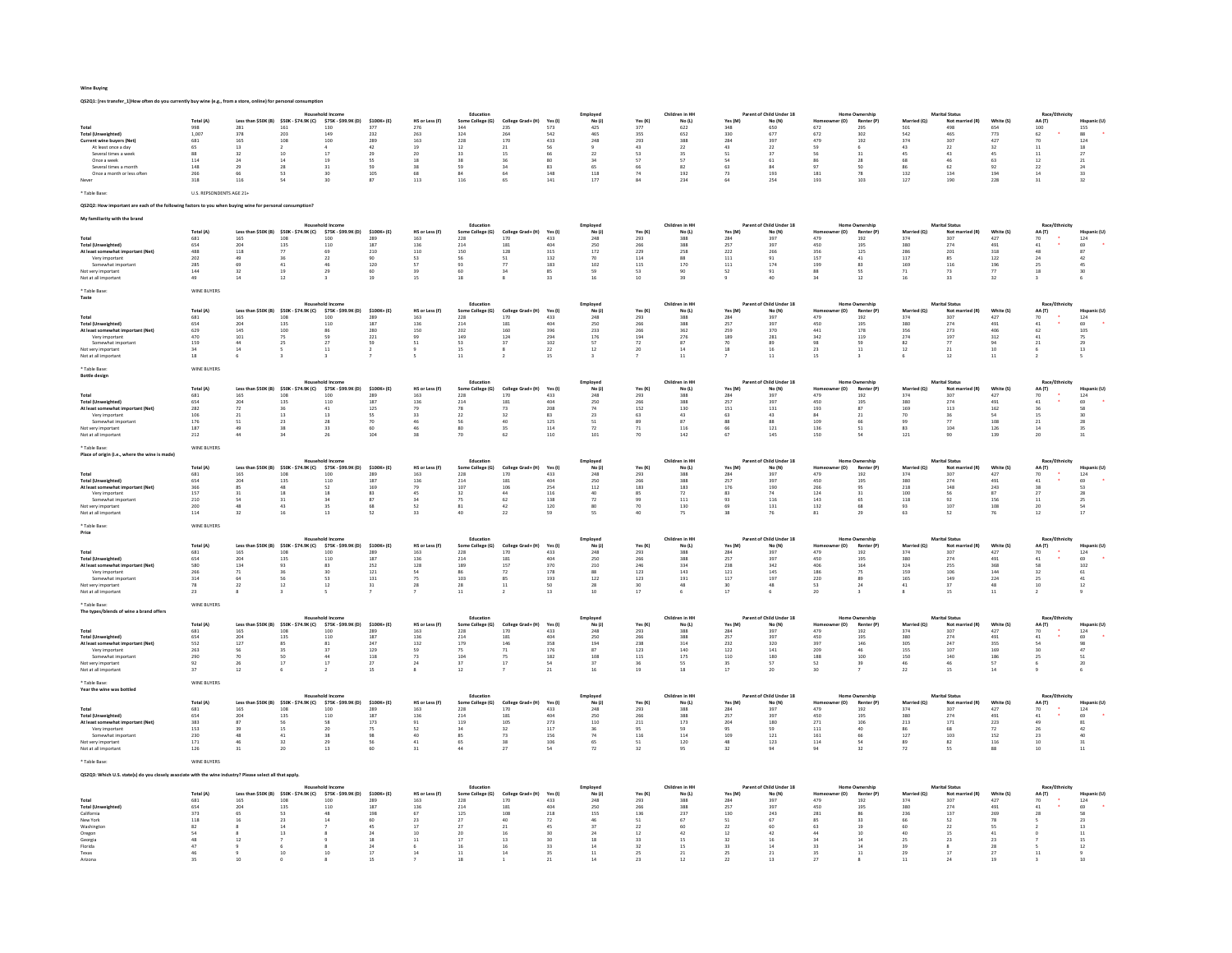## Wine Buying

QS2Q1: [res transfer\_1]How often do you currently buy wine (e.g., from a store, online) for personal consumption?

|                                                                                                           |                          |                  |                                                |                                                             |                      |                                           | Education                                 |                                           |                                          | Employed                                  |                      | Children in HH           |                      | t of Child Under 18                      |                                               | <b>Home Ownership</b>                 |                                          | <b>Marital Status</b>                        |                                          | Race/                                   |                                                     |
|-----------------------------------------------------------------------------------------------------------|--------------------------|------------------|------------------------------------------------|-------------------------------------------------------------|----------------------|-------------------------------------------|-------------------------------------------|-------------------------------------------|------------------------------------------|-------------------------------------------|----------------------|--------------------------|----------------------|------------------------------------------|-----------------------------------------------|---------------------------------------|------------------------------------------|----------------------------------------------|------------------------------------------|-----------------------------------------|-----------------------------------------------------|
| Total                                                                                                     | Total (A)<br>998         | 281              | Less than \$50K (B) \$50K - \$74.9K (C)<br>161 | \$75K - \$99.9K (D)<br>130                                  | \$100K+(E)<br>377    | HS or Less (F)<br>276                     | Some College (G)<br>344                   | College Grad+ (H)<br>235                  | Yes (I)<br>573                           | No(1)<br>425                              | Yes (K)<br>377       | No (L)<br>622            | Yes (M)<br>348       | No (N)<br>650                            | 672                                           | (O)<br>Renter (P)<br>295              | d (O)<br>501                             | Not m<br>ed (R)<br>498                       | White (S)<br>654                         | (T) AA<br>100                           | 155                                                 |
| <b>Total (Unweighted)</b>                                                                                 | 1,007                    | 378              | 203                                            | 149                                                         | 232                  | 263                                       | 324                                       | 264                                       | 542                                      | 465                                       | 355                  | 652                      | 330                  | 677                                      | 672                                           | 302                                   | 542                                      | 46S                                          | 773                                      | 62                                      | 88                                                  |
| Current wine buyers (Net)                                                                                 | 681                      | 165              | 108                                            | 100                                                         | 289                  | 163                                       | 228                                       | 170                                       | 433                                      | 248                                       | 293                  | 388                      | 284                  | 397                                      | 479                                           | 192                                   | 374                                      | 307                                          | 427                                      | 70                                      | $\begin{array}{c} 124 \\ 18 \end{array}$            |
| At least once a day                                                                                       | 65                       | $13\,$           | $\bar{2}$<br>10                                |                                                             | $42\,$               | 19                                        | $12\,$                                    | $^{21}$                                   | 56                                       |                                           | $43\,$               | $\bf 22$                 | 43                   | $\bf{22}$                                | 59<br>56                                      | 6                                     | 43                                       | $\overline{22}$<br>43                        | 32                                       | $11$                                    |                                                     |
| Several times a week<br>Once a week                                                                       | 88<br>114                | 32<br>24         | 14                                             | 17<br>19                                                    | 29<br>SS.            | 20<br>18                                  | 33<br>38                                  | 15<br>36                                  | 66<br>80                                 | 22<br>34                                  | 53<br>57             | 35<br>57                 | 51<br>54             | 37<br>61                                 | 86                                            | 31<br>28                              | 45<br>68                                 | 46                                           | 45<br>63                                 | $11\,$<br>12                            | $\bf{27}$                                           |
| Several times a month                                                                                     | 148                      |                  | 28                                             | 31                                                          | 59                   | 38                                        | 59                                        | $\overline{34}$                           | $\overline{\mathbf{8}}$                  | 65                                        | 66                   | 82                       | 63                   | 84                                       | 97                                            | so                                    | 86                                       | 62                                           | 92                                       | $22\,$                                  |                                                     |
| Once a month or less often                                                                                | 266                      | 66               | 53                                             | 30                                                          | 105                  | 68                                        | 84                                        | 64                                        | 148                                      | 118                                       | 74                   | 192                      | 73                   | 193                                      | 181                                           | 78                                    | 132                                      | 134                                          | 194                                      | 14                                      | $\begin{array}{c} 21 \\ 24 \\ 33 \\ 32 \end{array}$ |
|                                                                                                           | 318                      | 116              | 54                                             | 30                                                          | 87                   | 113                                       | 116                                       | 65                                        | $141\,$                                  | 177                                       | 84                   | 234                      | 64                   | 254                                      | 193                                           | 103                                   | 127                                      | 190                                          | 228                                      | 31                                      |                                                     |
| * Table Base:                                                                                             | U.S. REPSONDENTS AGE 21+ |                  |                                                |                                                             |                      |                                           |                                           |                                           |                                          |                                           |                      |                          |                      |                                          |                                               |                                       |                                          |                                              |                                          |                                         |                                                     |
|                                                                                                           |                          |                  |                                                |                                                             |                      |                                           |                                           |                                           |                                          |                                           |                      |                          |                      |                                          |                                               |                                       |                                          |                                              |                                          |                                         |                                                     |
| OS2O2: How important are each of the following factors to you when buying wine for personal consumption?  |                          |                  |                                                |                                                             |                      |                                           |                                           |                                           |                                          |                                           |                      |                          |                      |                                          |                                               |                                       |                                          |                                              |                                          |                                         |                                                     |
|                                                                                                           |                          |                  |                                                |                                                             |                      |                                           |                                           |                                           |                                          |                                           |                      |                          |                      |                                          |                                               |                                       |                                          |                                              |                                          |                                         |                                                     |
|                                                                                                           |                          |                  |                                                | Household Income                                            |                      |                                           | Education                                 |                                           |                                          | Employed                                  |                      | Children in HH           |                      | Parent of Child Under 18                 |                                               | <b>Home Ownership</b>                 |                                          | <b>Marital Status</b>                        |                                          | Race/Ethnicit                           |                                                     |
| Total                                                                                                     | Total (A)<br>681         | 165              | Less than \$50K (B) \$50K - \$74.9K (C)<br>108 | \$75K - \$99.9K (D)<br>100                                  | \$100K+(E)<br>289    | HS or Less (F<br>163                      | Some College (G)<br>228                   | Grad+ (H)<br>170                          | Yes (I<br>433                            | No(1)<br>248                              | Yes (K<br>293        | No(1)<br>388             | Yes (M)<br>284       | No (N)<br>397                            | 479                                           | Renter (P)                            | 374                                      | Not ma<br>307                                | 427                                      | AA (T)<br>70                            |                                                     |
| <b>Total (Unweighted)</b>                                                                                 | 654                      | 204              | 135                                            | 110                                                         | 187                  | 136                                       | $^{214}$                                  | 181                                       | 404                                      | 250                                       | 266                  | 388                      | 257                  | 397                                      | 450                                           | 192<br>195                            | 380                                      | 274                                          | 491                                      | 41                                      | 124<br>69                                           |
| At least somewhat imp                                                                                     | $\bf 488$                | 118              | $\boldsymbol{77}$                              | 69                                                          | 210<br>90            | $110\,$                                   | 150<br>56                                 | 128                                       | $315\,$                                  | $172\,$                                   | 229                  | $_{258}\,$               | $\bf 222$            | 266                                      | 356<br>157                                    | 125                                   | $\frac{286}{117}$                        | 201                                          | $_{\rm 318}$                             | 48                                      | $^{\rm 87}$                                         |
| Very important                                                                                            | 202                      | 49               | 36                                             | 22                                                          |                      | 53                                        |                                           | $\frac{51}{77}$                           | 132                                      | 70                                        | 114                  | 88                       | 111                  | 91                                       |                                               | 41                                    |                                          | 85                                           | 122                                      | 24                                      | 42                                                  |
| Somewhat importan<br>Not very important                                                                   | 285<br>144               | 69<br>32         | 41<br>19                                       | 46<br>29                                                    | 120<br>60            | 57<br>39                                  | 93<br>60                                  | 34                                        | 183<br>85                                | 102<br>59                                 | 115<br>53            | 170<br>90                | $111\,$<br>52        | 174<br>91                                | 199<br>88                                     | 83<br>SS.                             | 169<br>71                                | $116\,$<br>73                                | $\frac{196}{77}$                         | 25<br>18                                | $\frac{45}{30}$                                     |
| Not at all important                                                                                      | 49                       | $14\,$           | 12                                             |                                                             | 19                   | 15                                        | 18                                        |                                           | 33                                       | 16                                        | $10$                 | 39                       |                      | 40                                       | 34                                            | $12\,$                                | 16                                       | 33                                           | 32                                       |                                         |                                                     |
|                                                                                                           |                          |                  |                                                |                                                             |                      |                                           |                                           |                                           |                                          |                                           |                      |                          |                      |                                          |                                               |                                       |                                          |                                              |                                          |                                         |                                                     |
| * Table Base:                                                                                             | WINE BUYERS              |                  |                                                |                                                             |                      |                                           |                                           |                                           |                                          |                                           |                      |                          |                      |                                          |                                               |                                       |                                          |                                              |                                          |                                         |                                                     |
| Taste                                                                                                     |                          |                  |                                                | <b>Household Income</b>                                     |                      |                                           | Education                                 |                                           |                                          | Employed                                  |                      | Children in HH           |                      | Parent of Child Under 18                 |                                               | <b>Home Ownership</b>                 |                                          | <b>Marital Status</b>                        |                                          | Race/Ethnicit                           |                                                     |
|                                                                                                           | Total (A)                |                  | Less than \$50K (B) \$50K - \$74.9K (C)        | \$75K - \$99.9K (D)                                         | $$100K + (E)$        | HS or Less (F)                            | Some College (G)                          | College Grad+ (H)                         | Yes (I)                                  | No(1)                                     | Yes (K)              | No(1)                    | Yes (M)              | No (N)                                   |                                               | Renter (P)<br>r (O)                   | Married                                  | Not man                                      | White (S)                                | AA (T)                                  | Hispanic (U)                                        |
| Total                                                                                                     | 681                      | $165\,$          | $\begin{array}{c} 108 \\ 135 \end{array}$      | 100                                                         | 289                  | 163                                       | 228                                       | 170                                       | 433                                      | 248                                       | 293                  | 388                      | 284<br>257           | 397                                      | 479                                           | $192\,$                               | $_{374}$                                 | 307                                          | 427                                      | 70                                      | $124\,$                                             |
| <b>Total (Unweighted)</b><br>At least somewhat imp                                                        | 654                      | 204              |                                                | 110<br>86                                                   | 187                  | 136<br>150                                | 214                                       | 181                                       | 404                                      | 250                                       | 266                  | 388<br>362               |                      | 397                                      | 450                                           | 195                                   | 380                                      | 274                                          | 491                                      | 41<br>62                                | 69                                                  |
| Very important                                                                                            | 629<br>470               | $145\,$<br>101   | 100                                            | 59                                                          | 280<br>221           |                                           | 202<br>149<br>53                          | 160                                       | 396<br>294                               | 233<br>176                                | $\bf 266$<br>194     | 276                      | 259<br>189           | 370<br>281                               | 441<br>342                                    | 178<br>119                            | 356<br>274                               | 273                                          | 406<br>312                               | 41                                      | 105                                                 |
| Somewhat importan                                                                                         | 159                      | $44$             | 75<br>25                                       | $\overline{27}$                                             | 59                   | 99<br>51                                  |                                           | $\frac{124}{37}$                          | 102                                      | ${\sf s}$                                 | $\scriptstyle\rm 72$ | 87                       | $70\,$               | 89                                       | 98                                            | 59                                    | 82                                       | 197<br>77                                    | 94                                       | $\bf{21}$                               | 75<br>29                                            |
| Not very important                                                                                        | $_{\rm 34}$              | $14\,$           |                                                | $11\,$                                                      | $\,$ 2 $\,$          |                                           | $15\,$                                    |                                           | $\bf{22}$                                | $12\,$                                    | $20\,$               | $14\,$                   | $18\,$               | $16\,$                                   | 23                                            | $11\,$                                | 12                                       | $_{\rm 21}$                                  | $10\,$                                   | 6                                       | $13\,$                                              |
| Not at all important                                                                                      | 18                       | 6                |                                                | $\overline{\mathbf{3}}$                                     | $\overline{ }$       | $\mathsf{s}$                              | 11                                        |                                           | 15                                       | $\overline{\mathbf{3}}$                   | $\overline{7}$       | 11                       |                      | $11\,$                                   | 15                                            | $\overline{\mathbf{3}}$               | 6                                        | 12                                           | 11                                       | $\overline{2}$                          | s                                                   |
| * Table Base:                                                                                             | WINE BUYERS              |                  |                                                |                                                             |                      |                                           |                                           |                                           |                                          |                                           |                      |                          |                      |                                          |                                               |                                       |                                          |                                              |                                          |                                         |                                                     |
| <b>Bottle design</b>                                                                                      |                          |                  |                                                |                                                             |                      |                                           |                                           |                                           |                                          |                                           |                      |                          |                      |                                          |                                               |                                       |                                          |                                              |                                          |                                         |                                                     |
|                                                                                                           |                          |                  |                                                | shold incom                                                 |                      |                                           | Educatio                                  |                                           |                                          | Employed                                  |                      | Children in HH           |                      | Parent of Child Under 18                 |                                               | Home Ownershi                         |                                          | <b>Marital Status</b>                        |                                          | Race/Ethnicit                           |                                                     |
| Total                                                                                                     | Total (A)<br>681         | 165              | Less than \$50K (B) \$50K - \$74.9K (C)        | \$75K - \$99.9K (D)<br>100                                  | $$100K + (E)$<br>289 | HS or Less (F)<br>163                     | Some College (G)<br>228                   | College Grad+ (H)<br>170                  | Yes (I)<br>433                           | No (J)<br>$\bf 248$                       | Yes (K)<br>293       | No (L)<br>388            | Yes (M)<br>$\bf 284$ | No (N)<br>397                            | 479                                           | r (O)<br>Renter (P)<br>192            | Married (Q)<br>374                       | Not married (R)<br>307                       | White (S)<br>427                         | AA (T)<br>70                            | Hispanic (U)<br>$124\,$                             |
| <b>Total (Unweighted)</b>                                                                                 | 654                      | 204              | 108<br>135                                     | 110                                                         | 187                  | 136                                       | 214                                       | 181                                       | 404                                      | 250                                       | 266                  | 388                      | 257                  | 397                                      | 450                                           | 195                                   | 380                                      | 274                                          | 491                                      | 41                                      | 69                                                  |
| At least somewhat impor                                                                                   | $\overline{282}$         | $72\,$           | 36                                             | $41\,$                                                      | 125                  | 79                                        | 78                                        | 73                                        | 208                                      | $74\,$                                    | 152                  | 130                      | $1\bar{5}1$          | $131\,$                                  | 193                                           | 87                                    | 169                                      | 113                                          | 162                                      |                                         | 58                                                  |
| Very important                                                                                            | $\frac{106}{176}$        | 21               | $^{\rm 13}$                                    | 13                                                          | SS                   | 33                                        | 22                                        | 32                                        | $\begin{array}{c} 83 \\ 125 \end{array}$ | $\bf 23$                                  | 63                   | $_{\rm 43}$              | 63                   | 43                                       | 84<br>109                                     | 21                                    | 70<br>99                                 | 36<br>$77\,$                                 | $\begin{array}{c} 54 \\ 108 \end{array}$ | 15                                      |                                                     |
| Somewhat important<br>Not very importan                                                                   | ${\bf 187}$              | 51<br>49         | 23<br>38                                       | 28<br>33                                                    | 70<br>60             | 46<br>46                                  | 56<br>80                                  | 40<br>35                                  | 114                                      | 51<br>$\scriptstyle\rm 72$                | 89<br>$71\,$         | 87<br>$116\,$            | 88<br>66             | 88<br>$121\,$                            | 136                                           | 66<br>51                              | 83                                       | 104                                          | 126                                      | 21<br>$14\,$                            |                                                     |
| Not at all important                                                                                      | 212                      | 44               | 34                                             | 26                                                          | 104                  | 38                                        | 70                                        | 62                                        | 110                                      | 101                                       | 70                   | 142                      | 67                   | 145                                      | 150                                           | 54                                    | 121                                      | 90                                           | 139                                      | 20                                      | $\begin{array}{c} 30 \\ 28 \\ 35 \\ 31 \end{array}$ |
|                                                                                                           |                          |                  |                                                |                                                             |                      |                                           |                                           |                                           |                                          |                                           |                      |                          |                      |                                          |                                               |                                       |                                          |                                              |                                          |                                         |                                                     |
| * Table Base:<br>Place of origin (i.e., where the wine is made)                                           | WINE BUYERS              |                  |                                                |                                                             |                      |                                           |                                           |                                           |                                          |                                           |                      |                          |                      |                                          |                                               |                                       |                                          |                                              |                                          |                                         |                                                     |
|                                                                                                           |                          |                  |                                                |                                                             |                      |                                           | Educati                                   |                                           |                                          | Employed                                  |                      | Children in HI           |                      | of Child Under 18                        |                                               |                                       |                                          | <b>Marital Status</b>                        |                                          | Race/Et                                 |                                                     |
|                                                                                                           | Total (A)                |                  | Less than \$50K (B) \$50K - \$74.9K (C)        | \$75K - \$99.9K (D)                                         | \$100K+(E)           | HS or Less (F)                            | Some College (G)                          | College Grad+ (H)                         | Yes (I)                                  | No(1)                                     | Yes (K)              | No (L)                   | Yes (M)              | No (N)                                   | Homec                                         | er (O)<br>Renter (P)                  | Married (Q)                              | Not married (R)                              | White (S)                                | AA (T)                                  | Hispanic (U)                                        |
| Total                                                                                                     | 681                      | 165<br>204       | 108                                            | 100                                                         | 289<br>187           | 163                                       | 228                                       | 170                                       | 433<br>404                               | 248                                       | 293                  | 388                      | 284                  | 397                                      | 479                                           | 192                                   | 374                                      | 307                                          | 427                                      | 70                                      | $124\,$                                             |
| <b>Total (Unweighted)</b><br>At least somewhat important (Net)                                            | 654<br>366               | 85               | 135<br>48                                      | 110<br>52                                                   | 169                  | 136<br>79                                 | $\begin{array}{c} 214 \\ 107 \end{array}$ | $\begin{array}{c} 181 \\ 106 \end{array}$ | 254                                      | 250<br>112                                | 266<br>183           | 388<br>183               | 257<br>176           | 397<br>190                               | 450<br>266                                    | 195<br>95                             | 380<br>218                               | 274<br>148                                   | 491<br>243                               | 41<br>38                                | $\begin{array}{c} 69 \\ 53 \end{array}$             |
| Very important                                                                                            | $157\,$                  | 31               | $18\,$                                         | $18\,$                                                      |                      | 45                                        | $32\,$                                    |                                           | $116\,$                                  | 40                                        | 85                   | $72\,$                   | 83                   | $74\,$                                   | $124\,$                                       | 31                                    | 100                                      |                                              |                                          | $27\,$                                  |                                                     |
| Somewhat important                                                                                        | 210                      | 54               | 31                                             | 34                                                          | 83<br>87             | 34                                        | 75                                        | $\begin{array}{c} 44 \\ 62 \end{array}$   | 138                                      | 72                                        | 99                   | 111                      | 93                   | 116                                      | 143                                           | 65                                    | 118                                      | 56<br>92                                     | $\begin{array}{c} 87 \\ 156 \end{array}$ | 11                                      | 28<br>25<br>54                                      |
| ot very importan<br>Not at all important                                                                  | 200                      | 48<br>32         | 43<br>16                                       | 35<br>13                                                    | 68<br>52             | 52<br>33                                  | $^{\rm 81}$<br>40                         | 42<br>$_{22}$                             | 120                                      | 80<br><sub>SS</sub>                       | 70<br>40             | 130                      | 69<br>38             | $\bf 131$                                | 132<br>81                                     | 68<br>29                              | 93<br>63                                 | 107<br>52                                    | 108<br>76                                | 20<br>12                                | 17                                                  |
|                                                                                                           | 114                      |                  |                                                |                                                             |                      |                                           |                                           |                                           | 59                                       |                                           |                      | 75                       |                      | 76                                       |                                               |                                       |                                          |                                              |                                          |                                         |                                                     |
| * Table Base                                                                                              | WINE BUYERS              |                  |                                                |                                                             |                      |                                           |                                           |                                           |                                          |                                           |                      |                          |                      |                                          |                                               |                                       |                                          |                                              |                                          |                                         |                                                     |
| Price                                                                                                     |                          |                  |                                                |                                                             |                      |                                           |                                           |                                           |                                          |                                           |                      |                          |                      |                                          |                                               |                                       |                                          |                                              |                                          |                                         |                                                     |
|                                                                                                           | Total (A)                |                  |                                                | Less than \$50K (B) \$50K - \$74.9K (C) \$75K - \$99.9K (D) | \$100K+(E)           | HS or Less (F)                            | Educatio<br>Some College (G)              | College Grad+ (H)                         |                                          | Employed<br>No(1)                         | Yes (K)              | Children in HI<br>No (L) | Yes (M)              | of Child Under 18<br>No (N)              |                                               | Renter (P)<br>r (O)                   | Married (O)                              | <b>Marital Status</b><br>Not may<br>ried (R) | White (S)                                | Race/Et                                 | Hispanic (U)                                        |
| Total                                                                                                     | 681                      | 165              | 108                                            | 100                                                         | 289                  | 163                                       | 228                                       | 170                                       | Yes (I)<br>433                           | 248                                       | 293                  | 388                      | 284                  | 397                                      | 479                                           | 192                                   | 374                                      | 307                                          | 427                                      | AA (T)<br>70                            | 124                                                 |
| <b>Total (Unweighted)</b>                                                                                 | 654<br>580               | $\bf 204$        | 135                                            | 110                                                         | 187                  | $\begin{array}{c} 136 \\ 128 \end{array}$ | $_{\rm 214}$                              | 181                                       | 404                                      | $\begin{array}{c} 250 \\ 210 \end{array}$ | 266<br>246           | 388                      | 257                  | 397                                      | 450                                           | 195<br>164                            | 380<br>324                               | 274                                          | 491                                      | $41\,$                                  | $69 \over 102$                                      |
| At least somewhat important (Net)                                                                         |                          | 134              | 93                                             | 83                                                          | 252                  |                                           | 189                                       | 157                                       | 370                                      |                                           |                      | 334                      | 238                  | 342                                      | 406                                           |                                       |                                          | 255                                          | 368                                      | 58                                      |                                                     |
| Very important<br>Somewhat important                                                                      | ${\bf 266}$<br>314       | $71\,$<br>64     | 36<br>56                                       | 30<br>52                                                    | $121$<br>131         | ${\sf S4}$<br>75                          | 86<br>103                                 | 72<br>85                                  | 178                                      | $^{\rm 88}$<br>122                        | $123\,$<br>123       | $\bf 143$<br>191         | $121\,$<br>117       | 145<br>197                               | 186<br>220                                    | 75<br>89                              | 159<br>165                               | 106                                          | $\bf 144$<br>224                         | 32<br>25                                | $\bf 61$                                            |
| Not very important                                                                                        | 78                       | 22               | $12\,$                                         | $12\,$                                                      | 31                   | 28                                        | 28                                        | $\overline{11}$                           | 193<br>50                                | 28                                        | 30                   | 48                       | 30                   | 48                                       | 53                                            | 24                                    | $41\,$                                   | 149<br>37                                    | $^{\rm 48}$                              | $\overline{10}$                         | $\begin{array}{c} 41 \\ 12 \end{array}$             |
| Not at all important                                                                                      | $_{\rm 23}$              |                  |                                                |                                                             |                      |                                           | $11\,$                                    |                                           | $13\,$                                   | $10\,$                                    | 17                   | $\,$ 6                   | 17                   | $\,$ 6                                   | $20\,$                                        |                                       |                                          | $15\,$                                       | $11\,$                                   | $\overline{2}$                          |                                                     |
| * Table Base:                                                                                             |                          |                  |                                                |                                                             |                      |                                           |                                           |                                           |                                          |                                           |                      |                          |                      |                                          |                                               |                                       |                                          |                                              |                                          |                                         |                                                     |
| The types/blends of wine a brand offer:                                                                   | WINE BUYERS              |                  |                                                |                                                             |                      |                                           |                                           |                                           |                                          |                                           |                      |                          |                      |                                          |                                               |                                       |                                          |                                              |                                          |                                         |                                                     |
|                                                                                                           |                          |                  |                                                |                                                             |                      |                                           | Education                                 |                                           |                                          | Employed                                  |                      | Children in HH           |                      | Parent of Child Under 18                 |                                               | <b>Home Ownership</b>                 |                                          | <b>Marital Status</b>                        |                                          | Race/Et                                 |                                                     |
|                                                                                                           | Total (A)                |                  | Less than \$50K (B) \$50K - \$74.9K (C)        | \$75K - \$99.9K (D)                                         | \$100K+(E)           | HS or Less (F)                            | Some College (G)                          | College Grad+ (H)                         | Yes (I)                                  | No(1)                                     | Yes (K)              | No(1)                    | Yes (M)              | No (N)                                   |                                               | (O)<br>Renter (P)                     | Married (O)                              | Not ma<br>ried (R)                           | White (S)                                | AA (T)                                  | Hispanic (U)                                        |
| Total<br><b>Total (Unweighted)</b>                                                                        | 681<br>$_{654}$          | 165<br>$\bf 204$ | 108<br>135                                     | 100<br>110                                                  | 289<br>187           | 163<br>136                                | 228<br>214                                | 170<br>181                                | 433<br>404                               | 248<br>250                                | 293<br>${\bf 266}$   | 388<br>388               | 284<br>257           | 397<br>397                               | 479<br>450                                    | 192<br>195                            | 374<br>380                               | 307<br>274                                   | 427<br>491                               | 70<br>41                                | 124<br>69                                           |
| At least somewhat important (Net)                                                                         | 552                      | 127              | 85                                             | 81                                                          | 247                  | 132                                       |                                           | 146                                       | 358                                      | 194                                       | 238                  | 314                      | 232                  | 320                                      | 397                                           | 146                                   | 305                                      | 247                                          | 355                                      | 54                                      |                                                     |
| Very important                                                                                            | 263                      | 56               | 35                                             | 37                                                          | 129                  | 59                                        | 179<br>75                                 | 71                                        | 176                                      | 87                                        | 123                  | 140                      | 122                  | 141                                      | 209                                           | 46                                    | 155                                      | 107                                          | 169                                      | 30                                      | $\begin{array}{c} 98 \\ 47 \end{array}$             |
| Somewhat important                                                                                        | 290<br>92                | 70               | 50<br>$\overline{17}$                          | 44<br>17                                                    | $^{\rm 118}$<br>27   | 73<br>$24\,$                              | 104<br>37                                 | $\begin{array}{c} 75 \\ 17 \end{array}$   | $182\,$<br>54                            | $108\,$<br>37                             | $115\,$              | $175\,$                  | $110\,$              | $\begin{array}{c} 180 \\ 57 \end{array}$ | $_{\rm 188}$                                  | 100                                   | 150<br>46                                | 140<br>46                                    | $\begin{array}{c} 186 \\ 57 \end{array}$ | 25                                      | $\begin{array}{c} 51 \\ 20 \end{array}$             |
| Not very important<br>Not at all important                                                                | $37\,$                   | 26<br>$12\,$     |                                                |                                                             | $15\,$               |                                           | $12\,$                                    |                                           | $^{21}$                                  | 16                                        | 36<br>$19\,$         | SS.<br>18                | 35<br>17             | $20\,$                                   | 52<br>30                                      | 39                                    | $\bf{22}$                                | 15                                           | 14                                       |                                         |                                                     |
|                                                                                                           |                          |                  |                                                |                                                             |                      |                                           |                                           |                                           |                                          |                                           |                      |                          |                      |                                          |                                               |                                       |                                          |                                              |                                          |                                         |                                                     |
| * Table Base:                                                                                             | WINE BUYERS              |                  |                                                |                                                             |                      |                                           |                                           |                                           |                                          |                                           |                      |                          |                      |                                          |                                               |                                       |                                          |                                              |                                          |                                         |                                                     |
| Year the wine was bottled                                                                                 |                          |                  |                                                |                                                             |                      |                                           | Education                                 |                                           |                                          | Employed                                  |                      | Children in HI           |                      | Parent of Child Under 18                 |                                               | <b>Home Ownership</b>                 |                                          | <b>Marital Status</b>                        |                                          | Race/Ethnicit                           |                                                     |
|                                                                                                           | Total (A)                | n \$50K (B)      | \$50K - \$74.9K (C)                            | \$75K - \$99.9K (D)                                         | \$100K+(E)           | HS or Less (F)                            | Some College (G)                          | College Grad+ (H)                         | Yes (I)                                  | No(1)                                     | Yes (K)              | No(1)                    | Yes (M)              | No (N)                                   |                                               | Renter (P)<br>(O)                     | Married (Q)                              | Not m<br>ed (R)                              | White (S)                                | AA (T)                                  | Hispanic (U)                                        |
| Total                                                                                                     | 681                      | 165              | 108                                            | 100                                                         | 289                  | 163                                       | 228                                       | 170                                       | 433                                      | 248                                       | 293                  | 388                      | 284                  | 397                                      | 479                                           | 192                                   | 374                                      | 307                                          | 427                                      | $\begin{array}{c} 70 \\ 41 \end{array}$ | $\begin{array}{c} 124 \\ 69 \end{array}$            |
| <b>Total (Unweighted)</b>                                                                                 | 654                      | 204              | 135                                            | 110                                                         | 187                  | 136                                       | 214                                       | 181                                       | 404                                      | 250                                       | 266                  | 388                      | 257                  | 397                                      | 450                                           | 195                                   | 380                                      | 274                                          | 491                                      |                                         |                                                     |
| At least somewhat imp<br><b>ortant</b> (Net)<br>Very important                                            | 383<br>153               | 87<br>39         | $\frac{56}{15}$                                | 58<br>$\overline{20}$                                       | 173<br>75            | $\begin{array}{c} 91 \\ 52 \end{array}$   | 119<br>34                                 | $\frac{105}{32}$                          | $\frac{273}{117}$                        | $110\,$<br>36                             | $_{\rm 211}$<br>95   | 173<br>59                | $\bf 204$<br>95      | 180<br>59                                | $\begin{array}{c} 2 \, 71 \\ 111 \end{array}$ | 106<br>40                             | $\begin{array}{c} 213 \\ 86 \end{array}$ | $\begin{array}{c} 171 \ 68 \end{array}$      | $223\,$<br>72                            | 49<br>26                                | $\begin{array}{c} 81 \\ 42 \end{array}$             |
| Somewhat important                                                                                        | 230                      | 48               | 41                                             | $38\,$                                                      | 98                   | $40\,$                                    | 85                                        | $73\,$                                    | 156                                      | $74\,$                                    | $116\,$              | 114                      | 109                  | $121\,$                                  | $161\,$                                       | 66                                    | $127\,$                                  | $103\,$                                      | $152\,$                                  | 23                                      | $_{\rm 40}$                                         |
| Not very important                                                                                        | 171                      | 46               | 32                                             | 29                                                          | 56                   | $41\,$                                    | 65                                        | 38                                        | 106                                      | $\frac{65}{72}$                           | 51                   | 120                      | 48                   | 123                                      | 114                                           | 54                                    | 89                                       | 82                                           | 116                                      | 10                                      | $\begin{array}{c} 31 \\ 11 \end{array}$             |
| Not at all important                                                                                      | 126                      | 31               | 20                                             | 13                                                          | 60                   | $_{31}$                                   | 44                                        | $\overline{27}$                           | $\overline{54}$                          |                                           | 32                   | 95                       | 32                   | $\mathsf{94}$                            | 94                                            | 32                                    | 72                                       | ss.                                          | 88                                       | 10                                      |                                                     |
| Table Base:                                                                                               | WINE BUYERS              |                  |                                                |                                                             |                      |                                           |                                           |                                           |                                          |                                           |                      |                          |                      |                                          |                                               |                                       |                                          |                                              |                                          |                                         |                                                     |
|                                                                                                           |                          |                  |                                                |                                                             |                      |                                           |                                           |                                           |                                          |                                           |                      |                          |                      |                                          |                                               |                                       |                                          |                                              |                                          |                                         |                                                     |
| OS2O3: Which U.S. state(s) do you closely associate with the wine industry? Please select all that apply. |                          |                  |                                                |                                                             |                      |                                           |                                           |                                           |                                          |                                           |                      |                          |                      |                                          |                                               |                                       |                                          |                                              |                                          |                                         |                                                     |
|                                                                                                           |                          |                  |                                                |                                                             |                      |                                           |                                           |                                           |                                          |                                           |                      | Children in HH           |                      | Parent of Child Under 18                 |                                               |                                       |                                          |                                              |                                          |                                         |                                                     |
|                                                                                                           | Total (A)                |                  | Less than \$50K (B) \$50K - \$74.9K (C)        | \$75K - \$99.9K (D)                                         | $$100K + (E)$        | HS or Less (F)                            | Educatio<br>Some College (G)              | College Grad+ (H)                         | Yes (I)                                  | Employee<br>No(1)                         | Yes (K)              | No (L)                   | Yes (M)              | No (N)                                   |                                               | Home Ownershi<br>Renter (P)<br>er (O) | Married (Q)                              | <b>Marital Status</b><br>Not married (R)     | White (S)                                | Race/Ft<br>(T) AA                       | Hispanic (U)                                        |
| Total                                                                                                     | 681                      | $165\,$          | $_{\rm 108}$                                   | 100                                                         | 289                  | 163                                       | 228                                       | 170                                       | 433                                      | 248                                       | 293                  | 388                      | 284                  | 397                                      | 479                                           | 192                                   | 374                                      | 307                                          | 427                                      | 70                                      | $124\,$                                             |
| <b>Total (Unweighted)</b>                                                                                 | 654                      | 204              | 135                                            | 110                                                         | 187                  | 136                                       | 214                                       | 181                                       | 404                                      | 250                                       | 266                  | 388                      | 257                  | 397                                      | 450                                           | 195                                   | 380                                      | 274                                          | 491                                      | 41                                      | 69                                                  |
| California<br>New York                                                                                    | 373<br>118               | 65<br>16         | $^{\rm 53}$<br>23                              | 14                                                          | 198<br>60            | 67<br>23                                  | 125<br>27                                 | 108<br>40                                 | $_{\rm 218}$                             | 155                                       | 136<br>51            | 237<br>67                | 130<br>51            | 243<br>67                                | 281<br>85                                     | 86<br>33                              | 236<br>66                                | 137<br>52                                    | 269<br>78                                |                                         | 58                                                  |
| Washington                                                                                                | $\overline{82}$          |                  | 14                                             |                                                             | 45                   | 17                                        | $\overline{27}$                           | 21                                        | $72 \atop 45$                            | 46<br>$\overline{37}$                     | $^{22}$              | 60                       | 22                   | 60                                       | 63                                            | 19                                    | 60                                       | $22\,$                                       | <sub>55</sub>                            |                                         | $\begin{array}{c} 23 \\ 13 \end{array}$             |
| Oregor                                                                                                    | 54                       |                  | 13                                             |                                                             | $\bf{24}$            | 10                                        | 20                                        | 16                                        | 30                                       | 24                                        | 12                   | 42                       | 12                   | 42                                       | 44                                            | 10                                    | 40                                       | 15                                           | 41                                       |                                         | 11                                                  |
| Georgia                                                                                                   | 48                       | 12               |                                                |                                                             | 18                   | 11                                        | 17                                        | 13                                        | 30                                       | 18                                        | 33                   | 15                       | 32                   | 16                                       | 34                                            | 14                                    | 25                                       | 23                                           | 23                                       |                                         |                                                     |
| Florida                                                                                                   | 46                       |                  |                                                |                                                             | $^{24}$<br>17        | 14                                        | 16<br>11                                  |                                           | $\overline{33}$<br>35                    | 14                                        | 32                   | 15                       | 33<br>25             | $14\,$                                   | 33<br>35                                      | 14<br>11                              | 39<br>29                                 | 17                                           | 28<br>27                                 |                                         |                                                     |
| Texas<br>Arizona                                                                                          | 35                       |                  |                                                |                                                             | 15                   |                                           | 18                                        |                                           | 21                                       | $11\,$<br>14                              | $\frac{25}{23}$      | $\frac{21}{12}$          | 22                   | $\frac{21}{13}$                          | 27                                            |                                       | 11                                       |                                              | 19                                       |                                         |                                                     |
|                                                                                                           |                          |                  |                                                |                                                             |                      |                                           |                                           |                                           |                                          |                                           |                      |                          |                      |                                          |                                               |                                       |                                          |                                              |                                          |                                         |                                                     |